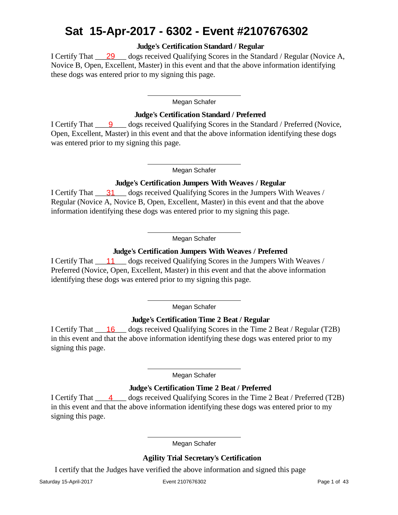# **Sat 15-Apr-2017 - 6302 - Event #2107676302**

Judge's Certification Standard / Regular

I Certify That **29** ogs received Qualifying Scores in the Standard / Regular (Novice A, Novice B, Open, Excellent, Master) in this event and that the above information identifying these dogs was entered prior to my signing this page.

### **Megan Schafer**

Judge's Certification Standard / Preferred

I Certify That **9** Gogs received Qualifying Scores in the Standard / Preferred (Novice, Open, Excellent, Master) in this event and that the above information identifying these dogs was entered prior to my signing this page.

### **Megan Schafer**

Judge's Certification Jumpers With Weaves / Regular I Certify That **31** dogs received Qualifying Scores in the Jumpers With Weaves / Regular (Novice A, Novice B, Open, Excellent, Master) in this event and that the above information identifying these dogs was entered prior to my signing this page.

# **Megan Schafer**

Judge's Certification Jumpers With Weaves / Preferred **11** I Certify That \_\_\_\_\_\_\_\_ dogs received Qualifying Scores in the Jumpers With Weaves / Preferred (Novice, Open, Excellent, Master) in this event and that the above information identifying these dogs was entered prior to my signing this page.

#### **Megan Schafer**

Judge's Certification Time 2 Beat / Regular

I Certify That **16** ogs received Qualifying Scores in the Time 2 Beat / Regular (T2B) in this event and that the above information identifying these dogs was entered prior to my signing this page.

# **Megan Schafer**

Judge's Certification Time 2 Beat / Preferred

I Certify That \_\_\_\_\_\_\_\_\_\_\_\_\_\_\_ dogs received Qualifying Scores in the Time 2 Beat / Preferred (T2B) in this event and that the above information identifying these dogs was entered prior to my signing this page.

## **Megan Schafer**

Agility Trial Secretary's Certification

I certify that the Judges have verified the above information and signed this page

**Saturday 15-April-2017 Event 2107676302 Page 1 of 43**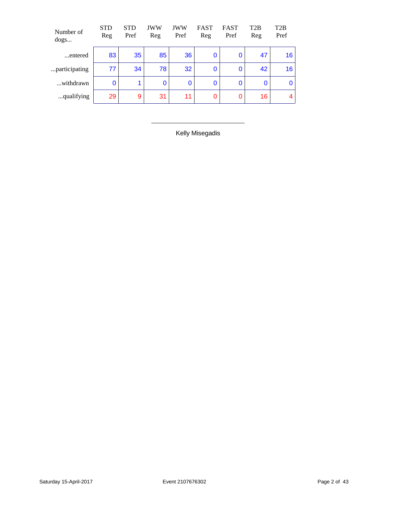| Number of<br>dogs | <b>STD</b><br>Reg | <b>STD</b><br>Pref   | <b>JWW</b><br>Reg | <b>JWW</b><br>Pref | <b>FAST</b><br>Reg | <b>FAST</b><br>Pref | T <sub>2</sub> B<br>Reg | T <sub>2</sub> B<br>Pref |
|-------------------|-------------------|----------------------|-------------------|--------------------|--------------------|---------------------|-------------------------|--------------------------|
| entered           | 83                | 35                   | 85                | 36                 | $\bf{0}$           | 0                   | 47                      | 16                       |
| participating     | 77                | 34                   | 78                | 32                 | 0                  | $\bf{0}$            | 42                      | 16                       |
| withdrawn         | 0                 | $\blacktriangleleft$ | 0                 | 0                  | $\bf{0}$           | $\bf{0}$            | $\bf{0}$                | 0                        |
| qualifying        | 29                | 9                    | 31                | 11                 | 0                  | 0                   | 16                      | 4                        |

**Kelly Misegadis**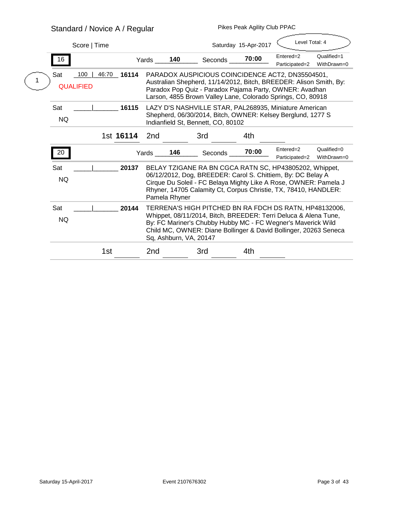# **Standard / Novice A / Regular**

|  | Score   Time                          |                 |                                                                                                                                                                                                                                                                                         |     |                                                                                                                                                                                                                                                              | Saturday 15-Apr-2017 | Level Total: 4              |                            |
|--|---------------------------------------|-----------------|-----------------------------------------------------------------------------------------------------------------------------------------------------------------------------------------------------------------------------------------------------------------------------------------|-----|--------------------------------------------------------------------------------------------------------------------------------------------------------------------------------------------------------------------------------------------------------------|----------------------|-----------------------------|----------------------------|
|  | 16                                    |                 | Yards                                                                                                                                                                                                                                                                                   | 140 | <b>Seconds</b>                                                                                                                                                                                                                                               | 70:00                | Entered=2<br>Participated=2 | Qualified=1<br>WithDrawn=0 |
|  | 100<br><b>Sat</b><br><b>QUALIFIED</b> | 46:70<br>16114  |                                                                                                                                                                                                                                                                                         |     | PARADOX AUSPICIOUS COINCIDENCE ACT2, DN35504501,<br>Australian Shepherd, 11/14/2012, Bitch, BREEDER: Alison Smith, By:<br>Paradox Pop Quiz - Paradox Pajama Party, OWNER: Avadhan<br>Larson, 4855 Brown Valley Lane, Colorado Springs, CO, 80918             |                      |                             |                            |
|  | Sat<br><b>NQ</b>                      | 16115           |                                                                                                                                                                                                                                                                                         |     | LAZY D'S NASHVILLE STAR, PAL268935, Miniature American<br>Shepherd, 06/30/2014, Bitch, OWNER: Kelsey Berglund, 1277 S<br>Indianfield St, Bennett, CO, 80102                                                                                                  |                      |                             |                            |
|  |                                       | 1st 16114       | 2nd                                                                                                                                                                                                                                                                                     |     | 3rd                                                                                                                                                                                                                                                          | 4th                  |                             |                            |
|  | 20                                    |                 | Yards                                                                                                                                                                                                                                                                                   | 146 | <b>Seconds</b>                                                                                                                                                                                                                                               | 70:00                | Entered=2<br>Participated=2 | Qualified=0<br>WithDrawn=0 |
|  | <b>Sat</b><br><b>NQ</b>               | 20137           | <b>Pamela Rhyner</b>                                                                                                                                                                                                                                                                    |     | BELAY TZIGANE RA BN CGCA RATN SC, HP43805202, Whippet,<br>06/12/2012, Dog, BREEDER: Carol S. Chittiem, By: DC Belay A<br>Cirque Du Soleil - FC Belaya Mighty Like A Rose, OWNER: Pamela J<br>Rhyner, 14705 Calamity Ct, Corpus Christie, TX, 78410, HANDLER: |                      |                             |                            |
|  | <b>Sat</b><br><b>NQ</b>               | 20144           | TERRENA'S HIGH PITCHED BN RA FDCH DS RATN, HP48132006,<br>Whippet, 08/11/2014, Bitch, BREEDER: Terri Deluca & Alena Tune,<br>By: FC Mariner's Chubby Hubby MC - FC Wegner's Maverick Wild<br>Child MC, OWNER: Diane Bollinger & David Bollinger, 20263 Seneca<br>Sq, Ashburn, VA, 20147 |     |                                                                                                                                                                                                                                                              |                      |                             |                            |
|  |                                       | 1 <sub>st</sub> | 2nd                                                                                                                                                                                                                                                                                     |     | 3rd                                                                                                                                                                                                                                                          | 4th                  |                             |                            |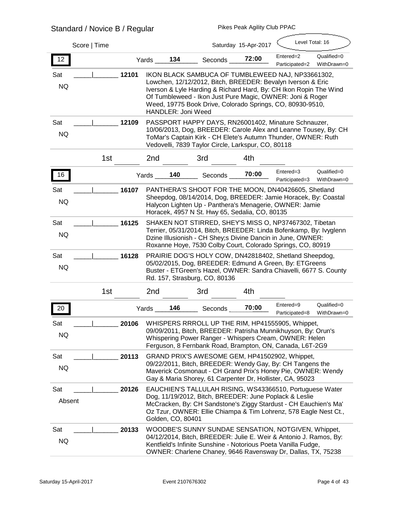# **Standard / Novice B / Regular**

**Pikes Peak Agility Club PPAC**

 $\overline{\phantom{a}}$ 

| Score   Time                     |                                                                                                                                                                                                                                                                                                                                              |                | Saturday 15-Apr-2017 | Level Total: 16             |                            |
|----------------------------------|----------------------------------------------------------------------------------------------------------------------------------------------------------------------------------------------------------------------------------------------------------------------------------------------------------------------------------------------|----------------|----------------------|-----------------------------|----------------------------|
| 12                               | 134<br>Yards                                                                                                                                                                                                                                                                                                                                 | <b>Seconds</b> | 72:00                | Entered=2<br>Participated=2 | Qualified=0<br>WithDrawn=0 |
| 12101<br><b>Sat</b><br><b>NQ</b> | IKON BLACK SAMBUCA OF TUMBLEWEED NAJ, NP33661302,<br>Lowchen, 12/12/2012, Bitch, BREEDER: Bevalyn Iverson & Eric<br>Iverson & Lyle Harding & Richard Hard, By: CH Ikon Ropin The Wind<br>Of Tumbleweed - Ikon Just Pure Magic, OWNER: Joni & Roger<br>Weed, 19775 Book Drive, Colorado Springs, CO, 80930-9510,<br><b>HANDLER: Joni Weed</b> |                |                      |                             |                            |
| Sat<br>12109<br><b>NQ</b>        | PASSPORT HAPPY DAYS, RN26001402, Minature Schnauzer,<br>10/06/2013, Dog, BREEDER: Carole Alex and Leanne Tousey, By: CH<br>ToMar's Captain Kirk - CH Elete's Autumn Thunder, OWNER: Ruth<br>Vedovelli, 7839 Taylor Circle, Larkspur, CO, 80118                                                                                               |                |                      |                             |                            |
| 1st                              | 2nd                                                                                                                                                                                                                                                                                                                                          | 3rd            | 4th                  |                             |                            |
| 16                               | 140<br>Yards                                                                                                                                                                                                                                                                                                                                 | <b>Seconds</b> | 70:00                | Entered=3<br>Participated=3 | Qualified=0<br>WithDrawn=0 |
| Sat<br>16107<br><b>NQ</b>        | PANTHERA'S SHOOT FOR THE MOON, DN40426605, Shetland<br>Sheepdog, 08/14/2014, Dog, BREEDER: Jamie Horacek, By: Coastal<br>Halycon Lighten Up - Panthera's Menagerie, OWNER: Jamie<br>Horacek, 4957 N St. Hwy 65, Sedalia, CO, 80135                                                                                                           |                |                      |                             |                            |
| Sat<br>16125<br><b>NQ</b>        | SHAKEN NOT STIRRED, SHEY'S MISS O, NP37467302, Tibetan<br>Terrier, 05/31/2014, Bitch, BREEDER: Linda Bofenkamp, By: Ivyglenn<br>Dzine Illusionish - CH Shey; s Divine Dancin in June, OWNER:<br>Roxanne Hoye, 7530 Colby Court, Colorado Springs, CO, 80919                                                                                  |                |                      |                             |                            |
| <b>Sat</b><br>16128<br><b>NQ</b> | PRAIRIE DOG'S HOLY COW, DN42818402, Shetland Sheepdog,<br>05/02/2015, Dog, BREEDER: Edmund A Green, By: ETGreens<br>Buster - ETGreen's Hazel, OWNER: Sandra Chiavelli, 6677 S. County<br>Rd. 157, Strasburg, CO, 80136                                                                                                                       |                |                      |                             |                            |
| 1 <sub>st</sub>                  | 2nd                                                                                                                                                                                                                                                                                                                                          | 3rd            | 4th                  |                             |                            |
| 20                               | 146<br>Yards                                                                                                                                                                                                                                                                                                                                 | <b>Seconds</b> | 70:00                | Entered=9<br>Participated=8 | Qualified=0<br>WithDrawn=0 |
| Sat<br>20106<br><b>NQ</b>        | WHISPERS RRROLL UP THE RIM, HP41555905, Whippet,<br>09/09/2011, Bitch, BREEDER: Patrisha Munnikhuyson, By: Orun's<br>Whispering Power Ranger - Whispers Cream, OWNER: Helen<br>Ferguson, 8 Fernbank Road, Brampton, ON, Canada, L6T-2G9                                                                                                      |                |                      |                             |                            |
| 20113<br>Sat<br><b>NQ</b>        | GRAND PRIX'S AWESOME GEM, HP41502902, Whippet,<br>09/22/2011, Bitch, BREEDER: Wendy Gay, By: CH Tangens the<br>Maverick Cosmonaut - CH Grand Prix's Honey Pie, OWNER: Wendy<br>Gay & Maria Shorey, 61 Carpenter Dr, Hollister, CA, 95023                                                                                                     |                |                      |                             |                            |
| Sat<br>20126<br><b>Absent</b>    | EAUCHIEN'S TALLULAH RISING, WS43366510, Portuguese Water<br>Dog, 11/19/2012, Bitch, BREEDER: June Poplack & Leslie<br>McCracken, By: CH Sandstone's Ziggy Stardust - CH Eauchien's Ma'<br>Oz Tzur, OWNER: Ellie Chiampa & Tim Lohrenz, 578 Eagle Nest Ct.,<br>Golden, CO, 80401                                                              |                |                      |                             |                            |
| <b>Sat</b><br>20133<br><b>NQ</b> | <b>WOODBE'S SUNNY SUNDAE SENSATION, NOTGIVEN, Whippet,</b><br>04/12/2014, Bitch, BREEDER: Julie E. Weir & Antonio J. Ramos, By:<br>Kentfield's Infinite Sunshine - Notorious Poeta Vanilla Fudge,<br>OWNER: Charlene Chaney, 9646 Ravensway Dr, Dallas, TX, 75238                                                                            |                |                      |                             |                            |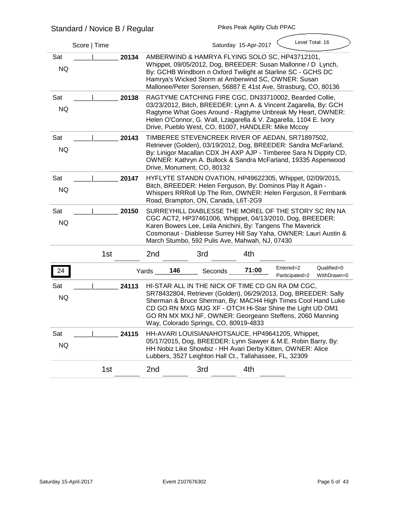|                  | Standard / Novice B / Regular |       |     |                                                         | FINGS FEAN AYIIIIY UIUD FFAU |                                                                                                                                                                                                                                                                                                                      |                            |
|------------------|-------------------------------|-------|-----|---------------------------------------------------------|------------------------------|----------------------------------------------------------------------------------------------------------------------------------------------------------------------------------------------------------------------------------------------------------------------------------------------------------------------|----------------------------|
|                  | Score   Time                  |       |     |                                                         | Saturday 15-Apr-2017         | Level Total: 16                                                                                                                                                                                                                                                                                                      |                            |
| Sat<br><b>NQ</b> | 20134                         |       |     |                                                         |                              | AMBERWIND & HAMRYA FLYING SOLO SC, HP43712101,<br>Whippet, 09/05/2012, Dog, BREEDER: Susan Mallonne / D Lynch,<br>By: GCHB Windborn n Oxford Twilight at Starline SC - GCHS DC<br>Hamrya's Wicked Storm at Amberwind SC, OWNER: Susan<br>Mallonee/Peter Sorensen, 56887 E 41st Ave, Strasburg, CO, 80136             |                            |
| Sat<br><b>NQ</b> | 20138                         |       |     |                                                         |                              | RAGTYME CATCHING FIRE CGC, DN33710002, Bearded Collie,<br>03/23/2012, Bitch, BREEDER: Lynn A. & Vincent Zagarella, By: GCH<br>Ragtyme What Goes Around - Ragtyme Unbreak My Heart, OWNER:<br>Helen O'Connor, G. Wall, Lzagarella & V. Zagarella, 1104 E. Ivory<br>Drive, Pueblo West, CO, 81007, HANDLER: Mike Mccoy |                            |
| Sat<br><b>NQ</b> | 20143                         |       |     | Drive, Monument, CO, 80132                              |                              | TIMBEREE STEVENCREEK RIVER OF AEDAN, SR71897502,<br>Retriever (Golden), 03/19/2012, Dog, BREEDER: Sandra McFarland,<br>By: Linigor Macallan CDX JH AXP AJP - Timberee Sara N Dippity CD,<br>OWNER: Kathryn A. Bullock & Sandra McFarland, 19335 Aspenwood                                                            |                            |
| Sat<br><b>NQ</b> | 20147                         |       |     | Road, Brampton, ON, Canada, L6T-2G9                     |                              | HYFLYTE STANDN OVATION, HP49622305, Whippet, 02/09/2015,<br>Bitch, BREEDER: Helen Ferguson, By: Dominos Play It Again -<br>Whispers RRRoll Up The Rim, OWNER: Helen Ferguson, 8 Fernbank                                                                                                                             |                            |
| Sat<br><b>NQ</b> | 20150                         |       |     | March Stumbo, 592 Pulis Ave, Mahwah, NJ, 07430          |                              | SURREYHILL DIABLESSE THE MOREL OF THE STORY SC RN NA<br>CGC ACT2, HP37461006, Whippet, 04/13/2010, Dog, BREEDER:<br>Karen Bowers Lee, Leila Anichini, By: Tangens The Maverick<br>Cosmonaut - Diablesse Surrey Hill Say Yaha, OWNER: Lauri Austin &                                                                  |                            |
|                  | 1st                           | 2nd   |     | 3rd                                                     | 4th                          |                                                                                                                                                                                                                                                                                                                      |                            |
| 24               |                               | Yards | 146 | <b>Seconds</b>                                          | 71:00                        | Entered=2<br>Participated=2                                                                                                                                                                                                                                                                                          | Qualified=0<br>WithDrawn=0 |
| Sat<br><b>NQ</b> | 24113                         |       |     | Way, Colorado Springs, CO, 80919-4833                   |                              | HI-STAR ALL IN THE NICK OF TIME CD GN RA DM CGC,<br>SR78432804, Retriever (Golden), 06/29/2013, Dog, BREEDER: Sally<br>Sherman & Bruce Sherman, By: MACH4 High Times Cool Hand Luke<br>CD GO RN MXG MJG XF - OTCH Hi-Star Shine the Light UD OM1<br>GO RN MX MXJ NF, OWNER: Georgeann Steffens, 2060 Manning         |                            |
| Sat<br><b>NQ</b> | 24115                         |       |     | Lubbers, 3527 Leighton Hall Ct., Tallahassee, FL, 32309 |                              | HH-AVARI LOUISIANAHOTSAUCE, HP49641205, Whippet,<br>05/17/2015, Dog, BREEDER: Lynn Sawyer & M.E. Robin Barry, By:<br>HH Nobiz Like Showbiz - HH Avari Derby Kitten, OWNER: Alice                                                                                                                                     |                            |
|                  | 1st                           | 2nd   |     | 3rd                                                     | 4th                          |                                                                                                                                                                                                                                                                                                                      |                            |
|                  |                               |       |     |                                                         |                              |                                                                                                                                                                                                                                                                                                                      |                            |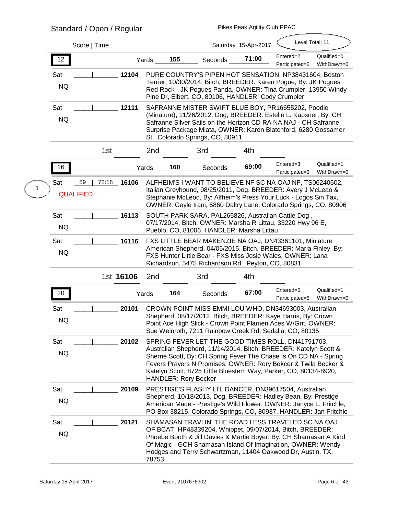# **Standard / Open / Regular**

|                         | Score   Time           |             |              |                             |                                                                                                                                                                                                                                                                                                                                  | Saturday 15-Apr-2017 | Level Total: 11             |                            |
|-------------------------|------------------------|-------------|--------------|-----------------------------|----------------------------------------------------------------------------------------------------------------------------------------------------------------------------------------------------------------------------------------------------------------------------------------------------------------------------------|----------------------|-----------------------------|----------------------------|
| 12                      |                        |             | <b>Yards</b> | 155                         | <b>Seconds</b>                                                                                                                                                                                                                                                                                                                   | 71:00                | Entered=2<br>Participated=2 | Qualified=0<br>WithDrawn=0 |
| <b>Sat</b><br><b>NQ</b> |                        | 12104       |              |                             | PURE COUNTRY'S PIPEN HOT SENSATION, NP38431604, Boston<br>Terrier, 10/30/2014, Bitch, BREEDER: Karen Pogue, By: JK Pogues<br>Red Rock - JK Pogues Panda, OWNER: Tina Crumpler, 13950 Windy<br>Pine Dr, Elbert, CO, 80106, HANDLER: Cody Crumpler                                                                                 |                      |                             |                            |
| Sat<br><b>NQ</b>        |                        | 12111       |              |                             | SAFRANNE MISTER SWIFT BLUE BOY, PR16655202, Poodle<br>(Minature), 11/26/2012, Dog, BREEDER: Estelle L. Kapsner, By: CH<br>Safranne Silver Sails on the Horizon CD RA NA NAJ - CH Safranne<br>Surprise Package Miata, OWNER: Karen Blatchford, 6280 Gossamer<br>St., Colorado Springs, CO, 80911                                  |                      |                             |                            |
|                         | 1st                    |             | 2nd          |                             | 3rd                                                                                                                                                                                                                                                                                                                              | 4th                  |                             |                            |
| 16                      |                        |             | Yards        | 160                         | <b>Seconds</b>                                                                                                                                                                                                                                                                                                                   | 69:00                | Entered=3<br>Participated=3 | Qualified=1<br>WithDrawn=0 |
| <b>Sat</b>              | 89<br><b>QUALIFIED</b> | 72:18 16106 |              |                             | ALFHEIM'S I WANT TO BELIEVE NF SC NA OAJ NF, TS06240602,<br>Italian Greyhound, 08/25/2011, Dog, BREEDER: Avery J McLeao &<br>Stephanie McLeod, By: Alfheim's Press Your Luck - Logos Sin Tax,<br>OWNER: Gayle Irani, 5860 Daltry Lane, Colorado Springs, CO, 80906                                                               |                      |                             |                            |
| Sat<br><b>NQ</b>        |                        | 16113       |              |                             | SOUTH PARK SARA, PAL265826, Australian Cattle Dog,<br>07/17/2014, Bitch, OWNER: Marsha R Littau, 33220 Hwy 96 E,<br>Pueblo, CO, 81006, HANDLER: Marsha Littau                                                                                                                                                                    |                      |                             |                            |
| <b>Sat</b><br><b>NQ</b> |                        | 16116       |              |                             | FXS LITTLE BEAR MAKENZIE NA OAJ, DN43361101, Miniature<br>American Shepherd, 04/05/2015, Bitch, BREEDER: Maria Finley, By:<br>FXS Hunter Little Bear - FXS Miss Josie Wales, OWNER: Lana<br>Richardson, 5475 Richardson Rd., Peyton, CO, 80831                                                                                   |                      |                             |                            |
|                         |                        | 1st 16106   | 2nd          |                             | 3rd                                                                                                                                                                                                                                                                                                                              | 4th                  |                             |                            |
| 20                      |                        |             | Yards        | 164                         | <b>Seconds</b>                                                                                                                                                                                                                                                                                                                   | 67:00                | Entered=5<br>Participated=5 | Qualified=1<br>WithDrawn=0 |
| Sat<br><b>NQ</b>        |                        | 20101       |              |                             | CROWN POINT MISS EMMI LOU WHO, DN34693003, Australian<br>Shepherd, 08/17/2012, Bitch, BREEDER: Kaye Harris, By: Crown<br>Point Ace High Slick - Crown Point Flamen Aces W/Grit, OWNER:<br>Sue Weinroth, 7211 Rainbow Creek Rd, Sedalia, CO, 80135                                                                                |                      |                             |                            |
| Sat<br><b>NQ</b>        |                        | 20102       |              | <b>HANDLER: Rory Becker</b> | SPRING FEVER LET THE GOOD TIMES ROLL, DN41791703,<br>Australian Shepherd, 11/14/2014, Bitch, BREEDER: Katelyn Scott &<br>Sherrie Scott, By: CH Spring Fever The Chase Is On CD NA - Spring<br>Fevers Prayers N Promises, OWNER: Rory Bekcer & Twila Becker &<br>Katelyn Scott, 8725 Little Bluestem Way, Parker, CO, 80134-8920, |                      |                             |                            |
| Sat<br><b>NQ</b>        |                        | 20109       |              |                             | PRESTIGE'S FLASHY LI'L DANCER, DN39617504, Australian<br>Shepherd, 10/18/2013, Dog, BREEDER: Hadley Bean, By: Prestige<br>American Made - Prestige's Wild Flower, OWNER: Janyce L. Fritchle,<br>PO Box 38215, Colorado Springs, CO, 80937, HANDLER: Jan Fritchle                                                                 |                      |                             |                            |
| Sat<br><b>NQ</b>        |                        | 20121       | 78753        |                             | SHAMASAN TRAVLIN' THE ROAD LESS TRAVELED SC NA OAJ<br>OF BCAT, HP48339204, Whippet, 09/07/2014, Bitch, BREEDER:<br>Phoebe Booth & Jill Davies & Martie Boyer, By: CH Shamasan A Kind<br>Of Magic - GCH Shamasan Island Of Imagination, OWNER: Wendy<br>Hodges and Terry Schwartzman, 11404 Oakwood Dr, Austin, TX,               |                      |                             |                            |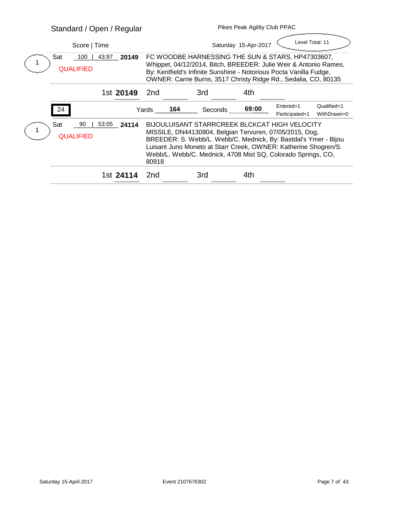|                                        | <b>Standard / Open / Regular</b>                 |           |       | <b>Pikes Peak Agility Club PPAC</b> |                                                                                                                                                                                                                                                                                                                       |                                                                                                                                                                                                                                                                |                             |                            |  |  |
|----------------------------------------|--------------------------------------------------|-----------|-------|-------------------------------------|-----------------------------------------------------------------------------------------------------------------------------------------------------------------------------------------------------------------------------------------------------------------------------------------------------------------------|----------------------------------------------------------------------------------------------------------------------------------------------------------------------------------------------------------------------------------------------------------------|-----------------------------|----------------------------|--|--|
|                                        | Score   Time                                     |           |       |                                     |                                                                                                                                                                                                                                                                                                                       | Saturday 15-Apr-2017                                                                                                                                                                                                                                           | Level Total: 11             |                            |  |  |
|                                        | Sat<br>100<br>43:97<br>20149<br><b>QUALIFIED</b> |           |       |                                     |                                                                                                                                                                                                                                                                                                                       | FC WOODBE HARNESSING THE SUN & STARS, HP47303607,<br>Whippet, 04/12/2014, Bitch, BREEDER: Julie Weir & Antonio Rames,<br>By: Kentfield's Infinite Sunshine - Notorious Pocta Vanilla Fudge,<br>OWNER: Carrie Burns, 3517 Christy Ridge Rd., Sedalia, CO, 80135 |                             |                            |  |  |
|                                        |                                                  | 1st 20149 | 2nd   |                                     | 3rd                                                                                                                                                                                                                                                                                                                   | 4th                                                                                                                                                                                                                                                            |                             |                            |  |  |
|                                        | 24                                               |           | Yards | 164                                 | <b>Seconds</b>                                                                                                                                                                                                                                                                                                        | 69:00                                                                                                                                                                                                                                                          | Entered=1<br>Participated=1 | Qualified=1<br>WithDrawn=0 |  |  |
| Sat<br>90<br>53:05<br><b>QUALIFIED</b> | 24114                                            | 80918     |       |                                     | <b>BIJOULUISANT STARRCREEK BLCKCAT HIGH VELOCITY</b><br>MISSILE, DN44130904, Belgian Tervuren, 07/05/2015, Dog,<br>BREEDER: S. Webb/L. Webb/C. Mednick, By: Bastdal's Ymer - Bijou<br>Luisant Juno Moneto at Starr Creek, OWNER: Katherine Shogren/S.<br>Webb/L. Webb/C. Mednick, 4708 Mist SQ, Colorado Springs, CO, |                                                                                                                                                                                                                                                                |                             |                            |  |  |
|                                        |                                                  | 1st 24114 | 2nd   |                                     | 3rd                                                                                                                                                                                                                                                                                                                   | 4th                                                                                                                                                                                                                                                            |                             |                            |  |  |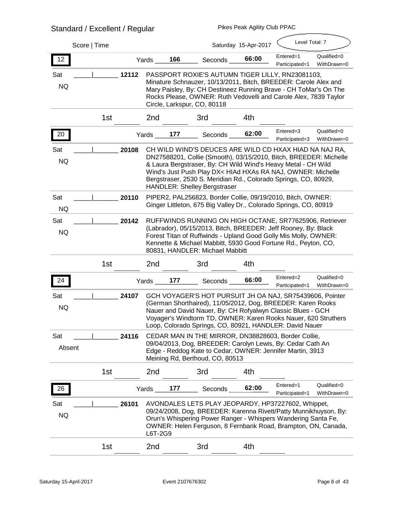# **Standard / Excellent / Regular**

| Score   Time            |                 |              |                                     |                                 | Saturday 15-Apr-2017 | Level Total: 7                                                                                                                                                                                                                                                                                                                 |                            |
|-------------------------|-----------------|--------------|-------------------------------------|---------------------------------|----------------------|--------------------------------------------------------------------------------------------------------------------------------------------------------------------------------------------------------------------------------------------------------------------------------------------------------------------------------|----------------------------|
| 12                      |                 | Yards        | 166                                 | <b>Seconds</b>                  | 66:00                | Entered=1<br>Participated=1                                                                                                                                                                                                                                                                                                    | Qualified=0<br>WithDrawn=0 |
| <b>Sat</b><br><b>NQ</b> | 12112           |              | Circle, Larkspur, CO, 80118         |                                 |                      | PASSPORT ROXIE'S AUTUMN TIGER LILLY, RN23081103,<br>Minature Schnauzer, 10/13/2011, Bitch, BREEDER: Carole Alex and<br>Mary Paisley, By: CH Destineez Running Brave - CH ToMar's On The<br>Rocks Please, OWNER: Ruth Vedovelli and Carole Alex, 7839 Taylor                                                                    |                            |
|                         | 1st             | 2nd          | 3rd                                 |                                 | 4th                  |                                                                                                                                                                                                                                                                                                                                |                            |
| 20                      |                 | Yards        | 177                                 | <b>Seconds</b>                  | 62:00                | Entered=3<br>Participated=3                                                                                                                                                                                                                                                                                                    | Qualified=0<br>WithDrawn=0 |
| Sat<br><b>NQ</b>        | 20108           |              | <b>HANDLER: Shelley Bergstraser</b> |                                 |                      | CH WILD WIND'S DEUCES ARE WILD CD HXAX HIAD NA NAJ RA,<br>DN27588201, Collie (Smooth), 03/15/2010, Bitch, BREEDER: Michelle<br>& Laura Bergstraser, By: CH Wild Wind's Heavy Metal - CH Wild<br>Wind's Just Push Play DX< HIAd HXAs RA NAJ, OWNER: Michelle<br>Bergstraser, 2530 S. Meridian Rd., Colorado Springs, CO, 80929, |                            |
| Sat<br><b>NQ</b>        | 20110           |              |                                     |                                 |                      | PIPER2, PAL256823, Border Collie, 09/19/2010, Bitch, OWNER:<br>Ginger Littleton, 675 Big Valley Dr., Colorado Springs, CO, 80919                                                                                                                                                                                               |                            |
| <b>Sat</b><br><b>NQ</b> | 20142           |              |                                     | 80831, HANDLER: Michael Mabbitt |                      | RUFFWINDS RUNNING ON HIGH OCTANE, SR77625906, Retriever<br>(Labrador), 05/15/2013, Bitch, BREEDER: Jeff Rooney, By: Black<br>Forest Titan of Ruffwinds - Upland Good Golly Mis Molly, OWNER:<br>Kennette & Michael Mabbitt, 5930 Good Fortune Rd., Peyton, CO,                                                                 |                            |
|                         | 1st             | 2nd          | 3rd                                 |                                 | 4th                  |                                                                                                                                                                                                                                                                                                                                |                            |
| 24                      |                 | Yards        | 177                                 | <b>Seconds</b>                  | 66:00                | Entered=2<br>Participated=1                                                                                                                                                                                                                                                                                                    | Qualified=0<br>WithDrawn=0 |
| <b>Sat</b><br><b>NQ</b> | 24107           |              |                                     |                                 |                      | GCH VOYAGER'S HOT PURSUIT JH OA NAJ, SR75439606, Pointer<br>(German Shorthaired), 11/05/2012, Dog, BREEDER: Karen Rooks<br>Nauer and David Nauer, By: CH Rofyalwyn Classic Blues - GCH<br>Voyager's Windtorm TD, OWNER: Karen Rooks Nauer, 620 Struthers<br>Loop, Colorado Springs, CO, 80921, HANDLER: David Nauer            |                            |
| Sat<br><b>Absent</b>    | 24116           |              |                                     | Meining Rd, Berthoud, CO, 80513 |                      | CEDAR MAN IN THE MIRROR, DN38828603, Border Collie,<br>09/04/2013, Dog, BREEDER: Carolyn Lewis, By: Cedar Cath An<br>Edge - Reddog Kate to Cedar, OWNER: Jennifer Martin, 3913                                                                                                                                                 |                            |
|                         | 1 <sub>st</sub> | 2nd          | 3rd                                 |                                 | 4th                  |                                                                                                                                                                                                                                                                                                                                |                            |
| 26                      |                 | <b>Yards</b> | 177                                 | Seconds                         | 62:00                | Entered=1<br>Participated=1                                                                                                                                                                                                                                                                                                    | Qualified=0<br>WithDrawn=0 |
| Sat<br><b>NQ</b>        | 26101           |              |                                     |                                 |                      | AVONDALES LETS PLAY JEOPARDY, HP37227602, Whippet,<br>09/24/2008, Dog, BREEDER: Karenna Rivett/Patty Munnikhuyson, By:<br>Orun's Whispering Power Ranger - Whispers Wandering Santa Fe,<br>OWNER: Helen Ferguson, 8 Fernbank Road, Brampton, ON, Canada,                                                                       |                            |
|                         |                 | L6T-2G9      |                                     |                                 |                      |                                                                                                                                                                                                                                                                                                                                |                            |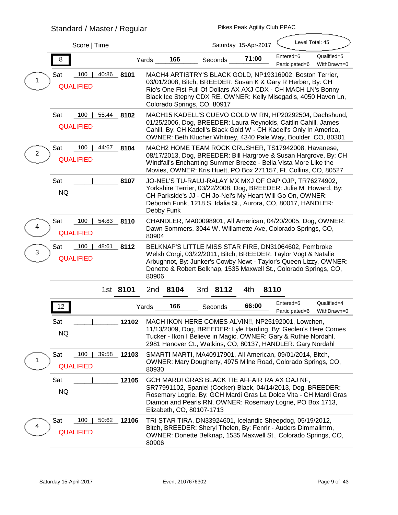# **Standard / Master / Regular**

| Score   Time                                                        |                                                                                                                                                                                                                                                                                             |                | Saturday 15-Apr-2017 | Level Total: 45             |                            |
|---------------------------------------------------------------------|---------------------------------------------------------------------------------------------------------------------------------------------------------------------------------------------------------------------------------------------------------------------------------------------|----------------|----------------------|-----------------------------|----------------------------|
| 8                                                                   | 166<br>Yards                                                                                                                                                                                                                                                                                | Seconds        | 71:00                | Entered=6<br>Participated=6 | Qualified=5<br>WithDrawn=0 |
| 100<br>40:86<br><b>Sat</b><br>8101<br><b>QUALIFIED</b>              | MACH4 ARTISTRY'S BLACK GOLD, NP19316902, Boston Terrier,<br>03/01/2008, Bitch, BREEDER: Susan K & Gary R Herber, By: CH<br>Rio's One Fist Full Of Dollars AX AXJ CDX - CH MACH LN's Bonny<br>Black Ice Stephy CDX RE, OWNER: Kelly Misegadis, 4050 Haven Ln,<br>Colorado Springs, CO, 80917 |                |                      |                             |                            |
| Sat<br>100<br>55:44<br>8102<br><b>QUALIFIED</b>                     | MACH15 KADELL'S CUEVO GOLD W RN, HP20292504, Dachshund,<br>01/25/2006, Dog, BREEDER: Laura Reynolds, Caitlin Cahill, James<br>Cahill, By: CH Kadell's Black Gold W - CH Kadell's Only In America,<br>OWNER: Beth Klucher Whitney, 4340 Pale Way, Boulder, CO, 80301                         |                |                      |                             |                            |
| Sat<br>44:67<br>100<br>8104<br>$\boldsymbol{2}$<br><b>QUALIFIED</b> | MACH2 HOME TEAM ROCK CRUSHER, TS17942008, Havanese,<br>08/17/2013, Dog, BREEDER: Bill Hargrove & Susan Hargrove, By: CH<br>Windfall's Enchanting Summer Breeze - Bella Vista More Like the<br>Movies, OWNER: Kris Huett, PO Box 271157, Ft. Collins, CO, 80527                              |                |                      |                             |                            |
| Sat<br>8107<br><b>NQ</b>                                            | JO-NEL'S TU-RALU-RALAY MX MXJ OF OAP OJP, TR76274902,<br>Yorkshire Terrier, 03/22/2008, Dog, BREEDER: Julie M. Howard, By:<br>CH Parkside's JJ - CH Jo-Nel's My Heart Will Go On, OWNER:<br>Deborah Funk, 1218 S. Idalia St., Aurora, CO, 80017, HANDLER:<br><b>Debby Funk</b>              |                |                      |                             |                            |
| Sat<br>100<br>54:83<br>8110<br>4<br><b>QUALIFIED</b>                | CHANDLER, MA00098901, All American, 04/20/2005, Dog, OWNER:<br>Dawn Sommers, 3044 W. Willamette Ave, Colorado Springs, CO,<br>80904                                                                                                                                                         |                |                      |                             |                            |
| Sat<br>100<br>48:61<br>8112<br>3<br><b>QUALIFIED</b>                | BELKNAP'S LITTLE MISS STAR FIRE, DN31064602, Pembroke<br>Welsh Corgi, 03/22/2011, Bitch, BREEDER: Taylor Vogt & Natalie<br>Arbughnot, By: Junker's Cowby Newt - Taylor's Queen Lizzy, OWNER:<br>Donette & Robert Belknap, 1535 Maxwell St., Colorado Springs, CO,<br>80906                  |                |                      |                             |                            |
| 1st 8101                                                            | 2nd 8104                                                                                                                                                                                                                                                                                    | 3rd 8112       | 4th<br>8110          |                             |                            |
| 12                                                                  | 166<br>Yards                                                                                                                                                                                                                                                                                | <b>Seconds</b> | 66:00                | Entered=6<br>Participated=6 | Qualified=4<br>WithDrawn=0 |
| Sat<br>12102<br><b>NQ</b>                                           | MACH IKON HERE COMES ALVIN!!, NP25192001, Lowchen,<br>11/13/2009, Dog, BREEDER: Lyle Harding, By: Geolen's Here Comes<br>Tucker - Ikon I Believe in Magic, OWNER: Gary & Ruthie Nordahl,<br>2981 Hanover Ct., Watkins, CO, 80137, HANDLER: Gary Nordahl                                     |                |                      |                             |                            |
| 100<br>39:58<br><b>Sat</b><br>12103<br><b>QUALIFIED</b>             | SMARTI MARTI, MA40917901, All American, 09/01/2014, Bitch,<br><b>OWNER: Mary Dougherty, 4975 Milne Road, Colorado Springs, CO,</b><br>80930                                                                                                                                                 |                |                      |                             |                            |
| Sat<br>12105<br><b>NQ</b>                                           | GCH MARDI GRAS BLACK TIE AFFAIR RA AX OAJ NF,<br>SR77991102, Spaniel (Cocker) Black, 04/14/2013, Dog, BREEDER:<br>Rosemary Logrie, By: GCH Mardi Gras La Dolce Vita - CH Mardi Gras<br>Diamon and Pearls RN, OWNER: Rosemary Logrie, PO Box 1713,<br>Elizabeth, CO, 80107-1713              |                |                      |                             |                            |
| Sat<br>100<br>50:62<br>12106<br>4<br><b>QUALIFIED</b>               | TRI STAR TIRA, DN33924601, Icelandic Sheepdog, 05/19/2012,<br>Bitch, BREEDER: Sheryl Thelen, By: Fenrir - Auders Dimmalimm,<br>OWNER: Donette Belknap, 1535 Maxwell St., Colorado Springs, CO,<br>80906                                                                                     |                |                      |                             |                            |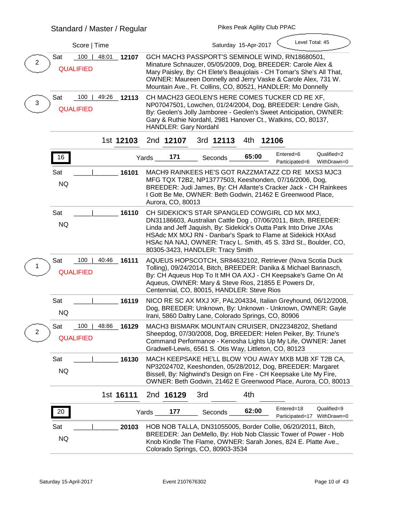|                  |                                       | Score   Time |           |       |                              |                                                                                                                                                                                                                                                                                                                                                              | Saturday 15-Apr-2017 | Level Total: 45                           |                            |
|------------------|---------------------------------------|--------------|-----------|-------|------------------------------|--------------------------------------------------------------------------------------------------------------------------------------------------------------------------------------------------------------------------------------------------------------------------------------------------------------------------------------------------------------|----------------------|-------------------------------------------|----------------------------|
| $\boldsymbol{2}$ | 100<br><b>Sat</b><br><b>QUALIFIED</b> | 48:01        | 12107     |       |                              | GCH MACH3 PASSPORT'S SEMINOLE WIND, RN18680501,<br>Minature Schnauzer, 05/05/2009, Dog, BREEDER: Carole Alex &<br>Mary Paisley, By: CH Elete's Beaujolais - CH Tomar's She's All That,<br>OWNER: Maureen Donnelly and Jerry Vaske & Carole Alex, 731 W.<br>Mountain Ave., Ft. Collins, CO, 80521, HANDLER: Mo Donnelly                                       |                      |                                           |                            |
| 3                | Sat<br>100<br><b>QUALIFIED</b>        | 49:26        | 12113     |       | <b>HANDLER: Gary Nordahl</b> | CH MACH23 GEOLEN'S HERE COMES TUCKER CD RE XF,<br>NP07047501, Lowchen, 01/24/2004, Dog, BREEDER: Lendre Gish,<br>By: Geolen's Jolly Jamboree - Geolen's Sweet Anticipation, OWNER:<br>Gary & Ruthie Nordahl, 2981 Hanover Ct., Watkins, CO, 80137,                                                                                                           |                      |                                           |                            |
|                  |                                       |              | 1st 12103 |       | 2nd 12107                    | 3rd 12113                                                                                                                                                                                                                                                                                                                                                    | 4th<br>12106         |                                           |                            |
|                  | 16                                    |              |           | Yards | 171                          | <b>Seconds</b>                                                                                                                                                                                                                                                                                                                                               | 65:00                | Entered=6<br>Participated=6               | Qualified=2<br>WithDrawn=0 |
|                  | <b>Sat</b><br><b>NQ</b>               |              | 16101     |       | Aurora, CO, 80013            | <b>MACH9 RAINKEES HE'S GOT RAZZMATAZZ CD RE MXS3 MJC3</b><br>MFG TQX T2B2, NP13777503, Keeshonden, 07/16/2006, Dog,<br>BREEDER: Judi James, By: CH Allante's Cracker Jack - CH Rainkees<br>I Gott Be Me, OWNER: Beth Godwin, 21462 E Greenwood Place,                                                                                                        |                      |                                           |                            |
|                  | Sat<br><b>NQ</b>                      |              | 16110     |       |                              | CH SIDEKICK'S STAR SPANGLED COWGIRL CD MX MXJ,<br>DN31186603, Australian Cattle Dog, 07/06/2011, Bitch, BREEDER:<br>Linda and Jeff Jaquish, By: Sidekick's Outta Park Into Drive JXAs<br>HSAdc MX MXJ RN - Danbar's Spark to Flame at Sidekick HXAsd<br>HSAc NA NAJ, OWNER: Tracy L. Smith, 45 S. 33rd St., Boulder, CO,<br>80305-3423, HANDLER: Tracy Smith |                      |                                           |                            |
|                  | <b>Sat</b><br>100<br><b>QUALIFIED</b> | 40:46        | 16111     |       |                              | AQUEUS HOPSCOTCH, SR84632102, Retriever (Nova Scotia Duck<br>Tolling), 09/24/2014, Bitch, BREEDER: Danika & Michael Bannasch,<br>By: CH Aqueus Hop To It MH OA AXJ - CH Keepsake's Game On At<br>Aqueus, OWNER: Mary & Steve Rios, 21855 E Powers Dr,<br>Centennial, CO, 80015, HANDLER: Steve Rios                                                          |                      |                                           |                            |
|                  | <b>Sat</b><br><b>NQ</b>               |              | 16119     |       |                              | NICO RE SC AX MXJ XF, PAL204334, Italian Greyhound, 06/12/2008,<br>Dog, BREEDER: Unknown, By: Unknown - Unknown, OWNER: Gayle<br>Irani, 5860 Daltry Lane, Colorado Springs, CO, 80906                                                                                                                                                                        |                      |                                           |                            |
| 2                | Sat<br>100<br><b>QUALIFIED</b>        | 48:86        | 16129     |       |                              | MACH3 BISMARK MOUNTAIN CRUISER, DN22348202, Shetland<br>Sheepdog, 07/30/2008, Dog, BREEDER: Helen Peiker, By: Triune's<br>Command Performance - Kenosha Lights Up My Life, OWNER: Janet<br>Gradwell-Lewis, 6561 S. Otis Way, Littleton, CO, 80123                                                                                                            |                      |                                           |                            |
|                  | Sat<br><b>NQ</b>                      |              | 16130     |       |                              | MACH KEEPSAKE HE'LL BLOW YOU AWAY MXB MJB XF T2B CA,<br>NP32024702, Keeshonden, 05/28/2012, Dog, BREEDER: Margaret<br>Bissell, By: Nighwind's Design on Fire - CH Keepsake Lite My Fire,<br>OWNER: Beth Godwin, 21462 E Greenwood Place, Aurora, CO, 80013                                                                                                   |                      |                                           |                            |
|                  |                                       |              | 1st 16111 |       | 2nd 16129                    | 3rd                                                                                                                                                                                                                                                                                                                                                          | 4th                  |                                           |                            |
|                  | 20                                    |              |           | Yards | 177                          | <b>Seconds</b>                                                                                                                                                                                                                                                                                                                                               | 62:00                | Entered=18<br>Participated=17 WithDrawn=0 | Qualified=9                |
|                  | <b>Sat</b><br><b>NQ</b>               |              | 20103     |       |                              | HOB NOB TALLA, DN31055005, Border Collie, 06/20/2011, Bitch,<br>BREEDER: Jan DeMello, By: Hob Nob Classic Tower of Power - Hob<br>Knob Kindle The Flame, OWNER: Sarah Jones, 824 E. Platte Ave.,<br>Colorado Springs, CO, 80903-3534                                                                                                                         |                      |                                           |                            |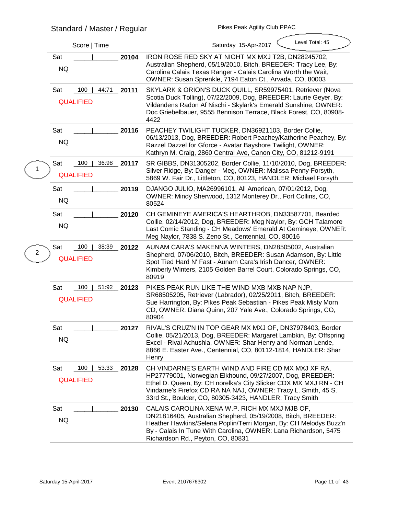| Score   Time                                 | Level Total: 45<br>Saturday 15-Apr-2017                                                                                                                                                                                                                                                                                     |
|----------------------------------------------|-----------------------------------------------------------------------------------------------------------------------------------------------------------------------------------------------------------------------------------------------------------------------------------------------------------------------------|
| Sat<br><b>NQ</b>                             | 20104<br>IRON ROSE RED SKY AT NIGHT MX MXJ T2B, DN28245702,<br>Australian Shepherd, 05/19/2010, Bitch, BREEDER: Tracy Lee, By:<br>Carolina Calais Texas Ranger - Calais Carolina Worth the Wait,<br>OWNER: Susan Sprenkle, 7194 Eaton Ct., Arvada, CO, 80003                                                                |
| 100<br>Sat<br>44:71<br><b>QUALIFIED</b>      | SKYLARK & ORION'S DUCK QUILL, SR59975401, Retriever (Nova<br>20111<br>Scotia Duck Tolling), 07/22/2009, Dog, BREEDER: Laurie Geyer, By:<br>Vildandens Radon Af Nischi - Skylark's Emerald Sunshine, OWNER:<br>Doc Griebelbauer, 9555 Bennison Terrace, Black Forest, CO, 80908-<br>4422                                     |
| Sat<br><b>NQ</b>                             | PEACHEY TWILIGHT TUCKER, DN36921103, Border Collie,<br>20116<br>06/13/2013, Dog, BREEDER: Robert Peachey/Katherine Peachey, By:<br>Razzel Dazzel for Gforce - Avatar Bayshore Twilight, OWNER:<br>Kathryn M. Craig, 2860 Central Ave, Canon City, CO, 81212-9191                                                            |
| 100<br>36:98<br>Sat<br><b>QUALIFIED</b>      | SR GIBBS, DN31305202, Border Collie, 11/10/2010, Dog, BREEDER:<br>20117<br>Silver Ridge, By: Danger - Meg, OWNER: Malissa Penny-Forsyth,<br>5869 W. Fair Dr., Littleton, CO, 80123, HANDLER: Michael Forsyth                                                                                                                |
| Sat<br><b>NQ</b>                             | 20119<br>DJANGO JULIO, MA26996101, All American, 07/01/2012, Dog,<br>OWNER: Mindy Sherwood, 1312 Monterey Dr., Fort Collins, CO,<br>80524                                                                                                                                                                                   |
| Sat<br><b>NQ</b>                             | CH GEMINEYE AMERICA'S HEARTHROB, DN33587701, Bearded<br>20120<br>Collie, 02/14/2012, Dog, BREEDER: Meg Naylor, By: GCH Talamore<br>Last Comic Standing - CH Meadows' Emerald At Gemineye, OWNER:<br>Meg Naylor, 7838 S. Zeno St., Centennial, CO, 80016                                                                     |
| 100<br>38:39<br>Sat<br>2<br><b>QUALIFIED</b> | 20122<br>AUNAM CARA'S MAKENNA WINTERS, DN28505002, Australian<br>Shepherd, 07/06/2010, Bitch, BREEDER: Susan Adamson, By: Little<br>Spot Tied Hard N' Fast - Aunam Cara's Irish Dancer, OWNER:<br>Kimberly Winters, 2105 Golden Barrel Court, Colorado Springs, CO,<br>80919                                                |
| Sat<br>100<br>51:92<br><b>QUALIFIED</b>      | PIKES PEAK RUN LIKE THE WIND MXB MXB NAP NJP,<br>20123<br>SR68505205, Retriever (Labrador), 02/25/2011, Bitch, BREEDER:<br>Sue Harrington, By: Pikes Peak Sebastian - Pikes Peak Misty Morn<br>CD, OWNER: Diana Quinn, 207 Yale Ave., Colorado Springs, CO,<br>80904                                                        |
| Sat<br>-<br><b>NQ</b>                        | RIVAL'S CRUZ'N IN TOP GEAR MX MXJ OF, DN37978403, Border<br>20127<br>Collie, 05/21/2013, Dog, BREEDER: Margaret Lambkin, By: Offspring<br>Excel - Rival Achushla, OWNER: Shar Henry and Norman Lende,<br>8866 E. Easter Ave., Centennial, CO, 80112-1814, HANDLER: Shar<br>Henry                                            |
| 100<br>Sat<br>53:33<br><b>QUALIFIED</b>      | CH VINDARNE'S EARTH WIND AND FIRE CD MX MXJ XF RA,<br>$-20128$<br>HP27779001, Norwegian Elkhound, 09/27/2007, Dog, BREEDER:<br>Ethel D. Queen, By: CH norelka's City Slicker CDX MX MXJ RN - CH<br>Vindarne's Firefox CD RA NA NAJ, OWNER: Tracy L. Smith, 45 S.<br>33rd St., Boulder, CO, 80305-3423, HANDLER: Tracy Smith |
| <b>Sat</b><br><b>NQ</b>                      | CALAIS CAROLINA XENA W.P. RICH MX MXJ MJB OF,<br>20130<br>DN21816405, Australian Shepherd, 05/19/2008, Bitch, BREEDER:<br>Heather Hawkins/Selena Poplin/Terri Morgan, By: CH Melodys Buzz'n<br>By - Calais In Tune With Carolina, OWNER: Lana Richardson, 5475<br>Richardson Rd., Peyton, CO, 80831                         |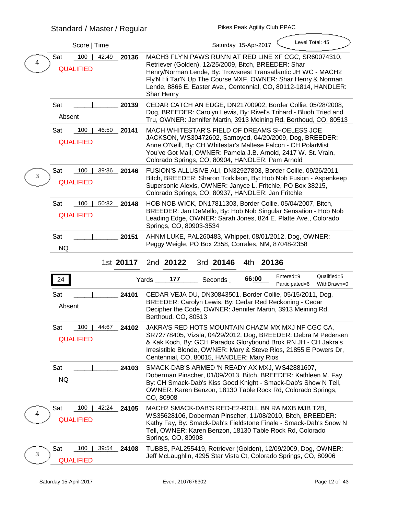# **Standard / Master / Regular**

|   | Score   Time                                   |             | Level Total: 45<br>Saturday 15-Apr-2017                                                                                                                                                                                                                                                                                                  |  |  |  |  |  |
|---|------------------------------------------------|-------------|------------------------------------------------------------------------------------------------------------------------------------------------------------------------------------------------------------------------------------------------------------------------------------------------------------------------------------------|--|--|--|--|--|
| 4 | 100<br>42:49<br><b>Sat</b><br><b>QUALIFIED</b> | 20136       | MACH3 FLY'N PAWS RUN'N AT RED LINE XF CGC, SR60074310,<br>Retriever (Golden), 12/25/2009, Bitch, BREEDER: Shar<br>Henry/Norman Lende, By: Trowsnest Transatlantic JH WC - MACH2<br>Fly'N Hi Tar'N Up The Course MXF, OWNER: Shar Henry & Norman<br>Lende, 8866 E. Easter Ave., Centennial, CO, 80112-1814, HANDLER:<br><b>Shar Henry</b> |  |  |  |  |  |
|   | <b>Sat</b><br><b>Absent</b>                    | 20139       | CEDAR CATCH AN EDGE, DN21700902, Border Collie, 05/28/2008,<br>Dog, BREEDER: Carolyn Lewis, By: Rivel's Trihard - Bluoh Tried and<br>Tru, OWNER: Jennifer Martin, 3913 Meining Rd, Berthoud, CO, 80513                                                                                                                                   |  |  |  |  |  |
|   | Sat<br>100<br>46:50<br><b>QUALIFIED</b>        | 20141       | MACH WHITESTAR'S FIELD OF DREAMS SHOELESS JOE<br>JACKSON, WS30472602, Samoyed, 04/20/2009, Dog, BREEDER:<br>Anne O'Neill, By: CH Whitestar's Maltese Falcon - CH PolarMist<br>You've Got Mail, OWNER: Pamela J.B. Arnold, 2417 W. St. Vrain,<br>Colorado Springs, CO, 80904, HANDLER: Pam Arnold                                         |  |  |  |  |  |
| 3 | 100<br>39:36<br><b>Sat</b><br><b>QUALIFIED</b> | 20146       | FUSION'S ALLUSIVE ALI, DN32927803, Border Collie, 09/26/2011,<br>Bitch, BREEDER: Sharon Torkilson, By: Hob Nob Fusion - Aspenkeep<br>Supersonic Alexis, OWNER: Janyce L. Fritchle, PO Box 38215,<br>Colorado Springs, CO, 80937, HANDLER: Jan Fritchle                                                                                   |  |  |  |  |  |
|   | Sat<br>100<br><b>QUALIFIED</b>                 | 50:82 20148 | HOB NOB WICK, DN17811303, Border Collie, 05/04/2007, Bitch,<br>BREEDER: Jan DeMello, By: Hob Nob Singular Sensation - Hob Nob<br>Leading Edge, OWNER: Sarah Jones, 824 E. Platte Ave., Colorado<br>Springs, CO, 80903-3534                                                                                                               |  |  |  |  |  |
|   | Sat<br><b>NQ</b>                               | 20151       | AHNM LUKE, PAL260483, Whippet, 08/01/2012, Dog, OWNER:<br>Peggy Weigle, PO Box 2358, Corrales, NM, 87048-2358                                                                                                                                                                                                                            |  |  |  |  |  |
|   |                                                |             |                                                                                                                                                                                                                                                                                                                                          |  |  |  |  |  |
|   |                                                | 1st 20117   | 2nd 20122<br>3rd 20146<br>4th 20136                                                                                                                                                                                                                                                                                                      |  |  |  |  |  |
|   | 24                                             |             | Qualified=5<br>Entered=9<br>66:00<br>177<br><b>Yards</b><br><b>Seconds</b><br>WithDrawn=0<br>Participated=6                                                                                                                                                                                                                              |  |  |  |  |  |
|   | Sat<br><b>Absent</b>                           | 24101       | CEDAR VEJA DU, DN30843501, Border Collie, 05/15/2011, Dog,<br>BREEDER: Carolyn Lewis, By: Cedar Red Reckoning - Cedar<br>Decipher the Code, OWNER: Jennifer Martin, 3913 Meining Rd,<br>Berthoud, CO, 80513                                                                                                                              |  |  |  |  |  |
|   | 100<br>44:67<br>Sat<br><b>QUALIFIED</b>        | 24102       | JAKRA'S RED HOTS MOUNTAIN CHAZM MX MXJ NF CGC CA,<br>SR72778405, Vizsla, 04/29/2012, Dog, BREEDER: Debra M Pedersen<br>& Kak Koch, By: GCH Paradox Glorybound Brok RN JH - CH Jakra's<br>Irresistible Blonde, OWNER: Mary & Steve Rios, 21855 E Powers Dr,<br>Centennial, CO, 80015, HANDLER: Mary Rios                                  |  |  |  |  |  |
|   | Sat<br><b>NQ</b>                               | 24103       | SMACK-DAB'S ARMED 'N READY AX MXJ, WS42881607,<br>Doberman Pinscher, 01/09/2013, Bitch, BREEDER: Kathleen M. Fay,<br>By: CH Smack-Dab's Kiss Good Knight - Smack-Dab's Show N Tell,<br>OWNER: Karen Benzon, 18130 Table Rock Rd, Colorado Springs,<br>CO, 80908                                                                          |  |  |  |  |  |
|   | 100<br>Sat<br><b>QUALIFIED</b>                 | 42:24_24105 | MACH2 SMACK-DAB'S RED-E2-ROLL BN RA MXB MJB T2B,<br>WS35628106, Doberman Pinscher, 11/08/2010, Bitch, BREEDER:<br>Kathy Fay, By: Smack-Dab's Fieldstone Finale - Smack-Dab's Snow N<br>Tell, OWNER: Karen Benzon, 18130 Table Rock Rd, Colorado<br><b>Springs, CO, 80908</b>                                                             |  |  |  |  |  |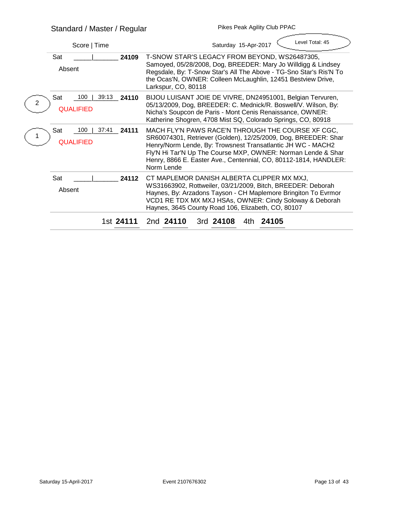| Score   Time                                            | Level Total: 45<br>Saturday 15-Apr-2017                                                                                                                                                                                                                                                                                              |  |  |  |  |  |
|---------------------------------------------------------|--------------------------------------------------------------------------------------------------------------------------------------------------------------------------------------------------------------------------------------------------------------------------------------------------------------------------------------|--|--|--|--|--|
| <b>Sat</b><br>24109<br><b>Absent</b>                    | T-SNOW STAR'S LEGACY FROM BEYOND, WS26487305,<br>Samoyed, 05/28/2008, Dog, BREEDER: Mary Jo Willdigg & Lindsey<br>Regsdale, By: T-Snow Star's All The Above - TG-Sno Star's Ris'N To<br>the Ocas'N, OWNER: Colleen McLaughlin, 12451 Bestview Drive,<br>Larkspur, CO, 80118                                                          |  |  |  |  |  |
| <b>Sat</b><br>39:13<br>100<br>24110<br><b>QUALIFIED</b> | BIJOU LUISANT JOIE DE VIVRE, DN24951001, Belgian Tervuren,<br>05/13/2009, Dog, BREEDER: C. Mednick/R. Boswell/V. Wilson, By:<br>Nicha's Soupcon de Paris - Mont Cenis Renaissance, OWNER:<br>Katherine Shogren, 4708 Mist SQ, Colorado Springs, CO, 80918                                                                            |  |  |  |  |  |
| <b>Sat</b><br>100<br>37:41<br>24111<br><b>QUALIFIED</b> | MACH FLY'N PAWS RACE'N THROUGH THE COURSE XF CGC,<br>SR60074301, Retriever (Golden), 12/25/2009, Dog, BREEDER: Shar<br>Henry/Norm Lende, By: Trowsnest Transatlantic JH WC - MACH2<br>Fly'N Hi Tar'N Up The Course MXP, OWNER: Norman Lende & Shar<br>Henry, 8866 E. Easter Ave., Centennial, CO, 80112-1814, HANDLER:<br>Norm Lende |  |  |  |  |  |
| <b>Sat</b><br>24112<br><b>Absent</b>                    | CT MAPLEMOR DANISH ALBERTA CLIPPER MX MXJ,<br>WS31663902, Rottweiler, 03/21/2009, Bitch, BREEDER: Deborah<br>Haynes, By: Arzadons Tayson - CH Maplemore Bringiton To Evrmor<br>VCD1 RE TDX MX MXJ HSAs, OWNER: Cindy Soloway & Deborah<br>Haynes, 3645 County Road 106, Elizabeth, CO, 80107                                         |  |  |  |  |  |
| 1st 24111                                               | 2nd 24110<br>3rd 24108<br>4th 24105                                                                                                                                                                                                                                                                                                  |  |  |  |  |  |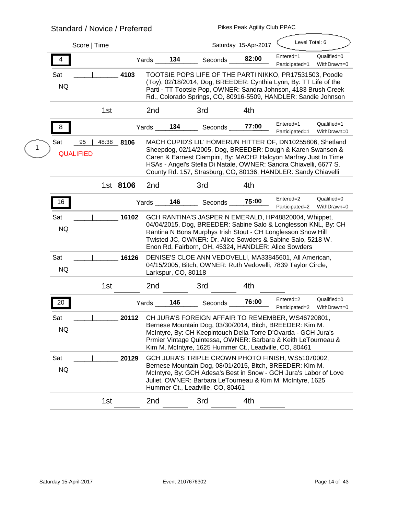# **Standard / Novice / Preferred**

**Pikes Peak Agility Club PPAC**

**Contract Contract Contract** 

|                         | Score   Time                    |          |        |                     |                                                                                                                                                                                                                                                                                                                                     | Saturday 15-Apr-2017 | Level Total: 6              |                            |
|-------------------------|---------------------------------|----------|--------|---------------------|-------------------------------------------------------------------------------------------------------------------------------------------------------------------------------------------------------------------------------------------------------------------------------------------------------------------------------------|----------------------|-----------------------------|----------------------------|
| 4                       |                                 |          | Yards  | 134                 | <b>Seconds</b>                                                                                                                                                                                                                                                                                                                      | 82:00                | Entered=1<br>Participated=1 | Qualified=0<br>WithDrawn=0 |
| <b>Sat</b><br><b>NQ</b> |                                 | 4103     |        |                     | TOOTSIE POPS LIFE OF THE PARTI NIKKO, PR17531503, Poodle<br>(Toy), 02/18/2014, Dog, BREEDER: Cynthia Lynn, By: TT Life of the<br>Parti - TT Tootsie Pop, OWNER: Sandra Johnson, 4183 Brush Creek<br>Rd., Colorado Springs, CO, 80916-5509, HANDLER: Sandie Johnson                                                                  |                      |                             |                            |
|                         | 1 <sub>st</sub>                 |          | 2nd    |                     | 3rd                                                                                                                                                                                                                                                                                                                                 | 4th                  |                             |                            |
| 8                       |                                 |          | Yards_ | 134                 | Seconds                                                                                                                                                                                                                                                                                                                             | 77:00                | Entered=1<br>Participated=1 | Qualified=1<br>WithDrawn=0 |
| <b>Sat</b>              | 95<br>48:38<br><b>QUALIFIED</b> | 8106     |        |                     | MACH CUPID'S LIL' HOMERUN HITTER OF, DN10255806, Shetland<br>Sheepdog, 02/14/2005, Dog, BREEDER: Dough & Karen Swanson &<br>Caren & Earnest Ciampini, By: MACH2 Halcyon Marfray Just In Time<br>HSAs - Angel's Stella Di Natale, OWNER: Sandra Chiavelli, 6677 S.<br>County Rd. 157, Strasburg, CO, 80136, HANDLER: Sandy Chiavelli |                      |                             |                            |
|                         |                                 | 1st 8106 | 2nd    |                     | 3rd                                                                                                                                                                                                                                                                                                                                 | 4th                  |                             |                            |
| 16                      |                                 |          | Yards  | 146                 | <b>Seconds</b>                                                                                                                                                                                                                                                                                                                      | 75:00                | Entered=2<br>Participated=2 | Qualified=0<br>WithDrawn=0 |
| <b>Sat</b><br><b>NQ</b> |                                 | 16102    |        |                     | GCH RANTINA'S JASPER N EMERALD, HP48820004, Whippet,<br>04/04/2015, Dog, BREEDER: Sabine Salo & Longlesson KNL, By: CH<br>Rantina N Bons Murphys Irish Stout - CH Longlesson Snow Hill<br>Twisted JC, OWNER: Dr. Alice Sowders & Sabine Salo, 5218 W.<br>Enon Rd, Fairborn, OH, 45324, HANDLER: Alice Sowders                       |                      |                             |                            |
| Sat<br><b>NQ</b>        |                                 | 16126    |        | Larkspur, CO, 80118 | DENISE'S CLOE ANN VEDOVELLI, MA33845601, All American,<br>04/15/2005, Bitch, OWNER: Ruth Vedovelli, 7839 Taylor Circle,                                                                                                                                                                                                             |                      |                             |                            |
|                         | 1 <sub>st</sub>                 |          | 2nd    |                     | 3rd                                                                                                                                                                                                                                                                                                                                 | 4th                  |                             |                            |
| 20                      |                                 |          | Yards  | 146                 | <b>Seconds</b>                                                                                                                                                                                                                                                                                                                      | 76:00                | Entered=2<br>Participated=2 | Qualified=0<br>WithDrawn=0 |
| Sat<br><b>NQ</b>        |                                 | 20112    |        |                     | CH JURA'S FOREIGN AFFAIR TO REMEMBER, WS46720801,<br>Bernese Mountain Dog, 03/30/2014, Bitch, BREEDER: Kim M.<br>McIntyre, By: CH Keepintouch Della Torre D'Ovarda - GCH Jura's<br>Prmier Vintage Quintessa, OWNER: Barbara & Keith LeTourneau &<br>Kim M. McIntyre, 1625 Hummer Ct., Leadville, CO, 80461                          |                      |                             |                            |
| Sat<br><b>NQ</b>        |                                 | 20129    |        |                     | GCH JURA'S TRIPLE CROWN PHOTO FINISH, WS51070002,<br>Bernese Mountain Dog, 08/01/2015, Bitch, BREEDER: Kim M.<br>McIntyre, By: GCH Adesa's Best in Snow - GCH Jura's Labor of Love<br>Juliet, OWNER: Barbara LeTourneau & Kim M. McIntyre, 1625<br>Hummer Ct., Leadville, CO, 80461                                                 |                      |                             |                            |
|                         | 1 <sub>st</sub>                 |          | 2nd    |                     | 3rd                                                                                                                                                                                                                                                                                                                                 | 4th                  |                             |                            |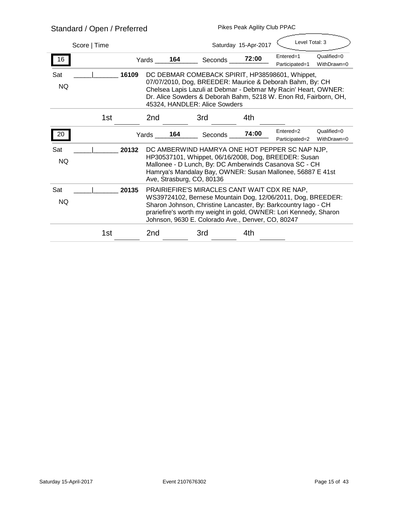# **Standard / Open / Preferred Pikes Peak Agility Club PPAC**

| Score   Time            |       |                                                                                                                                                                                                                                                                                                         | Saturday 15-Apr-2017 |                                                                                                                                                                                                                                                                                     |       | Level Total: 3              |                            |  |
|-------------------------|-------|---------------------------------------------------------------------------------------------------------------------------------------------------------------------------------------------------------------------------------------------------------------------------------------------------------|----------------------|-------------------------------------------------------------------------------------------------------------------------------------------------------------------------------------------------------------------------------------------------------------------------------------|-------|-----------------------------|----------------------------|--|
| 16                      |       | Yards                                                                                                                                                                                                                                                                                                   | 164                  | Seconds                                                                                                                                                                                                                                                                             | 72:00 | Entered=1<br>Participated=1 | Qualified=0<br>WithDrawn=0 |  |
| Sat<br><b>NQ</b>        | 16109 |                                                                                                                                                                                                                                                                                                         |                      | DC DEBMAR COMEBACK SPIRIT, HP38598601, Whippet,<br>07/07/2010, Dog, BREEDER: Maurice & Deborah Bahm, By: CH<br>Chelsea Lapis Lazuli at Debmar - Debmar My Racin' Heart, OWNER:<br>Dr. Alice Sowders & Deborah Bahm, 5218 W. Enon Rd, Fairborn, OH,<br>45324, HANDLER: Alice Sowders |       |                             |                            |  |
| 1 <sub>st</sub>         |       | 2nd                                                                                                                                                                                                                                                                                                     |                      | 3rd                                                                                                                                                                                                                                                                                 | 4th   |                             |                            |  |
| 20                      |       | Yards                                                                                                                                                                                                                                                                                                   | 164                  | Seconds                                                                                                                                                                                                                                                                             | 74:00 | Entered=2<br>Participated=2 | Qualified=0<br>WithDrawn=0 |  |
| <b>Sat</b><br><b>NQ</b> | 20132 |                                                                                                                                                                                                                                                                                                         |                      | DC AMBERWIND HAMRYA ONE HOT PEPPER SC NAP NJP,<br>HP30537101, Whippet, 06/16/2008, Dog, BREEDER: Susan<br>Mallonee - D Lunch, By: DC Amberwinds Casanova SC - CH<br>Hamrya's Mandalay Bay, OWNER: Susan Mallonee, 56887 E 41st<br>Ave, Strasburg, CO, 80136                         |       |                             |                            |  |
| Sat<br><b>NQ</b>        | 20135 | PRAIRIEFIRE'S MIRACLES CANT WAIT CDX RE NAP,<br>WS39724102, Bernese Mountain Dog, 12/06/2011, Dog, BREEDER:<br>Sharon Johnson, Christine Lancaster, By: Barkcountry lago - CH<br>prariefire's worth my weight in gold, OWNER: Lori Kennedy, Sharon<br>Johnson, 9630 E. Colorado Ave., Denver, CO, 80247 |                      |                                                                                                                                                                                                                                                                                     |       |                             |                            |  |
| 1st                     |       | 2nd                                                                                                                                                                                                                                                                                                     |                      | 3rd                                                                                                                                                                                                                                                                                 | 4th   |                             |                            |  |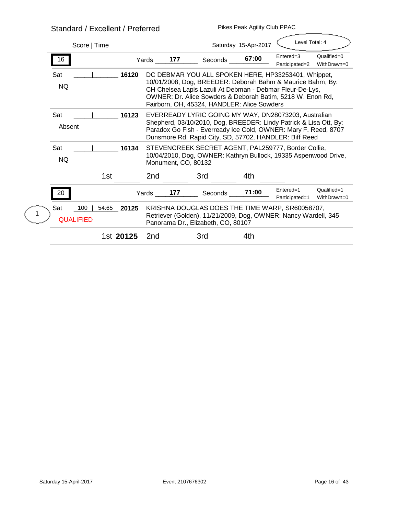## **Standard / Excellent / Preferred**

| <u>Jianualu / Lattilit / Fitilitu</u>                   |                                                                                                                                                                                                                                                                                            |         |                      |                             |                            |  |  |
|---------------------------------------------------------|--------------------------------------------------------------------------------------------------------------------------------------------------------------------------------------------------------------------------------------------------------------------------------------------|---------|----------------------|-----------------------------|----------------------------|--|--|
| Score   Time                                            |                                                                                                                                                                                                                                                                                            |         | Saturday 15-Apr-2017 | Level Total: 4              |                            |  |  |
| 16                                                      | 177<br>Yards                                                                                                                                                                                                                                                                               | Seconds | 67:00                | Entered=3<br>Participated=2 | Qualified=0<br>WithDrawn=0 |  |  |
| <b>Sat</b><br>16120<br><b>NQ</b>                        | DC DEBMAR YOU ALL SPOKEN HERE, HP33253401, Whippet,<br>10/01/2008, Dog, BREEDER: Deborah Bahm & Maurice Bahm, By:<br>CH Chelsea Lapis Lazuli At Debman - Debmar Fleur-De-Lys,<br>OWNER: Dr. Alice Sowders & Deborah Batim, 5218 W. Enon Rd,<br>Fairborn, OH, 45324, HANDLER: Alice Sowders |         |                      |                             |                            |  |  |
| Sat<br>16123<br><b>Absent</b>                           | EVERREADY LYRIC GOING MY WAY, DN28073203, Australian<br>Shepherd, 03/10/2010, Dog, BREEDER: Lindy Patrick & Lisa Ott, By:<br>Paradox Go Fish - Everready Ice Cold, OWNER: Mary F. Reed, 8707<br>Dunsmore Rd, Rapid City, SD, 57702, HANDLER: Biff Reed                                     |         |                      |                             |                            |  |  |
| <b>Sat</b><br>16134<br><b>NQ</b>                        | STEVENCREEK SECRET AGENT, PAL259777, Border Collie,<br>10/04/2010, Dog, OWNER: Kathryn Bullock, 19335 Aspenwood Drive,<br>Monument, CO, 80132                                                                                                                                              |         |                      |                             |                            |  |  |
| 1 <sub>st</sub>                                         | 2nd                                                                                                                                                                                                                                                                                        | 3rd     | 4th                  |                             |                            |  |  |
| 20                                                      | 177<br>Yards                                                                                                                                                                                                                                                                               | Seconds | 71:00                | Entered=1<br>Participated=1 | Qualified=1<br>WithDrawn=0 |  |  |
| 100<br><b>Sat</b><br>54:65<br>20125<br><b>QUALIFIED</b> | KRISHNA DOUGLAS DOES THE TIME WARP, SR60058707,<br>Retriever (Golden), 11/21/2009, Dog, OWNER: Nancy Wardell, 345<br>Panorama Dr., Elizabeth, CO, 80107                                                                                                                                    |         |                      |                             |                            |  |  |
| 1st 20125                                               | 2nd                                                                                                                                                                                                                                                                                        | 3rd     | 4th                  |                             |                            |  |  |
|                                                         |                                                                                                                                                                                                                                                                                            |         |                      |                             |                            |  |  |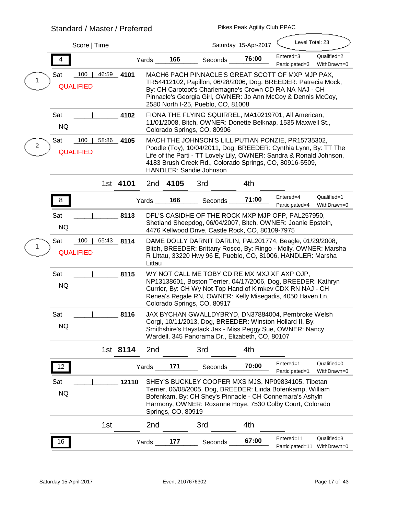## **Standard / Master / Preferred**

|   |                                       | Score   Time    |          |              |                           |                                                                                                                                                                                                                                                                                            | Saturday 15-Apr-2017 | Level Total: 23               |                            |
|---|---------------------------------------|-----------------|----------|--------------|---------------------------|--------------------------------------------------------------------------------------------------------------------------------------------------------------------------------------------------------------------------------------------------------------------------------------------|----------------------|-------------------------------|----------------------------|
|   | 4                                     |                 |          | Yards        | 166                       | <b>Seconds</b>                                                                                                                                                                                                                                                                             | 76:00                | Entered=3<br>Participated=3   | Qualified=2<br>WithDrawn=0 |
|   | 100<br><b>Sat</b><br><b>QUALIFIED</b> | 46:59           | 4101     |              |                           | MACH6 PACH PINNACLE'S GREAT SCOTT OF MXP MJP PAX,<br>TR54412102, Papillon, 06/28/2006, Dog, BREEDER: Patrecia Mock,<br>By: CH Carotoot's Charlemagne's Crown CD RA NA NAJ - CH<br>Pinnacle's Georgia Girl, OWNER: Jo Ann McCoy & Dennis McCoy,<br>2580 North I-25, Pueblo, CO, 81008       |                      |                               |                            |
|   | Sat<br><b>NQ</b>                      |                 | 4102     |              |                           | FIONA THE FLYING SQUIRREL, MA10219701, All American,<br>11/01/2008, Bitch, OWNER: Donette Belknap, 1535 Maxwell St.,<br>Colorado Springs, CO, 80906                                                                                                                                        |                      |                               |                            |
| 2 | 100<br>Sat<br><b>QUALIFIED</b>        | 58:86           | 4105     |              |                           | MACH THE JOHNSON'S LILLIPUTIAN PONZIE, PR15735302,<br>Poodle (Toy), 10/04/2011, Dog, BREEDER: Cynthia Lynn, By: TT The<br>Life of the Parti - TT Lovely Lily, OWNER: Sandra & Ronald Johnson,<br>4183 Brush Creek Rd., Colorado Springs, CO, 80916-5509,<br><b>HANDLER: Sandie Johnson</b> |                      |                               |                            |
|   |                                       |                 | 1st 4101 | 2nd          | 4105                      | 3rd                                                                                                                                                                                                                                                                                        | 4th                  |                               |                            |
|   | 8                                     |                 |          | Yards        | 166                       | <b>Seconds</b>                                                                                                                                                                                                                                                                             | 71:00                | Entered=4<br>Participated=4   | Qualified=1<br>WithDrawn=0 |
|   | Sat<br><b>NQ</b>                      |                 | 8113     |              |                           | DFL'S CASIDHE OF THE ROCK MXP MJP OFP, PAL257950,<br>Shetland Sheepdog, 06/04/2007, Bitch, OWNER: Joanie Epstein,<br>4476 Kellwood Drive, Castle Rock, CO, 80109-7975                                                                                                                      |                      |                               |                            |
|   | 100<br><b>Sat</b><br><b>QUALIFIED</b> | 65:43 8114      |          | Littau       |                           | DAME DOLLY DARNIT DARLIN, PAL201774, Beagle, 01/29/2008,<br>Bitch, BREEDER: Brittany Rosco, By: Ringo - Molly, OWNER: Marsha<br>R Littau, 33220 Hwy 96 E, Pueblo, CO, 81006, HANDLER: Marsha                                                                                               |                      |                               |                            |
|   | Sat<br><b>NQ</b>                      |                 | 8115     |              |                           | WY NOT CALL ME TOBY CD RE MX MXJ XF AXP OJP,<br>NP13138601, Boston Terrier, 04/17/2006, Dog, BREEDER: Kathryn<br>Currier, By: CH Wy Not Top Hand of Kimkev CDX RN NAJ - CH<br>Renea's Regale RN, OWNER: Kelly Misegadis, 4050 Haven Ln,<br>Colorado Springs, CO, 80917                     |                      |                               |                            |
|   | <b>Sat</b><br><b>NQ</b>               |                 | 8116     |              |                           | JAX BYCHAN GWALLDYBRYD, DN37884004, Pembroke Welsh<br>Corgi, 10/11/2013, Dog, BREEDER: Winston Hollard II, By:<br>Smithshire's Haystack Jax - Miss Peggy Sue, OWNER: Nancy<br>Wardell, 345 Panorama Dr., Elizabeth, CO, 80107                                                              |                      |                               |                            |
|   |                                       |                 | 1st 8114 | 2nd          |                           | 3rd                                                                                                                                                                                                                                                                                        | 4th                  |                               |                            |
|   | 12                                    |                 |          | Yards        | 171                       | <b>Seconds</b>                                                                                                                                                                                                                                                                             | 70:00                | Entered=1<br>Participated=1   | Qualified=0<br>WithDrawn=0 |
|   | <b>Sat</b><br><b>NQ</b>               |                 | 12110    |              | <b>Springs, CO, 80919</b> | SHEY'S BUCKLEY COOPER MXS MJS, NP09834105, Tibetan<br>Terrier, 06/08/2005, Dog, BREEDER: Linda Bofenkamp, William<br>Bofenkam, By: CH Shey's Pinnacle - CH Connemara's Ashyln<br>Harmony, OWNER: Roxanne Hoye, 7530 Colby Court, Colorado                                                  |                      |                               |                            |
|   |                                       | 1 <sub>st</sub> |          | 2nd          |                           | 3rd                                                                                                                                                                                                                                                                                        | 4th                  |                               |                            |
|   | 16                                    |                 |          | <b>Yards</b> | 177                       | Seconds                                                                                                                                                                                                                                                                                    | 67:00                | Entered=11<br>Participated=11 | Qualified=3<br>WithDrawn=0 |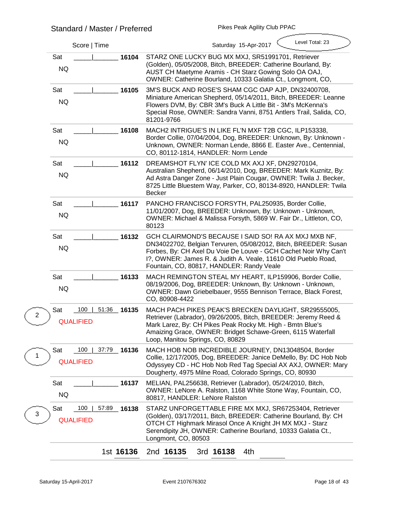| Score   Time                                                     | Level Total: 23<br>Saturday 15-Apr-2017                                                                                                                                                                                                                                                                   |
|------------------------------------------------------------------|-----------------------------------------------------------------------------------------------------------------------------------------------------------------------------------------------------------------------------------------------------------------------------------------------------------|
| Sat<br>16104<br><b>NQ</b>                                        | STARZ ONE LUCKY BUG MX MXJ, SR51991701, Retriever<br>(Golden), 05/05/2008, Bitch, BREEDER: Catherine Bourland, By:<br>AUST CH Maetyme Aramis - CH Starz Gowing Solo OA OAJ,<br>OWNER: Catherine Bourland, 10333 Galatia Ct., Longmont, CO,                                                                |
| <b>Sat</b><br>16105<br><b>NQ</b>                                 | 3M'S BUCK AND ROSE'S SHAM CGC OAP AJP, DN32400708,<br>Miniature American Shepherd, 05/14/2011, Bitch, BREEDER: Leanne<br>Flowers DVM, By: CBR 3M's Buck A Little Bit - 3M's McKenna's<br>Special Rose, OWNER: Sandra Vanni, 8751 Antlers Trail, Salida, CO,<br>81201-9766                                 |
| <b>Sat</b><br>16108<br><b>NQ</b>                                 | MACH2 INTRIGUE'S IN LIKE FL'N MXF T2B CGC, ILP153338,<br>Border Collie, 07/04/2004, Dog, BREEDER: Unknown, By: Unknown -<br>Unknown, OWNER: Norman Lende, 8866 E. Easter Ave., Centennial,<br>CO, 80112-1814, HANDLER: Norm Lende                                                                         |
| <b>Sat</b><br>16112<br><b>NQ</b>                                 | DREAMSHOT FLYN'ICE COLD MX AXJ XF, DN29270104,<br>Australian Shepherd, 06/14/2010, Dog, BREEDER: Mark Kuznitz, By:<br>Ad Astra Danger Zone - Just Plain Cougar, OWNER: Twila J. Becker,<br>8725 Little Bluestem Way, Parker, CO, 80134-8920, HANDLER: Twila<br><b>Becker</b>                              |
| <b>Sat</b><br>16117<br><b>NQ</b>                                 | PANCHO FRANCISCO FORSYTH, PAL250935, Border Collie,<br>11/01/2007, Dog, BREEDER: Unknown, By: Unknown - Unknown,<br>OWNER: Michael & Malissa Forsyth, 5869 W. Fair Dr., Littleton, CO,<br>80123                                                                                                           |
| Sat<br>16132<br><b>NQ</b>                                        | GCH CLAIRMOND'S BECAUSE I SAID SO! RA AX MXJ MXB NF,<br>DN34022702, Belgian Tervuren, 05/08/2012, Bitch, BREEDER: Susan<br>Forbes, By: CH Axel Du Voie De Louve - GCH Cachet Noir Why Can't<br>1?, OWNER: James R. & Judith A. Veale, 11610 Old Pueblo Road,<br>Fountain, CO, 80817, HANDLER: Randy Veale |
| Sat<br>16133<br><b>NQ</b>                                        | MACH REMINGTON STEAL MY HEART, ILP159906, Border Collie,<br>08/19/2006, Dog, BREEDER: Unknown, By: Unknown - Unknown,<br>OWNER: Dawn Griebelbauer, 9555 Bennison Terrace, Black Forest,<br>CO, 80908-4422                                                                                                 |
| 100<br>51:36<br>Sat<br>16135<br>$\mathbf{2}$<br><b>QUALIFIED</b> | MACH PACH PIKES PEAK'S BRECKEN DAYLIGHT, SR29555005,<br>Retriever (Labrador), 09/26/2005, Bitch, BREEDER: Jeremy Reed &<br>Mark Larez, By: CH Pikes Peak Rocky Mt. High - Bmtn Blue's<br>Amaizing Grace, OWNER: Bridget Schawe-Green, 6115 Waterfall<br>Loop, Manitou Springs, CO, 80829                  |
| 100<br>37:79 16136<br><b>Sat</b><br>1<br><b>QUALIFIED</b>        | MACH HOB NOB INCREDIBLE JOURNEY, DN13048504, Border<br>Collie, 12/17/2005, Dog, BREEDER: Janice DeMello, By: DC Hob Nob<br>Odyssyey CD - HC Hob Nob Red Tag Special AX AXJ, OWNER: Mary<br>Dougherty, 4975 Milne Road, Colorado Springs, CO, 80930                                                        |
| <b>Sat</b><br>16137<br><b>NQ</b>                                 | MELIAN, PAL256638, Retriever (Labrador), 05/24/2010, Bitch,<br>OWNER: LeNore A. Ralston, 1168 White Stone Way, Fountain, CO,<br>80817, HANDLER: LeNore Ralston                                                                                                                                            |
| 100<br><b>Sat</b><br>57:89<br>16138<br>3<br><b>QUALIFIED</b>     | STARZ UNFORGETTABLE FIRE MX MXJ, SR67253404, Retriever<br>(Golden), 03/17/2011, Bitch, BREEDER: Catherine Bourland, By: CH<br>OTCH CT Highmark Mirasol Once A Knight JH MX MXJ - Starz<br>Serendipity JH, OWNER: Catherine Bourland, 10333 Galatia Ct.,<br>Longmont, CO, 80503                            |
| 1st 16136                                                        | 2nd 16135<br>3rd 16138<br>4th                                                                                                                                                                                                                                                                             |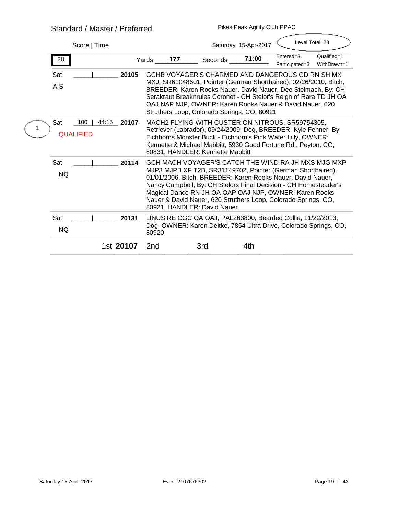## **Standard / Master / Preferred**

|                                       | Score   Time |           |       |     |                                             | Saturday 15-Apr-2017 | Level Total: 23                                                                                                                                                                                                                                                                                                                                                                   |                            |
|---------------------------------------|--------------|-----------|-------|-----|---------------------------------------------|----------------------|-----------------------------------------------------------------------------------------------------------------------------------------------------------------------------------------------------------------------------------------------------------------------------------------------------------------------------------------------------------------------------------|----------------------------|
| 20                                    |              |           | Yards | 177 | <b>Seconds</b>                              | 71:00                | Entered=3<br>Participated=3                                                                                                                                                                                                                                                                                                                                                       | Qualified=1<br>WithDrawn=1 |
| <b>Sat</b><br><b>AIS</b>              |              | 20105     |       |     | Struthers Loop, Colorado Springs, CO, 80921 |                      | <b>GCHB VOYAGER'S CHARMED AND DANGEROUS CD RN SH MX</b><br>MXJ, SR61048601, Pointer (German Shorthaired), 02/26/2010, Bitch,<br>BREEDER: Karen Rooks Nauer, David Nauer, Dee Stelmach, By: CH<br>Serakraut Breaknrules Coronet - CH Stelor's Reign of Rara TD JH OA<br>OAJ NAP NJP, OWNER: Karen Rooks Nauer & David Nauer, 620                                                   |                            |
| <b>Sat</b><br>100<br><b>QUALIFIED</b> | 44:15        | 20107     |       |     | 80831, HANDLER: Kennette Mabbitt            |                      | MACH2 FLYING WITH CUSTER ON NITROUS, SR59754305,<br>Retriever (Labrador), 09/24/2009, Dog, BREEDER: Kyle Fenner, By:<br>Eichhorns Monster Buck - Eichhorn's Pink Water Lilly, OWNER:<br>Kennette & Michael Mabbitt, 5930 Good Fortune Rd., Peyton, CO,                                                                                                                            |                            |
| <b>Sat</b><br><b>NQ</b>               |              | 20114     |       |     | 80921, HANDLER: David Nauer                 |                      | GCH MACH VOYAGER'S CATCH THE WIND RA JH MXS MJG MXP<br>MJP3 MJPB XF T2B, SR31149702, Pointer (German Shorthaired),<br>01/01/2006, Bitch, BREEDER: Karen Rooks Nauer, David Nauer,<br>Nancy Campbell, By: CH Stelors Final Decision - CH Homesteader's<br>Magical Dance RN JH OA OAP OAJ NJP, OWNER: Karen Rooks<br>Nauer & David Nauer, 620 Struthers Loop, Colorado Springs, CO, |                            |
| <b>Sat</b><br><b>NQ</b>               |              | 20131     | 80920 |     |                                             |                      | LINUS RE CGC OA OAJ, PAL263800, Bearded Collie, 11/22/2013,<br>Dog, OWNER: Karen Deitke, 7854 Ultra Drive, Colorado Springs, CO,                                                                                                                                                                                                                                                  |                            |
|                                       |              | 1st 20107 | 2nd   |     | 3rd                                         | 4th                  |                                                                                                                                                                                                                                                                                                                                                                                   |                            |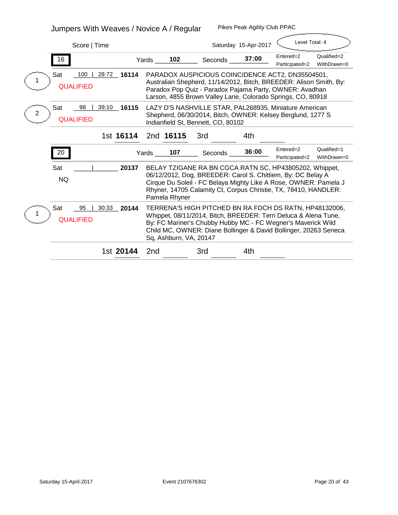# **Jumpers With Weaves / Novice A / Regular**

| Score   Time                                                |                                                                                                                                                                                                                                                                                         |                | Saturday 15-Apr-2017 | Level Total: 4              |                            |
|-------------------------------------------------------------|-----------------------------------------------------------------------------------------------------------------------------------------------------------------------------------------------------------------------------------------------------------------------------------------|----------------|----------------------|-----------------------------|----------------------------|
| 16                                                          | 102<br>Yards                                                                                                                                                                                                                                                                            | <b>Seconds</b> | 37:00                | Entered=2<br>Participated=2 | Qualified=2<br>WithDrawn=0 |
| 100<br>28:72<br>Sat<br>16114<br><b>QUALIFIED</b>            | PARADOX AUSPICIOUS COINCIDENCE ACT2, DN35504501,<br>Australian Shepherd, 11/14/2012, Bitch, BREEDER: Alison Smith, By:<br>Paradox Pop Quiz - Paradox Pajama Party, OWNER: Avadhan<br>Larson, 4855 Brown Valley Lane, Colorado Springs, CO, 80918                                        |                |                      |                             |                            |
| <b>Sat</b><br>39:10<br>98<br>16115<br>2<br><b>QUALIFIED</b> | LAZY D'S NASHVILLE STAR, PAL268935, Miniature American<br>Shepherd, 06/30/2014, Bitch, OWNER: Kelsey Berglund, 1277 S<br>Indianfield St, Bennett, CO, 80102                                                                                                                             |                |                      |                             |                            |
| 1st 16114                                                   | 2nd 16115                                                                                                                                                                                                                                                                               | 3rd            | 4th                  |                             |                            |
| 20                                                          | 107<br>Yards                                                                                                                                                                                                                                                                            | <b>Seconds</b> | 36:00                | Entered=2<br>Participated=2 | Qualified=1<br>WithDrawn=0 |
| 20137<br><b>Sat</b><br><b>NQ</b>                            | BELAY TZIGANE RA BN CGCA RATN SC, HP43805202, Whippet,<br>06/12/2012, Dog, BREEDER: Carol S. Chittiem, By: DC Belay A<br>Cirque Du Soleil - FC Belaya Mighty Like A Rose, OWNER: Pamela J<br>Rhyner, 14705 Calamity Ct, Corpus Christie, TX, 78410, HANDLER:<br><b>Pamela Rhyner</b>    |                |                      |                             |                            |
| <b>Sat</b><br>30:33<br>95<br>20144<br><b>QUALIFIED</b>      | TERRENA'S HIGH PITCHED BN RA FDCH DS RATN, HP48132006,<br>Whippet, 08/11/2014, Bitch, BREEDER: Terri Deluca & Alena Tune,<br>By: FC Mariner's Chubby Hubby MC - FC Wegner's Maverick Wild<br>Child MC, OWNER: Diane Bollinger & David Bollinger, 20263 Seneca<br>Sq, Ashburn, VA, 20147 |                |                      |                             |                            |
| 1st 20144                                                   | 2nd                                                                                                                                                                                                                                                                                     | 3rd            | 4th                  |                             |                            |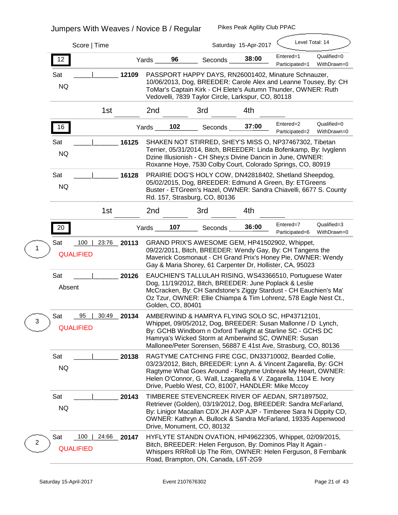| Score   Time                                        |             |        |                                                                                                                                                                                                                        |                                                                                                                                                                                                                                                                                                                      | Saturday 15-Apr-2017 | Level Total: 14             |                            |  |  |  |
|-----------------------------------------------------|-------------|--------|------------------------------------------------------------------------------------------------------------------------------------------------------------------------------------------------------------------------|----------------------------------------------------------------------------------------------------------------------------------------------------------------------------------------------------------------------------------------------------------------------------------------------------------------------|----------------------|-----------------------------|----------------------------|--|--|--|
| 12                                                  |             | Yards_ | 96                                                                                                                                                                                                                     | <b>Seconds</b>                                                                                                                                                                                                                                                                                                       | 38:00                | Entered=1<br>Participated=1 | Qualified=0<br>WithDrawn=0 |  |  |  |
| <b>Sat</b><br><b>NQ</b>                             | 12109       |        |                                                                                                                                                                                                                        | PASSPORT HAPPY DAYS, RN26001402, Minature Schnauzer,<br>10/06/2013, Dog, BREEDER: Carole Alex and Leanne Tousey, By: CH<br>ToMar's Captain Kirk - CH Elete's Autumn Thunder, OWNER: Ruth<br>Vedovelli, 7839 Taylor Circle, Larkspur, CO, 80118                                                                       |                      |                             |                            |  |  |  |
| 1 <sub>st</sub>                                     |             | 2nd    |                                                                                                                                                                                                                        | 3rd                                                                                                                                                                                                                                                                                                                  | 4th                  |                             |                            |  |  |  |
| 16                                                  |             | Yards  | 102                                                                                                                                                                                                                    | Seconds                                                                                                                                                                                                                                                                                                              | 37:00                | Entered=2<br>Participated=2 | Qualified=0<br>WithDrawn=0 |  |  |  |
| <b>Sat</b><br><b>NQ</b>                             | 16125       |        |                                                                                                                                                                                                                        | SHAKEN NOT STIRRED, SHEY'S MISS O, NP37467302, Tibetan<br>Terrier, 05/31/2014, Bitch, BREEDER: Linda Bofenkamp, By: Ivyglenn<br>Dzine Illusionish - CH Shey; s Divine Dancin in June, OWNER:<br>Roxanne Hoye, 7530 Colby Court, Colorado Springs, CO, 80919                                                          |                      |                             |                            |  |  |  |
| Sat<br><b>NQ</b>                                    | 16128       |        | PRAIRIE DOG'S HOLY COW, DN42818402, Shetland Sheepdog,<br>05/02/2015, Dog, BREEDER: Edmund A Green, By: ETGreens<br>Buster - ETGreen's Hazel, OWNER: Sandra Chiavelli, 6677 S. County<br>Rd. 157, Strasburg, CO, 80136 |                                                                                                                                                                                                                                                                                                                      |                      |                             |                            |  |  |  |
| 1st                                                 |             | 2nd    |                                                                                                                                                                                                                        | 3rd                                                                                                                                                                                                                                                                                                                  | 4th                  |                             |                            |  |  |  |
| 20                                                  |             | Yards  | 107                                                                                                                                                                                                                    | <b>Seconds</b>                                                                                                                                                                                                                                                                                                       | 36:00                | Entered=7<br>Participated=6 | Qualified=3<br>WithDrawn=0 |  |  |  |
| Sat<br>100<br><b>QUALIFIED</b>                      | 23:76 20113 |        |                                                                                                                                                                                                                        | GRAND PRIX'S AWESOME GEM, HP41502902, Whippet,<br>09/22/2011, Bitch, BREEDER: Wendy Gay, By: CH Tangens the<br>Maverick Cosmonaut - CH Grand Prix's Honey Pie, OWNER: Wendy<br>Gay & Maria Shorey, 61 Carpenter Dr, Hollister, CA, 95023                                                                             |                      |                             |                            |  |  |  |
| Sat<br><b>Absent</b>                                | 20126       |        | Golden, CO, 80401                                                                                                                                                                                                      | EAUCHIEN'S TALLULAH RISING, WS43366510, Portuguese Water<br>Dog, 11/19/2012, Bitch, BREEDER: June Poplack & Leslie<br>McCracken, By: CH Sandstone's Ziggy Stardust - CH Eauchien's Ma'<br>Oz Tzur, OWNER: Ellie Chiampa & Tim Lohrenz, 578 Eagle Nest Ct.,                                                           |                      |                             |                            |  |  |  |
| 95<br>30:49<br><b>Sat</b><br>3<br><b>QUALIFIED</b>  | 20134       |        |                                                                                                                                                                                                                        | AMBERWIND & HAMRYA FLYING SOLO SC, HP43712101,<br>Whippet, 09/05/2012, Dog, BREEDER: Susan Mallonne / D Lynch,<br>By: GCHB Windborn n Oxford Twilight at Starline SC - GCHS DC<br>Hamrya's Wicked Storm at Amberwind SC, OWNER: Susan<br>Mallonee/Peter Sorensen, 56887 E 41st Ave, Strasburg, CO, 80136             |                      |                             |                            |  |  |  |
| Sat<br><b>NQ</b>                                    | 20138       |        |                                                                                                                                                                                                                        | RAGTYME CATCHING FIRE CGC, DN33710002, Bearded Collie,<br>03/23/2012, Bitch, BREEDER: Lynn A. & Vincent Zagarella, By: GCH<br>Ragtyme What Goes Around - Ragtyme Unbreak My Heart, OWNER:<br>Helen O'Connor, G. Wall, Lzagarella & V. Zagarella, 1104 E. Ivory<br>Drive, Pueblo West, CO, 81007, HANDLER: Mike Mccoy |                      |                             |                            |  |  |  |
| Sat<br><b>NQ</b>                                    | 20143       |        |                                                                                                                                                                                                                        | TIMBEREE STEVENCREEK RIVER OF AEDAN, SR71897502,<br>Retriever (Golden), 03/19/2012, Dog, BREEDER: Sandra McFarland,<br>By: Linigor Macallan CDX JH AXP AJP - Timberee Sara N Dippity CD,<br>OWNER: Kathryn A. Bullock & Sandra McFarland, 19335 Aspenwood<br>Drive, Monument, CO, 80132                              |                      |                             |                            |  |  |  |
| <b>Sat</b><br>100<br>24:66<br>2<br><b>QUALIFIED</b> | 20147       |        |                                                                                                                                                                                                                        | HYFLYTE STANDN OVATION, HP49622305, Whippet, 02/09/2015,<br>Bitch, BREEDER: Helen Ferguson, By: Dominos Play It Again -<br>Whispers RRRoll Up The Rim, OWNER: Helen Ferguson, 8 Fernbank<br>Road, Brampton, ON, Canada, L6T-2G9                                                                                      |                      |                             |                            |  |  |  |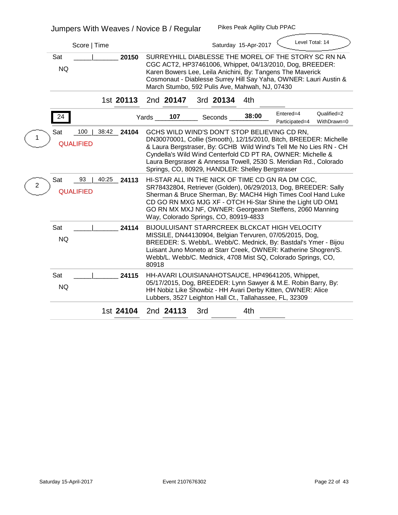|              | Score   Time                                            | Level Total: 14<br>Saturday 15-Apr-2017                                                                                                                                                                                                                                                                                                                                        |
|--------------|---------------------------------------------------------|--------------------------------------------------------------------------------------------------------------------------------------------------------------------------------------------------------------------------------------------------------------------------------------------------------------------------------------------------------------------------------|
|              | Sat<br>20150<br><b>NQ</b>                               | SURREYHILL DIABLESSE THE MOREL OF THE STORY SC RN NA<br>CGC ACT2, HP37461006, Whippet, 04/13/2010, Dog, BREEDER:<br>Karen Bowers Lee, Leila Anichini, By: Tangens The Maverick<br>Cosmonaut - Diablesse Surrey Hill Say Yaha, OWNER: Lauri Austin &<br>March Stumbo, 592 Pulis Ave, Mahwah, NJ, 07430                                                                          |
|              | 1st 20113                                               | 2nd 20147<br>3rd 20134<br>4th                                                                                                                                                                                                                                                                                                                                                  |
|              | 24                                                      | Qualified=2<br>Entered=4<br>38:00<br>107<br>Yards<br><b>Seconds</b><br>Participated=4<br>WithDrawn=0                                                                                                                                                                                                                                                                           |
|              | 100<br><b>Sat</b><br>38:42<br>24104<br><b>QUALIFIED</b> | GCHS WILD WIND'S DON'T STOP BELIEVING CD RN,<br>DN30070001, Collie (Smooth), 12/15/2010, Bitch, BREEDER: Michelle<br>& Laura Bergstraser, By: GCHB Wild Wind's Tell Me No Lies RN - CH<br>Cyndella's Wild Wind Centerfold CD PT RA, OWNER: Michelle &<br>Laura Bergsraser & Annessa Towell, 2530 S. Meridian Rd., Colorado<br>Springs, CO, 80929, HANDLER: Shelley Bergstraser |
| $\mathbf{2}$ | <b>Sat</b><br>93<br>40:25<br>24113<br><b>QUALIFIED</b>  | HI-STAR ALL IN THE NICK OF TIME CD GN RA DM CGC,<br>SR78432804, Retriever (Golden), 06/29/2013, Dog, BREEDER: Sally<br>Sherman & Bruce Sherman, By: MACH4 High Times Cool Hand Luke<br>CD GO RN MXG MJG XF - OTCH Hi-Star Shine the Light UD OM1<br>GO RN MX MXJ NF, OWNER: Georgeann Steffens, 2060 Manning<br>Way, Colorado Springs, CO, 80919-4833                          |
|              | <b>Sat</b><br>24114<br><b>NQ</b>                        | <b>BIJOULUISANT STARRCREEK BLCKCAT HIGH VELOCITY</b><br>MISSILE, DN44130904, Belgian Tervuren, 07/05/2015, Dog,<br>BREEDER: S. Webb/L. Webb/C. Mednick, By: Bastdal's Ymer - Bijou<br>Luisant Juno Moneto at Starr Creek, OWNER: Katherine Shogren/S.<br>Webb/L. Webb/C. Mednick, 4708 Mist SQ, Colorado Springs, CO,<br>80918                                                 |
|              | <b>Sat</b><br>24115<br><b>NQ</b>                        | HH-AVARI LOUISIANAHOTSAUCE, HP49641205, Whippet,<br>05/17/2015, Dog, BREEDER: Lynn Sawyer & M.E. Robin Barry, By:<br>HH Nobiz Like Showbiz - HH Avari Derby Kitten, OWNER: Alice<br>Lubbers, 3527 Leighton Hall Ct., Tallahassee, FL, 32309                                                                                                                                    |
|              | 1st 24104                                               | 2nd 24113<br>3rd<br>4th                                                                                                                                                                                                                                                                                                                                                        |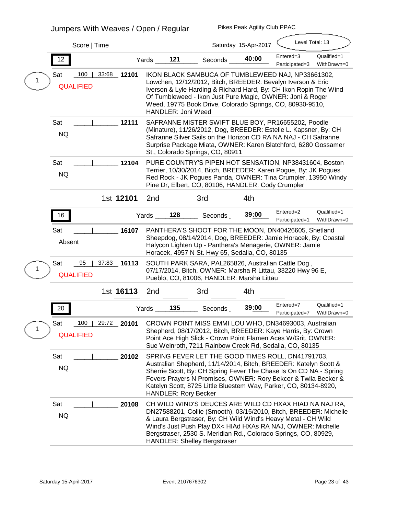# **Jumpers With Weaves / Open / Regular**

|   | Score   Time                          |           |           |                                                                                                                                                                                                                                                                                                                                              |                             |                                     | Saturday 15-Apr-2017                               | Level Total: 13                                                                                                                                                                                                                                                                                                                  |                            |  |  |
|---|---------------------------------------|-----------|-----------|----------------------------------------------------------------------------------------------------------------------------------------------------------------------------------------------------------------------------------------------------------------------------------------------------------------------------------------------|-----------------------------|-------------------------------------|----------------------------------------------------|----------------------------------------------------------------------------------------------------------------------------------------------------------------------------------------------------------------------------------------------------------------------------------------------------------------------------------|----------------------------|--|--|
|   | 12                                    |           |           | Yards                                                                                                                                                                                                                                                                                                                                        | 121                         | <b>Seconds</b>                      | 40:00                                              | Entered=3<br>Participated=3                                                                                                                                                                                                                                                                                                      | Qualified=1<br>WithDrawn=0 |  |  |
|   | 100<br><b>Sat</b><br><b>QUALIFIED</b> | 33:68     | 12101     | IKON BLACK SAMBUCA OF TUMBLEWEED NAJ, NP33661302,<br>Lowchen, 12/12/2012, Bitch, BREEDER: Bevalyn Iverson & Eric<br>Iverson & Lyle Harding & Richard Hard, By: CH Ikon Ropin The Wind<br>Of Tumbleweed - Ikon Just Pure Magic, OWNER: Joni & Roger<br>Weed, 19775 Book Drive, Colorado Springs, CO, 80930-9510,<br><b>HANDLER: Joni Weed</b> |                             |                                     |                                                    |                                                                                                                                                                                                                                                                                                                                  |                            |  |  |
|   | Sat<br><b>NQ</b>                      |           | 12111     |                                                                                                                                                                                                                                                                                                                                              |                             | St., Colorado Springs, CO, 80911    |                                                    | SAFRANNE MISTER SWIFT BLUE BOY, PR16655202, Poodle<br>(Minature), 11/26/2012, Dog, BREEDER: Estelle L. Kapsner, By: CH<br>Safranne Silver Sails on the Horizon CD RA NA NAJ - CH Safranne<br>Surprise Package Miata, OWNER: Karen Blatchford, 6280 Gossamer                                                                      |                            |  |  |
|   | Sat<br><b>NQ</b>                      |           | 12104     |                                                                                                                                                                                                                                                                                                                                              |                             |                                     | Pine Dr, Elbert, CO, 80106, HANDLER: Cody Crumpler | PURE COUNTRY'S PIPEN HOT SENSATION, NP38431604, Boston<br>Terrier, 10/30/2014, Bitch, BREEDER: Karen Pogue, By: JK Pogues<br>Red Rock - JK Pogues Panda, OWNER: Tina Crumpler, 13950 Windy                                                                                                                                       |                            |  |  |
|   |                                       | 1st 12101 |           | 2nd                                                                                                                                                                                                                                                                                                                                          |                             | 3rd                                 | 4th                                                |                                                                                                                                                                                                                                                                                                                                  |                            |  |  |
|   | 16                                    |           |           | Yards                                                                                                                                                                                                                                                                                                                                        | 128                         | <b>Seconds</b>                      | 39:00                                              | Entered=2<br>Participated=1                                                                                                                                                                                                                                                                                                      | Qualified=1<br>WithDrawn=0 |  |  |
|   | <b>Sat</b><br><b>Absent</b>           |           | 16107     |                                                                                                                                                                                                                                                                                                                                              |                             |                                     | Horacek, 4957 N St. Hwy 65, Sedalia, CO, 80135     | PANTHERA'S SHOOT FOR THE MOON, DN40426605, Shetland<br>Sheepdog, 08/14/2014, Dog, BREEDER: Jamie Horacek, By: Coastal<br>Halycon Lighten Up - Panthera's Menagerie, OWNER: Jamie                                                                                                                                                 |                            |  |  |
|   | <b>Sat</b><br>95<br><b>QUALIFIED</b>  | 37:83     | $\_16113$ |                                                                                                                                                                                                                                                                                                                                              |                             |                                     | Pueblo, CO, 81006, HANDLER: Marsha Littau          | SOUTH PARK SARA, PAL265826, Australian Cattle Dog,<br>07/17/2014, Bitch, OWNER: Marsha R Littau, 33220 Hwy 96 E,                                                                                                                                                                                                                 |                            |  |  |
|   |                                       | 1st 16113 |           | 2nd                                                                                                                                                                                                                                                                                                                                          |                             | 3rd                                 | 4th                                                |                                                                                                                                                                                                                                                                                                                                  |                            |  |  |
|   | 20                                    |           | Yards     |                                                                                                                                                                                                                                                                                                                                              | 135                         | <b>Seconds</b>                      | 39:00                                              | Entered=7<br>Participated=7                                                                                                                                                                                                                                                                                                      | Qualified=1<br>WithDrawn=0 |  |  |
| 1 | 100<br><b>Sat</b><br><b>QUALIFIED</b> | 29:72     | 20101     |                                                                                                                                                                                                                                                                                                                                              |                             |                                     |                                                    | CROWN POINT MISS EMMI LOU WHO, DN34693003, Australian<br>Shepherd, 08/17/2012, Bitch, BREEDER: Kaye Harris, By: Crown<br>Point Ace High Slick - Crown Point Flamen Aces W/Grit, OWNER:<br>Sue Weinroth, 7211 Rainbow Creek Rd, Sedalia, CO, 80135                                                                                |                            |  |  |
|   | <b>Sat</b><br><b>NQ</b>               |           | 20102     |                                                                                                                                                                                                                                                                                                                                              | <b>HANDLER: Rory Becker</b> |                                     |                                                    | SPRING FEVER LET THE GOOD TIMES ROLL, DN41791703,<br>Australian Shepherd, 11/14/2014, Bitch, BREEDER: Katelyn Scott &<br>Sherrie Scott, By: CH Spring Fever The Chase Is On CD NA - Spring<br>Fevers Prayers N Promises, OWNER: Rory Bekcer & Twila Becker &<br>Katelyn Scott, 8725 Little Bluestem Way, Parker, CO, 80134-8920, |                            |  |  |
|   | Sat<br><b>NQ</b>                      |           | 20108     |                                                                                                                                                                                                                                                                                                                                              |                             | <b>HANDLER: Shelley Bergstraser</b> |                                                    | CH WILD WIND'S DEUCES ARE WILD CD HXAX HIAD NA NAJ RA,<br>DN27588201, Collie (Smooth), 03/15/2010, Bitch, BREEDER: Michelle<br>& Laura Bergstraser, By: CH Wild Wind's Heavy Metal - CH Wild<br>Wind's Just Push Play DX< HIAd HXAs RA NAJ, OWNER: Michelle<br>Bergstraser, 2530 S. Meridian Rd., Colorado Springs, CO, 80929,   |                            |  |  |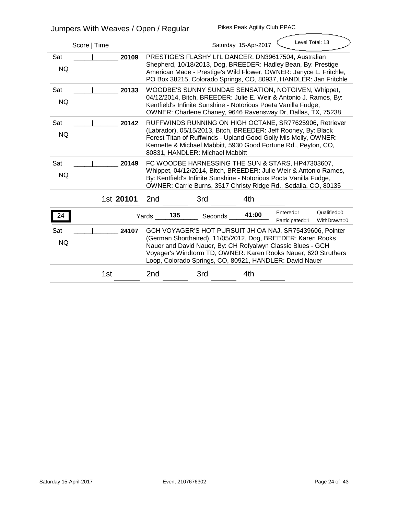| Score   Time                     |                 |                                                                                                                                                                                                                                                                                                                     | Saturday 15-Apr-2017 | Level Total: 13             |                            |  |  |  |  |
|----------------------------------|-----------------|---------------------------------------------------------------------------------------------------------------------------------------------------------------------------------------------------------------------------------------------------------------------------------------------------------------------|----------------------|-----------------------------|----------------------------|--|--|--|--|
| <b>Sat</b><br>20109<br><b>NQ</b> |                 | PRESTIGE'S FLASHY LI'L DANCER, DN39617504, Australian<br>Shepherd, 10/18/2013, Dog, BREEDER: Hadley Bean, By: Prestige<br>American Made - Prestige's Wild Flower, OWNER: Janyce L. Fritchle,<br>PO Box 38215, Colorado Springs, CO, 80937, HANDLER: Jan Fritchle                                                    |                      |                             |                            |  |  |  |  |
| <b>Sat</b><br>20133<br><b>NQ</b> |                 | <b>WOODBE'S SUNNY SUNDAE SENSATION, NOTGIVEN, Whippet,</b><br>04/12/2014, Bitch, BREEDER: Julie E. Weir & Antonio J. Ramos, By:<br>Kentfield's Infinite Sunshine - Notorious Poeta Vanilla Fudge,<br>OWNER: Charlene Chaney, 9646 Ravensway Dr, Dallas, TX, 75238                                                   |                      |                             |                            |  |  |  |  |
| 20142<br><b>Sat</b><br><b>NQ</b> |                 | <b>RUFFWINDS RUNNING ON HIGH OCTANE, SR77625906, Retriever</b><br>(Labrador), 05/15/2013, Bitch, BREEDER: Jeff Rooney, By: Black<br>Forest Titan of Ruffwinds - Upland Good Golly Mis Molly, OWNER:<br>Kennette & Michael Mabbitt, 5930 Good Fortune Rd., Peyton, CO,<br>80831, HANDLER: Michael Mabbitt            |                      |                             |                            |  |  |  |  |
| <b>Sat</b><br>20149<br><b>NQ</b> |                 | FC WOODBE HARNESSING THE SUN & STARS, HP47303607,<br>Whippet, 04/12/2014, Bitch, BREEDER: Julie Weir & Antonio Rames,<br>By: Kentfield's Infinite Sunshine - Notorious Pocta Vanilla Fudge,<br>OWNER: Carrie Burns, 3517 Christy Ridge Rd., Sedalia, CO, 80135                                                      |                      |                             |                            |  |  |  |  |
| 1st 20101                        | 2 <sub>nd</sub> | 3rd                                                                                                                                                                                                                                                                                                                 | 4th                  |                             |                            |  |  |  |  |
| 24                               | 135<br>Yards    | <b>Seconds</b>                                                                                                                                                                                                                                                                                                      | 41:00                | Entered=1<br>Participated=1 | Qualified=0<br>WithDrawn=0 |  |  |  |  |
| <b>Sat</b><br>24107<br><b>NQ</b> |                 | GCH VOYAGER'S HOT PURSUIT JH OA NAJ, SR75439606, Pointer<br>(German Shorthaired), 11/05/2012, Dog, BREEDER: Karen Rooks<br>Nauer and David Nauer, By: CH Rofyalwyn Classic Blues - GCH<br>Voyager's Windtorm TD, OWNER: Karen Rooks Nauer, 620 Struthers<br>Loop, Colorado Springs, CO, 80921, HANDLER: David Nauer |                      |                             |                            |  |  |  |  |
| 1st                              | 2nd             | 3rd                                                                                                                                                                                                                                                                                                                 | 4th                  |                             |                            |  |  |  |  |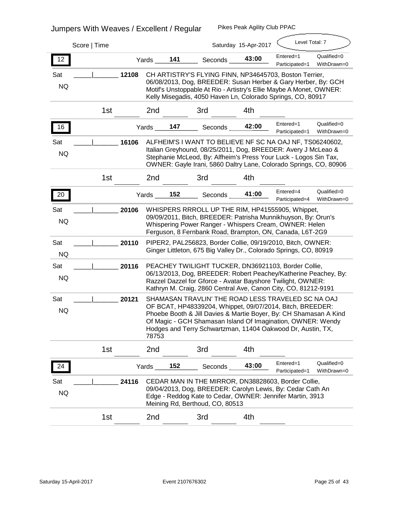# **Jumpers With Weaves / Excellent / Regular**

|                         |                 |       |       |     |                                                                                                                                                                                                                                                                                                                    |                      | Level Total: 7              |                            |
|-------------------------|-----------------|-------|-------|-----|--------------------------------------------------------------------------------------------------------------------------------------------------------------------------------------------------------------------------------------------------------------------------------------------------------------------|----------------------|-----------------------------|----------------------------|
|                         | Score   Time    |       |       |     |                                                                                                                                                                                                                                                                                                                    | Saturday 15-Apr-2017 |                             |                            |
| 12                      |                 |       | Yards | 141 | <b>Seconds</b>                                                                                                                                                                                                                                                                                                     | 43:00                | Entered=1<br>Participated=1 | Qualified=0<br>WithDrawn=0 |
| Sat<br><b>NQ</b>        |                 | 12108 |       |     | CH ARTISTRY'S FLYING FINN, NP34645703, Boston Terrier,<br>06/08/2013, Dog, BREEDER: Susan Herber & Gary Herber, By: GCH<br>Motif's Unstoppable At Rio - Artistry's Ellie Maybe A Monet, OWNER:<br>Kelly Misegadis, 4050 Haven Ln, Colorado Springs, CO, 80917                                                      |                      |                             |                            |
|                         | 1st             |       | 2nd   |     | 3rd                                                                                                                                                                                                                                                                                                                | 4th                  |                             |                            |
| 16                      |                 |       | Yards | 147 | Seconds                                                                                                                                                                                                                                                                                                            | 42:00                | Entered=1<br>Participated=1 | Qualified=0<br>WithDrawn=0 |
| Sat<br><b>NQ</b>        |                 | 16106 |       |     | ALFHEIM'S I WANT TO BELIEVE NF SC NA OAJ NF, TS06240602,<br>Italian Greyhound, 08/25/2011, Dog, BREEDER: Avery J McLeao &<br>Stephanie McLeod, By: Alfheim's Press Your Luck - Logos Sin Tax,<br>OWNER: Gayle Irani, 5860 Daltry Lane, Colorado Springs, CO, 80906                                                 |                      |                             |                            |
|                         | 1 <sub>st</sub> |       | 2nd   |     | 3rd                                                                                                                                                                                                                                                                                                                | 4th                  |                             |                            |
| 20                      |                 |       | Yards | 152 | <b>Seconds</b>                                                                                                                                                                                                                                                                                                     | 41:00                | Entered=4<br>Participated=4 | Qualified=0<br>WithDrawn=0 |
| Sat<br><b>NQ</b>        |                 | 20106 |       |     | WHISPERS RRROLL UP THE RIM, HP41555905, Whippet,<br>09/09/2011, Bitch, BREEDER: Patrisha Munnikhuyson, By: Orun's<br>Whispering Power Ranger - Whispers Cream, OWNER: Helen<br>Ferguson, 8 Fernbank Road, Brampton, ON, Canada, L6T-2G9                                                                            |                      |                             |                            |
| <b>Sat</b><br><b>NQ</b> |                 | 20110 |       |     | PIPER2, PAL256823, Border Collie, 09/19/2010, Bitch, OWNER:<br>Ginger Littleton, 675 Big Valley Dr., Colorado Springs, CO, 80919                                                                                                                                                                                   |                      |                             |                            |
| Sat<br><b>NQ</b>        |                 | 20116 |       |     | PEACHEY TWILIGHT TUCKER, DN36921103, Border Collie,<br>06/13/2013, Dog, BREEDER: Robert Peachey/Katherine Peachey, By:<br>Razzel Dazzel for Gforce - Avatar Bayshore Twilight, OWNER:<br>Kathryn M. Craig, 2860 Central Ave, Canon City, CO, 81212-9191                                                            |                      |                             |                            |
| <b>Sat</b><br><b>NQ</b> |                 | 20121 | 78753 |     | SHAMASAN TRAVLIN' THE ROAD LESS TRAVELED SC NA OAJ<br>OF BCAT, HP48339204, Whippet, 09/07/2014, Bitch, BREEDER:<br>Phoebe Booth & Jill Davies & Martie Boyer, By: CH Shamasan A Kind<br>Of Magic - GCH Shamasan Island Of Imagination, OWNER: Wendy<br>Hodges and Terry Schwartzman, 11404 Oakwood Dr, Austin, TX, |                      |                             |                            |
|                         | 1st             |       | 2nd   |     | 3rd                                                                                                                                                                                                                                                                                                                | 4th                  |                             |                            |
| 24                      |                 |       | Yards | 152 | <b>Seconds</b>                                                                                                                                                                                                                                                                                                     | 43:00                | Entered=1<br>Participated=1 | Qualified=0<br>WithDrawn=0 |
| Sat<br><b>NQ</b>        |                 | 24116 |       |     | CEDAR MAN IN THE MIRROR, DN38828603, Border Collie,<br>09/04/2013, Dog, BREEDER: Carolyn Lewis, By: Cedar Cath An<br>Edge - Reddog Kate to Cedar, OWNER: Jennifer Martin, 3913<br>Meining Rd, Berthoud, CO, 80513                                                                                                  |                      |                             |                            |
|                         | 1st             |       | 2nd   |     | 3rd                                                                                                                                                                                                                                                                                                                | 4th                  |                             |                            |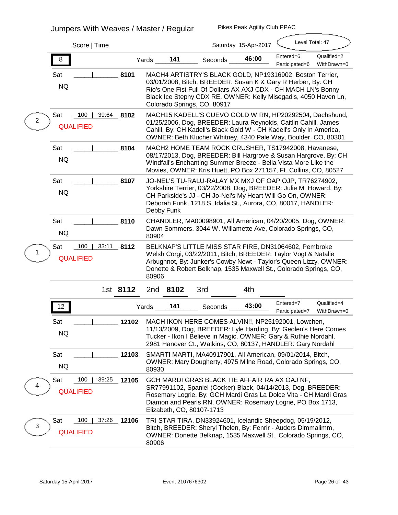# **Jumpers With Weaves / Master / Regular**

|                         | Score   Time                     |          |       |                   |                                                                                                                                                                                                                                                                                             | Saturday 15-Apr-2017 | Level Total: 47             |                            |
|-------------------------|----------------------------------|----------|-------|-------------------|---------------------------------------------------------------------------------------------------------------------------------------------------------------------------------------------------------------------------------------------------------------------------------------------|----------------------|-----------------------------|----------------------------|
| 8                       |                                  |          | Yards | 141               | Seconds                                                                                                                                                                                                                                                                                     | 46:00                | Entered=6<br>Participated=6 | Qualified=2<br>WithDrawn=0 |
| <b>Sat</b><br><b>NQ</b> |                                  | 8101     |       |                   | MACH4 ARTISTRY'S BLACK GOLD, NP19316902, Boston Terrier,<br>03/01/2008, Bitch, BREEDER: Susan K & Gary R Herber, By: CH<br>Rio's One Fist Full Of Dollars AX AXJ CDX - CH MACH LN's Bonny<br>Black Ice Stephy CDX RE, OWNER: Kelly Misegadis, 4050 Haven Ln,<br>Colorado Springs, CO, 80917 |                      |                             |                            |
| Sat<br>$\mathbf{2}$     | 100<br>39:64<br><b>QUALIFIED</b> | 8102     |       |                   | MACH15 KADELL'S CUEVO GOLD W RN, HP20292504, Dachshund,<br>01/25/2006, Dog, BREEDER: Laura Reynolds, Caitlin Cahill, James<br>Cahill, By: CH Kadell's Black Gold W - CH Kadell's Only In America,<br>OWNER: Beth Klucher Whitney, 4340 Pale Way, Boulder, CO, 80301                         |                      |                             |                            |
| Sat<br><b>NQ</b>        |                                  | 8104     |       |                   | MACH2 HOME TEAM ROCK CRUSHER, TS17942008, Havanese,<br>08/17/2013, Dog, BREEDER: Bill Hargrove & Susan Hargrove, By: CH<br>Windfall's Enchanting Summer Breeze - Bella Vista More Like the<br>Movies, OWNER: Kris Huett, PO Box 271157, Ft. Collins, CO, 80527                              |                      |                             |                            |
| <b>Sat</b><br><b>NQ</b> |                                  | 8107     |       | <b>Debby Funk</b> | JO-NEL'S TU-RALU-RALAY MX MXJ OF OAP OJP, TR76274902,<br>Yorkshire Terrier, 03/22/2008, Dog, BREEDER: Julie M. Howard, By:<br>CH Parkside's JJ - CH Jo-Nel's My Heart Will Go On, OWNER:<br>Deborah Funk, 1218 S. Idalia St., Aurora, CO, 80017, HANDLER:                                   |                      |                             |                            |
| Sat<br><b>NQ</b>        |                                  | 8110     | 80904 |                   | CHANDLER, MA00098901, All American, 04/20/2005, Dog, OWNER:<br>Dawn Sommers, 3044 W. Willamette Ave, Colorado Springs, CO,                                                                                                                                                                  |                      |                             |                            |
| Sat                     | 100<br>33:11<br><b>QUALIFIED</b> | 8112     | 80906 |                   | BELKNAP'S LITTLE MISS STAR FIRE, DN31064602, Pembroke<br>Welsh Corgi, 03/22/2011, Bitch, BREEDER: Taylor Vogt & Natalie<br>Arbughnot, By: Junker's Cowby Newt - Taylor's Queen Lizzy, OWNER:<br>Donette & Robert Belknap, 1535 Maxwell St., Colorado Springs, CO,                           |                      |                             |                            |
|                         |                                  | 1st 8112 |       | 2nd 8102          | 3rd                                                                                                                                                                                                                                                                                         | 4th                  |                             |                            |
| $12$                    |                                  |          | Yards | 141               | Seconds                                                                                                                                                                                                                                                                                     | 43:00                | Entered=7<br>Participated=7 | Qualified=4<br>WithDrawn=0 |
| Sat<br><b>NQ</b>        |                                  | 12102    |       |                   | MACH IKON HERE COMES ALVIN!!, NP25192001, Lowchen,<br>11/13/2009, Dog, BREEDER: Lyle Harding, By: Geolen's Here Comes<br>Tucker - Ikon I Believe in Magic, OWNER: Gary & Ruthie Nordahl,<br>2981 Hanover Ct., Watkins, CO, 80137, HANDLER: Gary Nordahl                                     |                      |                             |                            |
| Sat<br><b>NQ</b>        |                                  | 12103    | 80930 |                   | SMARTI MARTI, MA40917901, All American, 09/01/2014, Bitch,<br>OWNER: Mary Dougherty, 4975 Milne Road, Colorado Springs, CO,                                                                                                                                                                 |                      |                             |                            |
| Sat<br>4                | 100<br>39:25<br><b>QUALIFIED</b> | 12105    |       |                   | GCH MARDI GRAS BLACK TIE AFFAIR RA AX OAJ NF,<br>SR77991102, Spaniel (Cocker) Black, 04/14/2013, Dog, BREEDER:<br>Rosemary Logrie, By: GCH Mardi Gras La Dolce Vita - CH Mardi Gras<br>Diamon and Pearls RN, OWNER: Rosemary Logrie, PO Box 1713,<br>Elizabeth, CO, 80107-1713              |                      |                             |                            |
| Sat<br>3                | 100<br>37:26<br><b>QUALIFIED</b> | 12106    | 80906 |                   | TRI STAR TIRA, DN33924601, Icelandic Sheepdog, 05/19/2012,<br>Bitch, BREEDER: Sheryl Thelen, By: Fenrir - Auders Dimmalimm,<br>OWNER: Donette Belknap, 1535 Maxwell St., Colorado Springs, CO,                                                                                              |                      |                             |                            |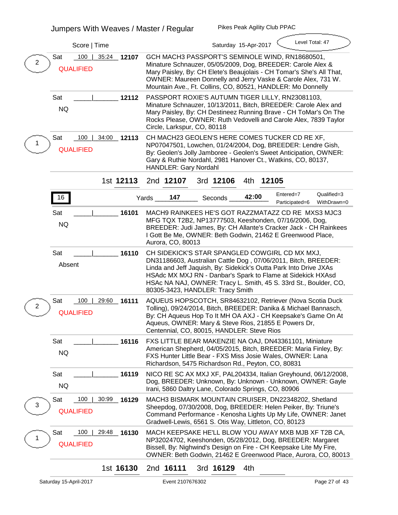| Score   Time                                                            | Level Total: 47<br>Saturday 15-Apr-2017                                                                                                                                                                                                                                                                                                                      |
|-------------------------------------------------------------------------|--------------------------------------------------------------------------------------------------------------------------------------------------------------------------------------------------------------------------------------------------------------------------------------------------------------------------------------------------------------|
| <b>Sat</b><br>100<br>35:24<br>12107<br>$\mathbf{2}$<br><b>QUALIFIED</b> | GCH MACH3 PASSPORT'S SEMINOLE WIND, RN18680501,<br>Minature Schnauzer, 05/05/2009, Dog, BREEDER: Carole Alex &<br>Mary Paisley, By: CH Elete's Beaujolais - CH Tomar's She's All That,<br>OWNER: Maureen Donnelly and Jerry Vaske & Carole Alex, 731 W.<br>Mountain Ave., Ft. Collins, CO, 80521, HANDLER: Mo Donnelly                                       |
| Sat<br>12112<br><b>NQ</b>                                               | PASSPORT ROXIE'S AUTUMN TIGER LILLY, RN23081103,<br>Minature Schnauzer, 10/13/2011, Bitch, BREEDER: Carole Alex and<br>Mary Paisley, By: CH Destineez Running Brave - CH ToMar's On The<br>Rocks Please, OWNER: Ruth Vedovelli and Carole Alex, 7839 Taylor<br>Circle, Larkspur, CO, 80118                                                                   |
| 100<br>34:00 12113<br>Sat<br><b>QUALIFIED</b>                           | CH MACH23 GEOLEN'S HERE COMES TUCKER CD RE XF,<br>NP07047501, Lowchen, 01/24/2004, Dog, BREEDER: Lendre Gish,<br>By: Geolen's Jolly Jamboree - Geolen's Sweet Anticipation, OWNER:<br>Gary & Ruthie Nordahl, 2981 Hanover Ct., Watkins, CO, 80137,<br><b>HANDLER: Gary Nordahl</b>                                                                           |
| 1st 12113                                                               | 2nd 12107<br>3rd 12106<br>4th 12105                                                                                                                                                                                                                                                                                                                          |
| 16                                                                      | Qualified=3<br>Entered=7<br>42:00<br>147<br><b>Seconds</b><br>Yards<br>WithDrawn=0<br>Participated=6                                                                                                                                                                                                                                                         |
| Sat<br>16101<br><b>NQ</b>                                               | <b>MACH9 RAINKEES HE'S GOT RAZZMATAZZ CD RE MXS3 MJC3</b><br>MFG TQX T2B2, NP13777503, Keeshonden, 07/16/2006, Dog,<br>BREEDER: Judi James, By: CH Allante's Cracker Jack - CH Rainkees<br>I Gott Be Me, OWNER: Beth Godwin, 21462 E Greenwood Place,<br>Aurora, CO, 80013                                                                                   |
| 16110<br>Sat<br><b>Absent</b>                                           | CH SIDEKICK'S STAR SPANGLED COWGIRL CD MX MXJ,<br>DN31186603, Australian Cattle Dog, 07/06/2011, Bitch, BREEDER:<br>Linda and Jeff Jaquish, By: Sidekick's Outta Park Into Drive JXAs<br>HSAdc MX MXJ RN - Danbar's Spark to Flame at Sidekick HXAsd<br>HSAc NA NAJ, OWNER: Tracy L. Smith, 45 S. 33rd St., Boulder, CO,<br>80305-3423, HANDLER: Tracy Smith |
| 100<br>29:60<br>Sat<br>_ 16111<br>2<br><b>QUALIFIED</b>                 | AQUEUS HOPSCOTCH, SR84632102, Retriever (Nova Scotia Duck<br>Tolling), 09/24/2014, Bitch, BREEDER: Danika & Michael Bannasch,<br>By: CH Aqueus Hop To It MH OA AXJ - CH Keepsake's Game On At<br>Aqueus, OWNER: Mary & Steve Rios, 21855 E Powers Dr,<br>Centennial, CO, 80015, HANDLER: Steve Rios                                                          |
| <b>Sat</b><br>16116<br><b>NQ</b>                                        | FXS LITTLE BEAR MAKENZIE NA OAJ, DN43361101, Miniature<br>American Shepherd, 04/05/2015, Bitch, BREEDER: Maria Finley, By:<br>FXS Hunter Little Bear - FXS Miss Josie Wales, OWNER: Lana<br>Richardson, 5475 Richardson Rd., Peyton, CO, 80831                                                                                                               |
| Sat<br>16119<br><b>NQ</b>                                               | NICO RE SC AX MXJ XF, PAL204334, Italian Greyhound, 06/12/2008,<br>Dog, BREEDER: Unknown, By: Unknown - Unknown, OWNER: Gayle<br>Irani, 5860 Daltry Lane, Colorado Springs, CO, 80906                                                                                                                                                                        |
| 100<br>Sat<br>30:99<br>16129<br>3<br><b>QUALIFIED</b>                   | MACH3 BISMARK MOUNTAIN CRUISER, DN22348202, Shetland<br>Sheepdog, 07/30/2008, Dog, BREEDER: Helen Peiker, By: Triune's<br>Command Performance - Kenosha Lights Up My Life, OWNER: Janet<br>Gradwell-Lewis, 6561 S. Otis Way, Littleton, CO, 80123                                                                                                            |
| Sat<br>100<br>29:48<br>_ 16130<br><b>QUALIFIED</b>                      | MACH KEEPSAKE HE'LL BLOW YOU AWAY MXB MJB XF T2B CA,<br>NP32024702, Keeshonden, 05/28/2012, Dog, BREEDER: Margaret<br>Bissell, By: Nighwind's Design on Fire - CH Keepsake Lite My Fire,<br>OWNER: Beth Godwin, 21462 E Greenwood Place, Aurora, CO, 80013                                                                                                   |
| 1st 16130                                                               | 2nd 16111<br>3rd 16129<br>4th                                                                                                                                                                                                                                                                                                                                |
| Saturday 15-April-2017                                                  | Event 2107676302<br>Page 27 of 43                                                                                                                                                                                                                                                                                                                            |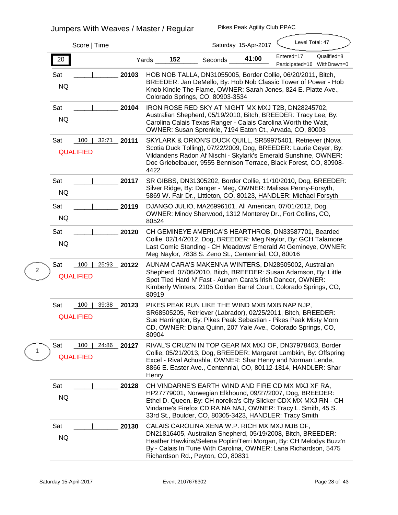| Score   Time                                                           |                                                                                                                                                                                                                                                                                                                 |                | Saturday 15-Apr-2017 | Level Total: 47                           |             |
|------------------------------------------------------------------------|-----------------------------------------------------------------------------------------------------------------------------------------------------------------------------------------------------------------------------------------------------------------------------------------------------------------|----------------|----------------------|-------------------------------------------|-------------|
| 20                                                                     | 152<br>Yards                                                                                                                                                                                                                                                                                                    | <b>Seconds</b> | 41:00                | Entered=17<br>Participated=16 WithDrawn=0 | Qualified=8 |
| 20103<br><b>Sat</b><br><b>NQ</b>                                       | HOB NOB TALLA, DN31055005, Border Collie, 06/20/2011, Bitch,<br>BREEDER: Jan DeMello, By: Hob Nob Classic Tower of Power - Hob<br>Knob Kindle The Flame, OWNER: Sarah Jones, 824 E. Platte Ave.,<br>Colorado Springs, CO, 80903-3534                                                                            |                |                      |                                           |             |
| Sat<br>20104<br><b>NQ</b>                                              | IRON ROSE RED SKY AT NIGHT MX MXJ T2B, DN28245702,<br>Australian Shepherd, 05/19/2010, Bitch, BREEDER: Tracy Lee, By:<br>Carolina Calais Texas Ranger - Calais Carolina Worth the Wait,<br>OWNER: Susan Sprenkle, 7194 Eaton Ct., Arvada, CO, 80003                                                             |                |                      |                                           |             |
| 100<br>32:71<br><b>Sat</b><br>20111<br><b>QUALIFIED</b>                | SKYLARK & ORION'S DUCK QUILL, SR59975401, Retriever (Nova<br>Scotia Duck Tolling), 07/22/2009, Dog, BREEDER: Laurie Geyer, By:<br>Vildandens Radon Af Nischi - Skylark's Emerald Sunshine, OWNER:<br>Doc Griebelbauer, 9555 Bennison Terrace, Black Forest, CO, 80908-<br>4422                                  |                |                      |                                           |             |
| <b>Sat</b><br>20117<br><b>NQ</b>                                       | SR GIBBS, DN31305202, Border Collie, 11/10/2010, Dog, BREEDER:<br>Silver Ridge, By: Danger - Meg, OWNER: Malissa Penny-Forsyth,<br>5869 W. Fair Dr., Littleton, CO, 80123, HANDLER: Michael Forsyth                                                                                                             |                |                      |                                           |             |
| Sat<br>20119<br><b>NQ</b>                                              | DJANGO JULIO, MA26996101, All American, 07/01/2012, Dog,<br>OWNER: Mindy Sherwood, 1312 Monterey Dr., Fort Collins, CO,<br>80524                                                                                                                                                                                |                |                      |                                           |             |
| Sat<br>20120<br><b>NQ</b>                                              | CH GEMINEYE AMERICA'S HEARTHROB, DN33587701, Bearded<br>Collie, 02/14/2012, Dog, BREEDER: Meg Naylor, By: GCH Talamore<br>Last Comic Standing - CH Meadows' Emerald At Gemineye, OWNER:<br>Meg Naylor, 7838 S. Zeno St., Centennial, CO, 80016                                                                  |                |                      |                                           |             |
| <b>Sat</b><br>100<br>25:93<br>20122<br>$\mathbf 2$<br><b>QUALIFIED</b> | AUNAM CARA'S MAKENNA WINTERS, DN28505002, Australian<br>Shepherd, 07/06/2010, Bitch, BREEDER: Susan Adamson, By: Little<br>Spot Tied Hard N' Fast - Aunam Cara's Irish Dancer, OWNER:<br>Kimberly Winters, 2105 Golden Barrel Court, Colorado Springs, CO,<br>80919                                             |                |                      |                                           |             |
| 39:38<br>Sat<br>100<br>20123<br><b>QUALIFIED</b>                       | PIKES PEAK RUN LIKE THE WIND MXB MXB NAP NJP,<br>SR68505205, Retriever (Labrador), 02/25/2011, Bitch, BREEDER:<br>Sue Harrington, By: Pikes Peak Sebastian - Pikes Peak Misty Morn<br>CD, OWNER: Diana Quinn, 207 Yale Ave., Colorado Springs, CO,<br>80904                                                     |                |                      |                                           |             |
| Sat<br>100<br>24:86<br>20127<br>1<br><b>QUALIFIED</b>                  | RIVAL'S CRUZ'N IN TOP GEAR MX MXJ OF, DN37978403, Border<br>Collie, 05/21/2013, Dog, BREEDER: Margaret Lambkin, By: Offspring<br>Excel - Rival Achushla, OWNER: Shar Henry and Norman Lende,<br>8866 E. Easter Ave., Centennial, CO, 80112-1814, HANDLER: Shar<br><b>Henry</b>                                  |                |                      |                                           |             |
| Sat<br>20128<br><b>NQ</b>                                              | CH VINDARNE'S EARTH WIND AND FIRE CD MX MXJ XF RA,<br>HP27779001, Norwegian Elkhound, 09/27/2007, Dog, BREEDER:<br>Ethel D. Queen, By: CH norelka's City Slicker CDX MX MXJ RN - CH<br>Vindarne's Firefox CD RA NA NAJ, OWNER: Tracy L. Smith, 45 S.<br>33rd St., Boulder, CO, 80305-3423, HANDLER: Tracy Smith |                |                      |                                           |             |
| Sat<br>20130<br><b>NQ</b>                                              | CALAIS CAROLINA XENA W.P. RICH MX MXJ MJB OF,<br>DN21816405, Australian Shepherd, 05/19/2008, Bitch, BREEDER:<br>Heather Hawkins/Selena Poplin/Terri Morgan, By: CH Melodys Buzz'n<br>By - Calais In Tune With Carolina, OWNER: Lana Richardson, 5475<br>Richardson Rd., Peyton, CO, 80831                      |                |                      |                                           |             |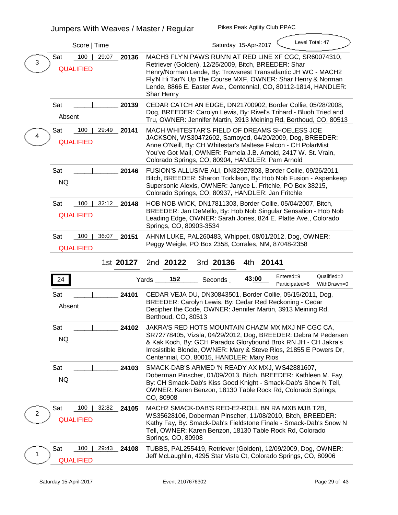|   | Score   Time                                   |             | Level Total: 47<br>Saturday 15-Apr-2017                                                                                                                                                                                                                                                                                                  |  |  |  |  |  |  |
|---|------------------------------------------------|-------------|------------------------------------------------------------------------------------------------------------------------------------------------------------------------------------------------------------------------------------------------------------------------------------------------------------------------------------------|--|--|--|--|--|--|
| 3 | <b>Sat</b><br>100<br>29:07<br><b>QUALIFIED</b> | 20136       | MACH3 FLY'N PAWS RUN'N AT RED LINE XF CGC, SR60074310,<br>Retriever (Golden), 12/25/2009, Bitch, BREEDER: Shar<br>Henry/Norman Lende, By: Trowsnest Transatlantic JH WC - MACH2<br>Fly'N Hi Tar'N Up The Course MXF, OWNER: Shar Henry & Norman<br>Lende, 8866 E. Easter Ave., Centennial, CO, 80112-1814, HANDLER:<br><b>Shar Henry</b> |  |  |  |  |  |  |
|   | Sat<br><b>Absent</b>                           | 20139       | CEDAR CATCH AN EDGE, DN21700902, Border Collie, 05/28/2008,<br>Dog, BREEDER: Carolyn Lewis, By: Rivel's Trihard - Bluoh Tried and<br>Tru, OWNER: Jennifer Martin, 3913 Meining Rd, Berthoud, CO, 80513                                                                                                                                   |  |  |  |  |  |  |
|   | 100<br><b>Sat</b><br><b>QUALIFIED</b>          | 29:49 20141 | <b>MACH WHITESTAR'S FIELD OF DREAMS SHOELESS JOE</b><br>JACKSON, WS30472602, Samoyed, 04/20/2009, Dog, BREEDER:<br>Anne O'Neill, By: CH Whitestar's Maltese Falcon - CH PolarMist<br>You've Got Mail, OWNER: Pamela J.B. Arnold, 2417 W. St. Vrain,<br>Colorado Springs, CO, 80904, HANDLER: Pam Arnold                                  |  |  |  |  |  |  |
|   | <b>Sat</b><br><b>NQ</b>                        | 20146       | FUSION'S ALLUSIVE ALI, DN32927803, Border Collie, 09/26/2011,<br>Bitch, BREEDER: Sharon Torkilson, By: Hob Nob Fusion - Aspenkeep<br>Supersonic Alexis, OWNER: Janyce L. Fritchle, PO Box 38215,<br>Colorado Springs, CO, 80937, HANDLER: Jan Fritchle                                                                                   |  |  |  |  |  |  |
|   | Sat<br>100<br><b>QUALIFIED</b>                 | 32:12 20148 | HOB NOB WICK, DN17811303, Border Collie, 05/04/2007, Bitch,<br>BREEDER: Jan DeMello, By: Hob Nob Singular Sensation - Hob Nob<br>Leading Edge, OWNER: Sarah Jones, 824 E. Platte Ave., Colorado<br>Springs, CO, 80903-3534                                                                                                               |  |  |  |  |  |  |
|   | 100<br>Sat<br><b>QUALIFIED</b>                 | 36:07 20151 | AHNM LUKE, PAL260483, Whippet, 08/01/2012, Dog, OWNER:<br>Peggy Weigle, PO Box 2358, Corrales, NM, 87048-2358                                                                                                                                                                                                                            |  |  |  |  |  |  |
|   |                                                |             |                                                                                                                                                                                                                                                                                                                                          |  |  |  |  |  |  |
|   |                                                | 1st 20127   | 2nd 20122<br>3rd 20136<br>4th 20141                                                                                                                                                                                                                                                                                                      |  |  |  |  |  |  |
|   | 24                                             |             | Entered=9<br>Qualified=2<br>152<br>43:00<br>Yards<br><b>Seconds</b><br>WithDrawn=0<br>Participated=6                                                                                                                                                                                                                                     |  |  |  |  |  |  |
|   | <b>Sat</b><br><b>Absent</b>                    | 24101       | CEDAR VEJA DU, DN30843501, Border Collie, 05/15/2011, Dog,<br>BREEDER: Carolyn Lewis, By: Cedar Red Reckoning - Cedar<br>Decipher the Code, OWNER: Jennifer Martin, 3913 Meining Rd,<br>Berthoud, CO, 80513                                                                                                                              |  |  |  |  |  |  |
|   | <b>Sat</b><br><b>NQ</b>                        | 24102       | JAKRA'S RED HOTS MOUNTAIN CHAZM MX MXJ NF CGC CA.<br>SR72778405, Vizsla, 04/29/2012, Dog, BREEDER: Debra M Pedersen<br>& Kak Koch, By: GCH Paradox Glorybound Brok RN JH - CH Jakra's<br>Irresistible Blonde, OWNER: Mary & Steve Rios, 21855 E Powers Dr,<br>Centennial, CO, 80015, HANDLER: Mary Rios                                  |  |  |  |  |  |  |
|   | Sat<br><b>NQ</b>                               | 24103       | SMACK-DAB'S ARMED 'N READY AX MXJ, WS42881607,<br>Doberman Pinscher, 01/09/2013, Bitch, BREEDER: Kathleen M. Fay,<br>By: CH Smack-Dab's Kiss Good Knight - Smack-Dab's Show N Tell,<br>OWNER: Karen Benzon, 18130 Table Rock Rd, Colorado Springs,<br>CO, 80908                                                                          |  |  |  |  |  |  |
| 2 | 100<br>Sat<br>32:82<br><b>QUALIFIED</b>        | 24105       | MACH2 SMACK-DAB'S RED-E2-ROLL BN RA MXB MJB T2B,<br>WS35628106, Doberman Pinscher, 11/08/2010, Bitch, BREEDER:<br>Kathy Fay, By: Smack-Dab's Fieldstone Finale - Smack-Dab's Snow N<br>Tell, OWNER: Karen Benzon, 18130 Table Rock Rd, Colorado<br><b>Springs, CO, 80908</b>                                                             |  |  |  |  |  |  |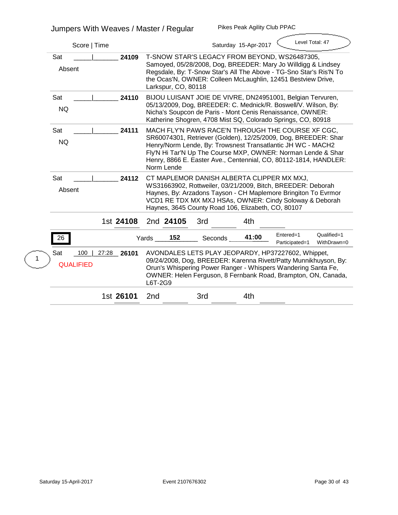| Score   Time                                            |                                | Level Total: 47<br>Saturday 15-Apr-2017                                                                                                                                                                                                                                                                                |                            |
|---------------------------------------------------------|--------------------------------|------------------------------------------------------------------------------------------------------------------------------------------------------------------------------------------------------------------------------------------------------------------------------------------------------------------------|----------------------------|
| <b>Sat</b><br>24109<br><b>Absent</b>                    | Larkspur, CO, 80118            | T-SNOW STAR'S LEGACY FROM BEYOND, WS26487305,<br>Samoyed, 05/28/2008, Dog, BREEDER: Mary Jo Willdigg & Lindsey<br>Regsdale, By: T-Snow Star's All The Above - TG-Sno Star's Ris'N To<br>the Ocas'N, OWNER: Colleen McLaughlin, 12451 Bestview Drive,                                                                   |                            |
| <b>Sat</b><br>24110<br><b>NQ</b>                        |                                | BIJOU LUISANT JOIE DE VIVRE, DN24951001, Belgian Tervuren,<br>05/13/2009, Dog, BREEDER: C. Mednick/R. Boswell/V. Wilson, By:<br>Nicha's Soupcon de Paris - Mont Cenis Renaissance, OWNER:<br>Katherine Shogren, 4708 Mist SQ, Colorado Springs, CO, 80918                                                              |                            |
| Sat<br>24111<br><b>NQ</b>                               | <b>Norm Lende</b>              | MACH FLY'N PAWS RACE'N THROUGH THE COURSE XF CGC,<br>SR60074301, Retriever (Golden), 12/25/2009, Dog, BREEDER: Shar<br>Henry/Norm Lende, By: Trowsnest Transatlantic JH WC - MACH2<br>Fly'N Hi Tar'N Up The Course MXP, OWNER: Norman Lende & Shar<br>Henry, 8866 E. Easter Ave., Centennial, CO, 80112-1814, HANDLER: |                            |
| <b>Sat</b><br>24112<br><b>Absent</b>                    |                                | CT MAPLEMOR DANISH ALBERTA CLIPPER MX MXJ,<br>WS31663902, Rottweiler, 03/21/2009, Bitch, BREEDER: Deborah<br>Haynes, By: Arzadons Tayson - CH Maplemore Bringiton To Evrmor<br>VCD1 RE TDX MX MXJ HSAs, OWNER: Cindy Soloway & Deborah<br>Haynes, 3645 County Road 106, Elizabeth, CO, 80107                           |                            |
| 1st 24108                                               | 2nd 24105<br>3rd               | 4th                                                                                                                                                                                                                                                                                                                    |                            |
| 26                                                      | 152<br>Yards<br><b>Seconds</b> | Entered=1<br>41:00<br>Participated=1                                                                                                                                                                                                                                                                                   | Qualified=1<br>WithDrawn=0 |
| 100<br>27:28<br>26101<br><b>Sat</b><br><b>QUALIFIED</b> | L6T-2G9                        | AVONDALES LETS PLAY JEOPARDY, HP37227602, Whippet,<br>09/24/2008, Dog, BREEDER: Karenna Rivett/Patty Munnikhuyson, By:<br>Orun's Whispering Power Ranger - Whispers Wandering Santa Fe,<br>OWNER: Helen Ferguson, 8 Fernbank Road, Brampton, ON, Canada,                                                               |                            |
| 1st 26101                                               | 3rd<br>2 <sub>nd</sub>         | 4th                                                                                                                                                                                                                                                                                                                    |                            |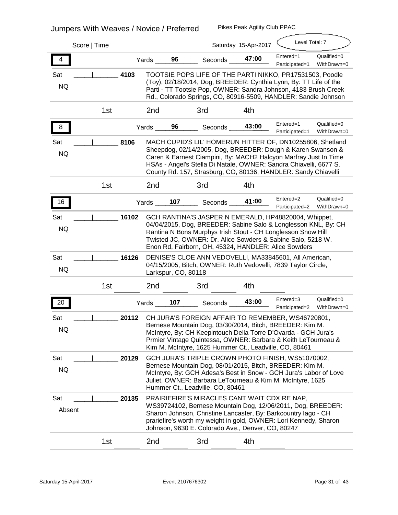| Score   Time                |                 |       |       |                     |                                                                                                                                                                                                                                                                                                                                     | Saturday 15-Apr-2017 | Level Total: 7              |                            |
|-----------------------------|-----------------|-------|-------|---------------------|-------------------------------------------------------------------------------------------------------------------------------------------------------------------------------------------------------------------------------------------------------------------------------------------------------------------------------------|----------------------|-----------------------------|----------------------------|
| 4                           |                 |       | Yards | 96                  | <b>Seconds</b>                                                                                                                                                                                                                                                                                                                      | 47:00                | Entered=1<br>Participated=1 | Qualified=0<br>WithDrawn=0 |
| <b>Sat</b><br><b>NQ</b>     |                 | 4103  |       |                     | TOOTSIE POPS LIFE OF THE PARTI NIKKO, PR17531503, Poodle<br>(Toy), 02/18/2014, Dog, BREEDER: Cynthia Lynn, By: TT Life of the<br>Parti - TT Tootsie Pop, OWNER: Sandra Johnson, 4183 Brush Creek<br>Rd., Colorado Springs, CO, 80916-5509, HANDLER: Sandie Johnson                                                                  |                      |                             |                            |
|                             | 1 <sub>st</sub> |       | 2nd   |                     | 3rd                                                                                                                                                                                                                                                                                                                                 | 4th                  |                             |                            |
| ୪                           |                 |       | Yards | 96                  | <b>Seconds</b>                                                                                                                                                                                                                                                                                                                      | 43:00                | Entered=1<br>Participated=1 | Qualified=0<br>WithDrawn=0 |
| <b>Sat</b><br><b>NQ</b>     |                 | 8106  |       |                     | MACH CUPID'S LIL' HOMERUN HITTER OF, DN10255806, Shetland<br>Sheepdog, 02/14/2005, Dog, BREEDER: Dough & Karen Swanson &<br>Caren & Earnest Ciampini, By: MACH2 Halcyon Marfray Just In Time<br>HSAs - Angel's Stella Di Natale, OWNER: Sandra Chiavelli, 6677 S.<br>County Rd. 157, Strasburg, CO, 80136, HANDLER: Sandy Chiavelli |                      |                             |                            |
|                             | 1 <sub>st</sub> |       | 2nd   |                     | 3rd                                                                                                                                                                                                                                                                                                                                 | 4th                  |                             |                            |
| 16                          |                 |       | Yards | 107                 | <b>Seconds</b>                                                                                                                                                                                                                                                                                                                      | 41:00                | Entered=2<br>Participated=2 | Qualified=0<br>WithDrawn=0 |
| <b>Sat</b><br><b>NQ</b>     |                 | 16102 |       |                     | GCH RANTINA'S JASPER N EMERALD, HP48820004, Whippet,<br>04/04/2015, Dog, BREEDER: Sabine Salo & Longlesson KNL, By: CH<br>Rantina N Bons Murphys Irish Stout - CH Longlesson Snow Hill<br>Twisted JC, OWNER: Dr. Alice Sowders & Sabine Salo, 5218 W.<br>Enon Rd, Fairborn, OH, 45324, HANDLER: Alice Sowders                       |                      |                             |                            |
| <b>Sat</b><br><b>NQ</b>     |                 | 16126 |       | Larkspur, CO, 80118 | DENISE'S CLOE ANN VEDOVELLI, MA33845601, All American,<br>04/15/2005, Bitch, OWNER: Ruth Vedovelli, 7839 Taylor Circle,                                                                                                                                                                                                             |                      |                             |                            |
|                             | 1 <sub>st</sub> |       | 2nd   |                     | 3rd                                                                                                                                                                                                                                                                                                                                 | 4th                  |                             |                            |
| 20                          |                 |       | Yards | 107                 | <b>Seconds</b>                                                                                                                                                                                                                                                                                                                      | 43:00                | Entered=3<br>Participated=2 | Qualified=0<br>WithDrawn=0 |
| <b>Sat</b><br>NQ            |                 | 20112 |       |                     | CH JURA'S FOREIGN AFFAIR TO REMEMBER, WS46720801,<br>Bernese Mountain Dog, 03/30/2014, Bitch, BREEDER: Kim M.<br>McIntyre, By: CH Keepintouch Della Torre D'Ovarda - GCH Jura's<br>Prmier Vintage Quintessa, OWNER: Barbara & Keith LeTourneau &<br>Kim M. McIntyre, 1625 Hummer Ct., Leadville, CO, 80461                          |                      |                             |                            |
| Sat<br><b>NQ</b>            |                 | 20129 |       |                     | GCH JURA'S TRIPLE CROWN PHOTO FINISH, WS51070002,<br>Bernese Mountain Dog, 08/01/2015, Bitch, BREEDER: Kim M.<br>McIntyre, By: GCH Adesa's Best in Snow - GCH Jura's Labor of Love<br>Juliet, OWNER: Barbara LeTourneau & Kim M. McIntyre, 1625<br>Hummer Ct., Leadville, CO, 80461                                                 |                      |                             |                            |
| <b>Sat</b><br><b>Absent</b> |                 | 20135 |       |                     | PRAIRIEFIRE'S MIRACLES CANT WAIT CDX RE NAP,<br>WS39724102, Bernese Mountain Dog, 12/06/2011, Dog, BREEDER:<br>Sharon Johnson, Christine Lancaster, By: Barkcountry lago - CH<br>prariefire's worth my weight in gold, OWNER: Lori Kennedy, Sharon<br>Johnson, 9630 E. Colorado Ave., Denver, CO, 80247                             |                      |                             |                            |
|                             | 1st             |       | 2nd   |                     | 3rd                                                                                                                                                                                                                                                                                                                                 | 4th                  |                             |                            |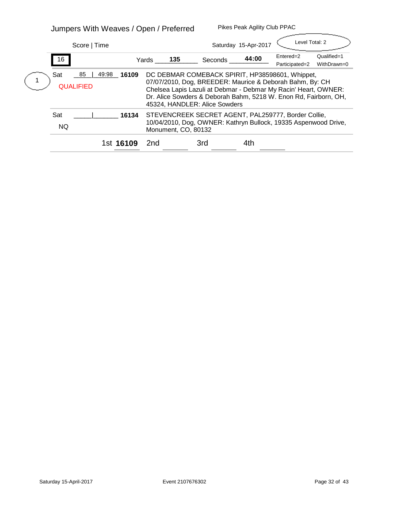# **Jumpers With Weaves / Open / Preferred**

| Score   Time                                  |           |       |                     |                                                                                                                                                                                                                                                                                     | Saturday 15-Apr-2017 | Level Total: 2              |                            |
|-----------------------------------------------|-----------|-------|---------------------|-------------------------------------------------------------------------------------------------------------------------------------------------------------------------------------------------------------------------------------------------------------------------------------|----------------------|-----------------------------|----------------------------|
| 16                                            |           | Yards | 135                 | <b>Seconds</b>                                                                                                                                                                                                                                                                      | 44:00                | Entered=2<br>Participated=2 | Qualified=1<br>WithDrawn=0 |
| 85<br>49:98<br><b>Sat</b><br><b>QUALIFIED</b> | 16109     |       |                     | DC DEBMAR COMEBACK SPIRIT, HP38598601, Whippet,<br>07/07/2010, Dog, BREEDER: Maurice & Deborah Bahm, By: CH<br>Chelsea Lapis Lazuli at Debmar - Debmar My Racin' Heart, OWNER:<br>Dr. Alice Sowders & Deborah Bahm, 5218 W. Enon Rd, Fairborn, OH,<br>45324, HANDLER: Alice Sowders |                      |                             |                            |
| <b>Sat</b><br><b>NQ</b>                       | 16134     |       | Monument, CO, 80132 | STEVENCREEK SECRET AGENT, PAL259777, Border Collie,<br>10/04/2010, Dog, OWNER: Kathryn Bullock, 19335 Aspenwood Drive,                                                                                                                                                              |                      |                             |                            |
|                                               | 1st 16109 | 2nd   |                     | 3rd                                                                                                                                                                                                                                                                                 | 4th                  |                             |                            |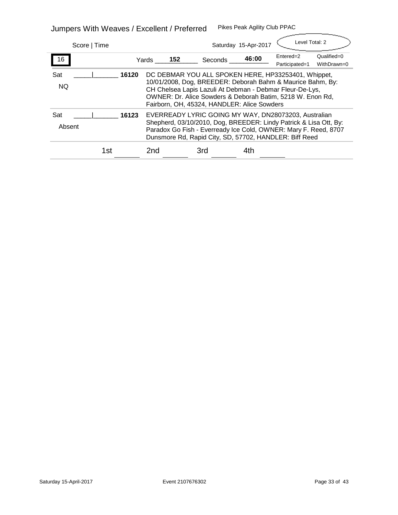**Jumpers With Weaves / Excellent / Preferred Pikes Peak Agility Club PPAC**

| Score   Time                |       |              |                | Saturday 15-Apr-2017                                                                                                                                                                                                                                                                                  | Level Total: 2              |                            |
|-----------------------------|-------|--------------|----------------|-------------------------------------------------------------------------------------------------------------------------------------------------------------------------------------------------------------------------------------------------------------------------------------------------------|-----------------------------|----------------------------|
| 16                          |       | 152<br>Yards | <b>Seconds</b> | 46:00                                                                                                                                                                                                                                                                                                 | Entered=2<br>Participated=1 | Qualified=0<br>WithDrawn=0 |
| <b>Sat</b><br><b>NQ</b>     | 16120 |              |                | DC DEBMAR YOU ALL SPOKEN HERE, HP33253401, Whippet,<br>10/01/2008, Dog, BREEDER: Deborah Bahm & Maurice Bahm, By:<br>CH Chelsea Lapis Lazuli At Debman - Debmar Fleur-De-Lys,<br><b>OWNER: Dr. Alice Sowders &amp; Deborah Batim, 5218 W. Enon Rd,</b><br>Fairborn, OH, 45324, HANDLER: Alice Sowders |                             |                            |
| <b>Sat</b><br><b>Absent</b> | 16123 |              |                | EVERREADY LYRIC GOING MY WAY, DN28073203, Australian<br>Shepherd, 03/10/2010, Dog, BREEDER: Lindy Patrick & Lisa Ott, By:<br>Paradox Go Fish - Everready Ice Cold, OWNER: Mary F. Reed, 8707<br>Dunsmore Rd, Rapid City, SD, 57702, HANDLER: Biff Reed                                                |                             |                            |
| 1st                         |       | 2nd          | 3rd            | 4th                                                                                                                                                                                                                                                                                                   |                             |                            |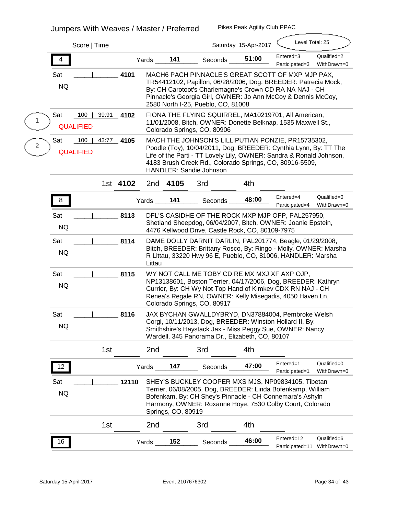# **Jumpers With Weaves / Master / Preferred**

|   |                         | Score   Time                     |          |        | Level Total: 25<br>Saturday 15-Apr-2017 |                                                                                                                                                                                                                                                                                            |       |                               |                            |  |  |
|---|-------------------------|----------------------------------|----------|--------|-----------------------------------------|--------------------------------------------------------------------------------------------------------------------------------------------------------------------------------------------------------------------------------------------------------------------------------------------|-------|-------------------------------|----------------------------|--|--|
|   | 4                       |                                  |          | Yards  | 141                                     | <b>Seconds</b>                                                                                                                                                                                                                                                                             | 51:00 | Entered=3<br>Participated=3   | Qualified=2<br>WithDrawn=0 |  |  |
|   | <b>Sat</b><br><b>NQ</b> |                                  | 4101     |        |                                         | MACH6 PACH PINNACLE'S GREAT SCOTT OF MXP MJP PAX,<br>TR54412102, Papillon, 06/28/2006, Dog, BREEDER: Patrecia Mock,<br>By: CH Carotoot's Charlemagne's Crown CD RA NA NAJ - CH<br>Pinnacle's Georgia Girl, OWNER: Jo Ann McCoy & Dennis McCoy,<br>2580 North I-25, Pueblo, CO, 81008       |       |                               |                            |  |  |
|   | <b>Sat</b>              | 100<br>39:91<br><b>QUALIFIED</b> | 4102     |        |                                         | FIONA THE FLYING SQUIRREL, MA10219701, All American,<br>11/01/2008, Bitch, OWNER: Donette Belknap, 1535 Maxwell St.,<br>Colorado Springs, CO, 80906                                                                                                                                        |       |                               |                            |  |  |
| 2 | Sat                     | 100<br>43:77<br><b>QUALIFIED</b> | 4105     |        |                                         | MACH THE JOHNSON'S LILLIPUTIAN PONZIE, PR15735302,<br>Poodle (Toy), 10/04/2011, Dog, BREEDER: Cynthia Lynn, By: TT The<br>Life of the Parti - TT Lovely Lily, OWNER: Sandra & Ronald Johnson,<br>4183 Brush Creek Rd., Colorado Springs, CO, 80916-5509,<br><b>HANDLER: Sandie Johnson</b> |       |                               |                            |  |  |
|   |                         |                                  | 1st 4102 |        | 2nd 4105                                | 3rd                                                                                                                                                                                                                                                                                        | 4th   |                               |                            |  |  |
|   | 8                       |                                  |          | Yards  | 141                                     | <b>Seconds</b>                                                                                                                                                                                                                                                                             | 48:00 | Entered=4<br>Participated=4   | Qualified=0<br>WithDrawn=0 |  |  |
|   | Sat<br><b>NQ</b>        |                                  | 8113     |        |                                         | DFL'S CASIDHE OF THE ROCK MXP MJP OFP, PAL257950,<br>Shetland Sheepdog, 06/04/2007, Bitch, OWNER: Joanie Epstein,<br>4476 Kellwood Drive, Castle Rock, CO, 80109-7975                                                                                                                      |       |                               |                            |  |  |
|   | Sat<br><b>NQ</b>        |                                  | 8114     | Littau |                                         | DAME DOLLY DARNIT DARLIN, PAL201774, Beagle, 01/29/2008,<br>Bitch, BREEDER: Brittany Rosco, By: Ringo - Molly, OWNER: Marsha<br>R Littau, 33220 Hwy 96 E, Pueblo, CO, 81006, HANDLER: Marsha                                                                                               |       |                               |                            |  |  |
|   | <b>Sat</b><br><b>NQ</b> |                                  | 8115     |        |                                         | WY NOT CALL ME TOBY CD RE MX MXJ XF AXP OJP,<br>NP13138601, Boston Terrier, 04/17/2006, Dog, BREEDER: Kathryn<br>Currier, By: CH Wy Not Top Hand of Kimkev CDX RN NAJ - CH<br>Renea's Regale RN, OWNER: Kelly Misegadis, 4050 Haven Ln,<br>Colorado Springs, CO, 80917                     |       |                               |                            |  |  |
|   | <b>Sat</b><br><b>NQ</b> |                                  | 8116     |        |                                         | JAX BYCHAN GWALLDYBRYD, DN37884004, Pembroke Welsh<br>Corgi, 10/11/2013, Dog, BREEDER: Winston Hollard II, By:<br>Smithshire's Haystack Jax - Miss Peggy Sue, OWNER: Nancy<br>Wardell, 345 Panorama Dr., Elizabeth, CO, 80107                                                              |       |                               |                            |  |  |
|   |                         | 1 <sub>st</sub>                  |          | 2nd    |                                         | 3rd                                                                                                                                                                                                                                                                                        | 4th   |                               |                            |  |  |
|   | 12                      |                                  |          | Yards_ | 147                                     | <b>Seconds</b>                                                                                                                                                                                                                                                                             | 47:00 | Entered=1<br>Participated=1   | Qualified=0<br>WithDrawn=0 |  |  |
|   | <b>Sat</b><br><b>NQ</b> |                                  | 12110    |        | <b>Springs, CO, 80919</b>               | SHEY'S BUCKLEY COOPER MXS MJS, NP09834105, Tibetan<br>Terrier, 06/08/2005, Dog, BREEDER: Linda Bofenkamp, William<br>Bofenkam, By: CH Shey's Pinnacle - CH Connemara's Ashyln<br>Harmony, OWNER: Roxanne Hoye, 7530 Colby Court, Colorado                                                  |       |                               |                            |  |  |
|   |                         | 1 <sub>st</sub>                  |          | 2nd    |                                         | 3rd                                                                                                                                                                                                                                                                                        | 4th   |                               |                            |  |  |
|   | 16                      |                                  |          | Yards  | 152                                     | Seconds                                                                                                                                                                                                                                                                                    | 46:00 | Entered=12<br>Participated=11 | Qualified=6<br>WithDrawn=0 |  |  |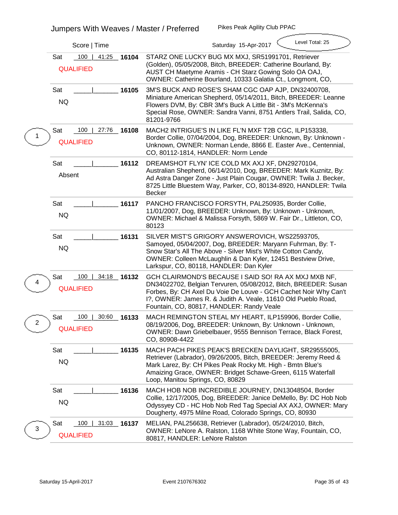|             | Score   Time                                            | Level Total: 25<br>Saturday 15-Apr-2017                                                                                                                                                                                                                                                                   |
|-------------|---------------------------------------------------------|-----------------------------------------------------------------------------------------------------------------------------------------------------------------------------------------------------------------------------------------------------------------------------------------------------------|
|             | 41:25<br>Sat<br>100<br>16104<br><b>QUALIFIED</b>        | STARZ ONE LUCKY BUG MX MXJ, SR51991701, Retriever<br>(Golden), 05/05/2008, Bitch, BREEDER: Catherine Bourland, By:<br>AUST CH Maetyme Aramis - CH Starz Gowing Solo OA OAJ,<br>OWNER: Catherine Bourland, 10333 Galatia Ct., Longmont, CO,                                                                |
|             | <b>Sat</b><br>16105<br><b>NQ</b>                        | 3M'S BUCK AND ROSE'S SHAM CGC OAP AJP, DN32400708,<br>Miniature American Shepherd, 05/14/2011, Bitch, BREEDER: Leanne<br>Flowers DVM, By: CBR 3M's Buck A Little Bit - 3M's McKenna's<br>Special Rose, OWNER: Sandra Vanni, 8751 Antlers Trail, Salida, CO,<br>81201-9766                                 |
|             | 100<br>27:76 16108<br>Sat<br><b>QUALIFIED</b>           | MACH2 INTRIGUE'S IN LIKE FL'N MXF T2B CGC, ILP153338,<br>Border Collie, 07/04/2004, Dog, BREEDER: Unknown, By: Unknown -<br>Unknown, OWNER: Norman Lende, 8866 E. Easter Ave., Centennial,<br>CO, 80112-1814, HANDLER: Norm Lende                                                                         |
|             | <b>Sat</b><br>16112<br><b>Absent</b>                    | DREAMSHOT FLYN'ICE COLD MX AXJ XF, DN29270104,<br>Australian Shepherd, 06/14/2010, Dog, BREEDER: Mark Kuznitz, By:<br>Ad Astra Danger Zone - Just Plain Cougar, OWNER: Twila J. Becker,<br>8725 Little Bluestem Way, Parker, CO, 80134-8920, HANDLER: Twila<br><b>Becker</b>                              |
|             | <b>Sat</b><br>16117<br><b>NQ</b>                        | PANCHO FRANCISCO FORSYTH, PAL250935, Border Collie,<br>11/01/2007, Dog, BREEDER: Unknown, By: Unknown - Unknown,<br>OWNER: Michael & Malissa Forsyth, 5869 W. Fair Dr., Littleton, CO,<br>80123                                                                                                           |
|             | <b>Sat</b><br>16131<br><b>NQ</b>                        | SILVER MIST'S GRIGORY ANSWEROVICH, WS22593705,<br>Samoyed, 05/04/2007, Dog, BREEDER: Maryann Fuhrman, By: T-<br>Snow Star's All The Above - Silver Mist's White Cotton Candy,<br>OWNER: Colleen McLaughlin & Dan Kyler, 12451 Bestview Drive,<br>Larkspur, CO, 80118, HANDLER: Dan Kyler                  |
|             | <b>Sat</b><br>100<br>34:18<br>16132<br><b>QUALIFIED</b> | GCH CLAIRMOND'S BECAUSE I SAID SO! RA AX MXJ MXB NF,<br>DN34022702, Belgian Tervuren, 05/08/2012, Bitch, BREEDER: Susan<br>Forbes, By: CH Axel Du Voie De Louve - GCH Cachet Noir Why Can't<br>1?, OWNER: James R. & Judith A. Veale, 11610 Old Pueblo Road,<br>Fountain, CO, 80817, HANDLER: Randy Veale |
| $\mathbf 2$ | <b>Sat</b><br>100<br>30:60 16133<br><b>QUALIFIED</b>    | MACH REMINGTON STEAL MY HEART, ILP159906, Border Collie,<br>08/19/2006, Dog, BREEDER: Unknown, By: Unknown - Unknown,<br><b>OWNER: Dawn Griebelbauer, 9555 Bennison Terrace, Black Forest,</b><br>CO, 80908-4422                                                                                          |
|             | Sat<br>16135<br><b>NQ</b>                               | MACH PACH PIKES PEAK'S BRECKEN DAYLIGHT, SR29555005,<br>Retriever (Labrador), 09/26/2005, Bitch, BREEDER: Jeremy Reed &<br>Mark Larez, By: CH Pikes Peak Rocky Mt. High - Bmtn Blue's<br>Amaizing Grace, OWNER: Bridget Schawe-Green, 6115 Waterfall<br>Loop, Manitou Springs, CO, 80829                  |
|             | Sat<br>16136<br><b>NQ</b>                               | MACH HOB NOB INCREDIBLE JOURNEY, DN13048504, Border<br>Collie, 12/17/2005, Dog, BREEDER: Janice DeMello, By: DC Hob Nob<br>Odyssyey CD - HC Hob Nob Red Tag Special AX AXJ, OWNER: Mary<br>Dougherty, 4975 Milne Road, Colorado Springs, CO, 80930                                                        |
| 3           | <b>Sat</b><br>100<br>31:03 16137<br><b>QUALIFIED</b>    | MELIAN, PAL256638, Retriever (Labrador), 05/24/2010, Bitch,<br>OWNER: LeNore A. Ralston, 1168 White Stone Way, Fountain, CO,<br>80817, HANDLER: LeNore Ralston                                                                                                                                            |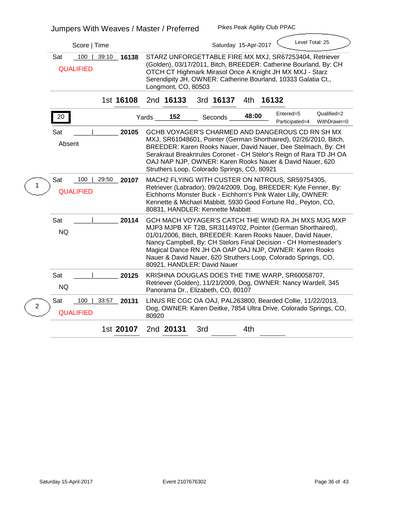|   | Score   Time                                            | Level Total: 25<br>Saturday 15-Apr-2017                                                                                                                                                                                                                                                                                                                                                                          |  |  |  |  |
|---|---------------------------------------------------------|------------------------------------------------------------------------------------------------------------------------------------------------------------------------------------------------------------------------------------------------------------------------------------------------------------------------------------------------------------------------------------------------------------------|--|--|--|--|
|   | 100<br><b>Sat</b><br>39:10 16138<br><b>QUALIFIED</b>    | STARZ UNFORGETTABLE FIRE MX MXJ, SR67253404, Retriever<br>(Golden), 03/17/2011, Bitch, BREEDER: Catherine Bourland, By: CH<br>OTCH CT Highmark Mirasol Once A Knight JH MX MXJ - Starz<br>Serendipity JH, OWNER: Catherine Bourland, 10333 Galatia Ct.,<br>Longmont, CO, 80503                                                                                                                                   |  |  |  |  |
|   | 1st 16108                                               | 2nd 16133<br>3rd 16137<br>4th 16132                                                                                                                                                                                                                                                                                                                                                                              |  |  |  |  |
|   | 20                                                      | Entered=5<br>Qualified=2<br>48:00<br>152<br>Yards<br><b>Seconds</b><br>Participated=4<br>WithDrawn=0                                                                                                                                                                                                                                                                                                             |  |  |  |  |
|   | <b>Sat</b><br>20105<br><b>Absent</b>                    | GCHB VOYAGER'S CHARMED AND DANGEROUS CD RN SH MX<br>MXJ, SR61048601, Pointer (German Shorthaired), 02/26/2010, Bitch,<br>BREEDER: Karen Rooks Nauer, David Nauer, Dee Stelmach, By: CH<br>Serakraut Breaknrules Coronet - CH Stelor's Reign of Rara TD JH OA<br>OAJ NAP NJP, OWNER: Karen Rooks Nauer & David Nauer, 620<br>Struthers Loop, Colorado Springs, CO, 80921                                          |  |  |  |  |
|   | <b>Sat</b><br>100<br>29:50<br>20107<br><b>QUALIFIED</b> | MACH2 FLYING WITH CUSTER ON NITROUS, SR59754305,<br>Retriever (Labrador), 09/24/2009, Dog, BREEDER: Kyle Fenner, By:<br>Eichhorns Monster Buck - Eichhorn's Pink Water Lilly, OWNER:<br>Kennette & Michael Mabbitt, 5930 Good Fortune Rd., Peyton, CO,<br>80831, HANDLER: Kennette Mabbitt                                                                                                                       |  |  |  |  |
|   | Sat<br>20114<br><b>NQ</b>                               | GCH MACH VOYAGER'S CATCH THE WIND RA JH MXS MJG MXP<br>MJP3 MJPB XF T2B, SR31149702, Pointer (German Shorthaired),<br>01/01/2006, Bitch, BREEDER: Karen Rooks Nauer, David Nauer,<br>Nancy Campbell, By: CH Stelors Final Decision - CH Homesteader's<br>Magical Dance RN JH OA OAP OAJ NJP, OWNER: Karen Rooks<br>Nauer & David Nauer, 620 Struthers Loop, Colorado Springs, CO,<br>80921, HANDLER: David Nauer |  |  |  |  |
|   | <b>Sat</b><br>20125<br><b>NQ</b>                        | KRISHNA DOUGLAS DOES THE TIME WARP, SR60058707,<br>Retriever (Golden), 11/21/2009, Dog, OWNER: Nancy Wardell, 345<br>Panorama Dr., Elizabeth, CO, 80107                                                                                                                                                                                                                                                          |  |  |  |  |
| 2 | 100<br>33:57<br><b>Sat</b><br>20131<br><b>QUALIFIED</b> | LINUS RE CGC OA OAJ, PAL263800, Bearded Collie, 11/22/2013,<br>Dog, OWNER: Karen Deitke, 7854 Ultra Drive, Colorado Springs, CO,<br>80920                                                                                                                                                                                                                                                                        |  |  |  |  |
|   | 1st 20107                                               | 2nd 20131<br>4th<br>3rd                                                                                                                                                                                                                                                                                                                                                                                          |  |  |  |  |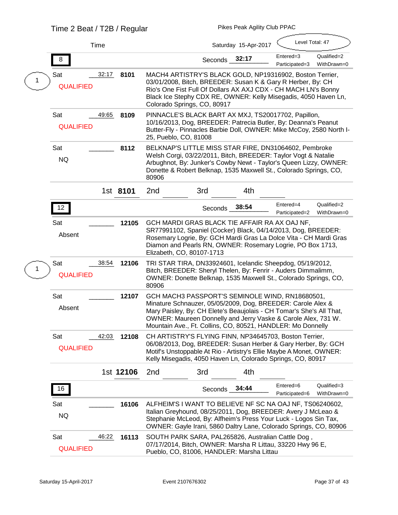|  |                                | Time  |           | Level Total: 47<br>Saturday 15-Apr-2017                                                                                                                                                                                                                                                                                |                |       |                             |                            |  |
|--|--------------------------------|-------|-----------|------------------------------------------------------------------------------------------------------------------------------------------------------------------------------------------------------------------------------------------------------------------------------------------------------------------------|----------------|-------|-----------------------------|----------------------------|--|
|  | 8                              |       |           |                                                                                                                                                                                                                                                                                                                        | Seconds 32:17  |       | Entered=3<br>Participated=3 | Qualified=2<br>WithDrawn=0 |  |
|  | <b>Sat</b><br><b>QUALIFIED</b> | 32:17 | 8101      | MACH4 ARTISTRY'S BLACK GOLD, NP19316902, Boston Terrier,<br>03/01/2008, Bitch, BREEDER: Susan K & Gary R Herber, By: CH<br>Rio's One Fist Full Of Dollars AX AXJ CDX - CH MACH LN's Bonny<br>Black Ice Stephy CDX RE, OWNER: Kelly Misegadis, 4050 Haven Ln,<br>Colorado Springs, CO, 80917                            |                |       |                             |                            |  |
|  | Sat<br><b>QUALIFIED</b>        | 49:65 | 8109      | PINNACLE'S BLACK BART AX MXJ, TS20017702, Papillon,<br>10/16/2013, Dog, BREEDER: Patrecia Butler, By: Deanna's Peanut<br>Butter-Fly - Pinnacles Barbie Doll, OWNER: Mike McCoy, 2580 North I-<br>25, Pueblo, CO, 81008                                                                                                 |                |       |                             |                            |  |
|  | Sat<br><b>NQ</b>               |       | 8112      | BELKNAP'S LITTLE MISS STAR FIRE, DN31064602, Pembroke<br>Welsh Corgi, 03/22/2011, Bitch, BREEDER: Taylor Vogt & Natalie<br>Arbughnot, By: Junker's Cowby Newt - Taylor's Queen Lizzy, OWNER:<br>Donette & Robert Belknap, 1535 Maxwell St., Colorado Springs, CO,<br>80906                                             |                |       |                             |                            |  |
|  |                                |       | 1st 8101  | 2nd                                                                                                                                                                                                                                                                                                                    | 3rd            | 4th   |                             |                            |  |
|  | 12                             |       |           |                                                                                                                                                                                                                                                                                                                        | <b>Seconds</b> | 38:54 | Entered=4<br>Participated=2 | Qualified=2<br>WithDrawn=0 |  |
|  | Sat<br><b>Absent</b>           |       | 12105     | GCH MARDI GRAS BLACK TIE AFFAIR RA AX OAJ NF,<br>SR77991102, Spaniel (Cocker) Black, 04/14/2013, Dog, BREEDER:<br>Rosemary Logrie, By: GCH Mardi Gras La Dolce Vita - CH Mardi Gras<br>Diamon and Pearls RN, OWNER: Rosemary Logrie, PO Box 1713,<br>Elizabeth, CO, 80107-1713                                         |                |       |                             |                            |  |
|  | <b>Sat</b><br><b>QUALIFIED</b> | 38:54 | 12106     | TRI STAR TIRA, DN33924601, Icelandic Sheepdog, 05/19/2012,<br>Bitch, BREEDER: Sheryl Thelen, By: Fenrir - Auders Dimmalimm,<br>OWNER: Donette Belknap, 1535 Maxwell St., Colorado Springs, CO,<br>80906                                                                                                                |                |       |                             |                            |  |
|  | Sat<br><b>Absent</b>           |       | 12107     | GCH MACH3 PASSPORT'S SEMINOLE WIND, RN18680501,<br>Minature Schnauzer, 05/05/2009, Dog, BREEDER: Carole Alex &<br>Mary Paisley, By: CH Elete's Beaujolais - CH Tomar's She's All That,<br>OWNER: Maureen Donnelly and Jerry Vaske & Carole Alex, 731 W.<br>Mountain Ave., Ft. Collins, CO, 80521, HANDLER: Mo Donnelly |                |       |                             |                            |  |
|  | Sat<br><b>QUALIFIED</b>        | 42:03 | 12108     | CH ARTISTRY'S FLYING FINN, NP34645703, Boston Terrier,<br>06/08/2013, Dog, BREEDER: Susan Herber & Gary Herber, By: GCH<br>Motif's Unstoppable At Rio - Artistry's Ellie Maybe A Monet, OWNER:<br>Kelly Misegadis, 4050 Haven Ln, Colorado Springs, CO, 80917                                                          |                |       |                             |                            |  |
|  |                                |       | 1st 12106 | 2nd                                                                                                                                                                                                                                                                                                                    | 3rd            | 4th   |                             |                            |  |
|  | 16                             |       |           |                                                                                                                                                                                                                                                                                                                        | Seconds 34:44  |       | Entered=6<br>Participated=6 | Qualified=3<br>WithDrawn=0 |  |
|  | Sat<br><b>NQ</b>               |       | 16106     | ALFHEIM'S I WANT TO BELIEVE NF SC NA OAJ NF, TS06240602,<br>Italian Greyhound, 08/25/2011, Dog, BREEDER: Avery J McLeao &<br>Stephanie McLeod, By: Alfheim's Press Your Luck - Logos Sin Tax,<br>OWNER: Gayle Irani, 5860 Daltry Lane, Colorado Springs, CO, 80906                                                     |                |       |                             |                            |  |
|  | Sat<br><b>QUALIFIED</b>        | 46:22 | 16113     | SOUTH PARK SARA, PAL265826, Australian Cattle Dog,<br>07/17/2014, Bitch, OWNER: Marsha R Littau, 33220 Hwy 96 E,<br>Pueblo, CO, 81006, HANDLER: Marsha Littau                                                                                                                                                          |                |       |                             |                            |  |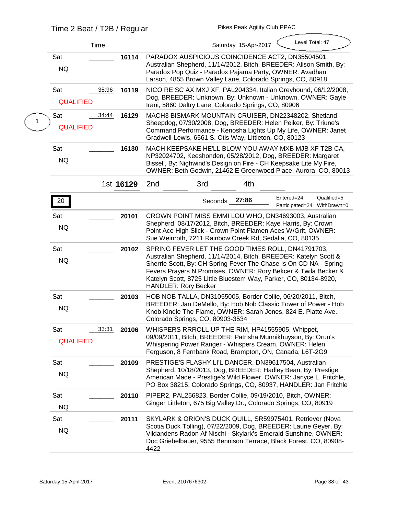|  |                         | Time           | Level Total: 47<br>Saturday 15-Apr-2017                                                                                                                                                                                                                                                                                                                         |
|--|-------------------------|----------------|-----------------------------------------------------------------------------------------------------------------------------------------------------------------------------------------------------------------------------------------------------------------------------------------------------------------------------------------------------------------|
|  | Sat<br><b>NQ</b>        | 16114          | PARADOX AUSPICIOUS COINCIDENCE ACT2, DN35504501,<br>Australian Shepherd, 11/14/2012, Bitch, BREEDER: Alison Smith, By:<br>Paradox Pop Quiz - Paradox Pajama Party, OWNER: Avadhan<br>Larson, 4855 Brown Valley Lane, Colorado Springs, CO, 80918                                                                                                                |
|  | Sat<br><b>QUALIFIED</b> | 35:96<br>16119 | NICO RE SC AX MXJ XF, PAL204334, Italian Greyhound, 06/12/2008,<br>Dog, BREEDER: Unknown, By: Unknown - Unknown, OWNER: Gayle<br>Irani, 5860 Daltry Lane, Colorado Springs, CO, 80906                                                                                                                                                                           |
|  | Sat<br><b>QUALIFIED</b> | 34:44<br>16129 | MACH3 BISMARK MOUNTAIN CRUISER, DN22348202, Shetland<br>Sheepdog, 07/30/2008, Dog, BREEDER: Helen Peiker, By: Triune's<br>Command Performance - Kenosha Lights Up My Life, OWNER: Janet<br>Gradwell-Lewis, 6561 S. Otis Way, Littleton, CO, 80123                                                                                                               |
|  | <b>Sat</b><br><b>NQ</b> | 16130          | MACH KEEPSAKE HE'LL BLOW YOU AWAY MXB MJB XF T2B CA,<br>NP32024702, Keeshonden, 05/28/2012, Dog, BREEDER: Margaret<br>Bissell, By: Nighwind's Design on Fire - CH Keepsake Lite My Fire,<br>OWNER: Beth Godwin, 21462 E Greenwood Place, Aurora, CO, 80013                                                                                                      |
|  |                         | 1st 16129      | 2nd<br>3rd<br>4th                                                                                                                                                                                                                                                                                                                                               |
|  | 20                      |                | Entered=24<br>Qualified=5<br>27:86<br>Seconds<br>Participated=24 WithDrawn=0                                                                                                                                                                                                                                                                                    |
|  | Sat<br><b>NQ</b>        | 20101          | CROWN POINT MISS EMMI LOU WHO, DN34693003, Australian<br>Shepherd, 08/17/2012, Bitch, BREEDER: Kaye Harris, By: Crown<br>Point Ace High Slick - Crown Point Flamen Aces W/Grit, OWNER:<br>Sue Weinroth, 7211 Rainbow Creek Rd, Sedalia, CO, 80135                                                                                                               |
|  | <b>Sat</b><br><b>NQ</b> | 20102          | SPRING FEVER LET THE GOOD TIMES ROLL, DN41791703,<br>Australian Shepherd, 11/14/2014, Bitch, BREEDER: Katelyn Scott &<br>Sherrie Scott, By: CH Spring Fever The Chase Is On CD NA - Spring<br>Fevers Prayers N Promises, OWNER: Rory Bekcer & Twila Becker &<br>Katelyn Scott, 8725 Little Bluestem Way, Parker, CO, 80134-8920,<br><b>HANDLER: Rory Becker</b> |
|  | <b>Sat</b><br><b>NQ</b> | 20103          | HOB NOB TALLA, DN31055005, Border Collie, 06/20/2011, Bitch,<br>BREEDER: Jan DeMello, By: Hob Nob Classic Tower of Power - Hob<br>Knob Kindle The Flame, OWNER: Sarah Jones, 824 E. Platte Ave.,<br>Colorado Springs, CO, 80903-3534                                                                                                                            |
|  | Sat<br><b>QUALIFIED</b> | 33:31<br>20106 | WHISPERS RRROLL UP THE RIM, HP41555905, Whippet,<br>09/09/2011, Bitch, BREEDER: Patrisha Munnikhuyson, By: Orun's<br>Whispering Power Ranger - Whispers Cream, OWNER: Helen<br>Ferguson, 8 Fernbank Road, Brampton, ON, Canada, L6T-2G9                                                                                                                         |
|  | Sat<br><b>NQ</b>        | 20109          | PRESTIGE'S FLASHY LI'L DANCER, DN39617504, Australian<br>Shepherd, 10/18/2013, Dog, BREEDER: Hadley Bean, By: Prestige<br>American Made - Prestige's Wild Flower, OWNER: Janyce L. Fritchle,<br>PO Box 38215, Colorado Springs, CO, 80937, HANDLER: Jan Fritchle                                                                                                |
|  | Sat<br><b>NQ</b>        | 20110          | PIPER2, PAL256823, Border Collie, 09/19/2010, Bitch, OWNER:<br>Ginger Littleton, 675 Big Valley Dr., Colorado Springs, CO, 80919                                                                                                                                                                                                                                |
|  | Sat<br>NQ               | 20111          | SKYLARK & ORION'S DUCK QUILL, SR59975401, Retriever (Nova<br>Scotia Duck Tolling), 07/22/2009, Dog, BREEDER: Laurie Geyer, By:<br>Vildandens Radon Af Nischi - Skylark's Emerald Sunshine, OWNER:<br>Doc Griebelbauer, 9555 Bennison Terrace, Black Forest, CO, 80908-<br>4422                                                                                  |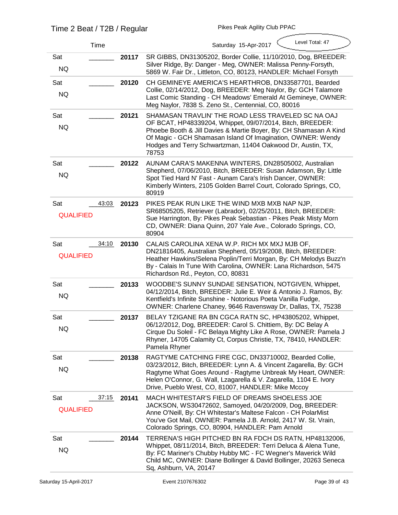$\overline{\phantom{a}}$ 

| <b>Time</b>                             |       | Level Total: 47<br>Saturday 15-Apr-2017                                                                                                                                                                                                                                                                                     |
|-----------------------------------------|-------|-----------------------------------------------------------------------------------------------------------------------------------------------------------------------------------------------------------------------------------------------------------------------------------------------------------------------------|
| Sat<br>NQ                               | 20117 | SR GIBBS, DN31305202, Border Collie, 11/10/2010, Dog, BREEDER:<br>Silver Ridge, By: Danger - Meg, OWNER: Malissa Penny-Forsyth,<br>5869 W. Fair Dr., Littleton, CO, 80123, HANDLER: Michael Forsyth                                                                                                                         |
| Sat<br><b>NQ</b>                        | 20120 | CH GEMINEYE AMERICA'S HEARTHROB, DN33587701, Bearded<br>Collie, 02/14/2012, Dog, BREEDER: Meg Naylor, By: GCH Talamore<br>Last Comic Standing - CH Meadows' Emerald At Gemineye, OWNER:<br>Meg Naylor, 7838 S. Zeno St., Centennial, CO, 80016                                                                              |
| Sat<br>NQ                               | 20121 | SHAMASAN TRAVLIN' THE ROAD LESS TRAVELED SC NA OAJ<br>OF BCAT, HP48339204, Whippet, 09/07/2014, Bitch, BREEDER:<br>Phoebe Booth & Jill Davies & Martie Boyer, By: CH Shamasan A Kind<br>Of Magic - GCH Shamasan Island Of Imagination, OWNER: Wendy<br>Hodges and Terry Schwartzman, 11404 Oakwood Dr, Austin, TX,<br>78753 |
| Sat<br><b>NQ</b>                        | 20122 | AUNAM CARA'S MAKENNA WINTERS, DN28505002, Australian<br>Shepherd, 07/06/2010, Bitch, BREEDER: Susan Adamson, By: Little<br>Spot Tied Hard N' Fast - Aunam Cara's Irish Dancer, OWNER:<br>Kimberly Winters, 2105 Golden Barrel Court, Colorado Springs, CO,<br>80919                                                         |
| <b>Sat</b><br>43:03<br><b>QUALIFIED</b> | 20123 | PIKES PEAK RUN LIKE THE WIND MXB MXB NAP NJP,<br>SR68505205, Retriever (Labrador), 02/25/2011, Bitch, BREEDER:<br>Sue Harrington, By: Pikes Peak Sebastian - Pikes Peak Misty Morn<br>CD, OWNER: Diana Quinn, 207 Yale Ave., Colorado Springs, CO,<br>80904                                                                 |
| <b>Sat</b><br>34:10<br><b>QUALIFIED</b> | 20130 | CALAIS CAROLINA XENA W.P. RICH MX MXJ MJB OF,<br>DN21816405, Australian Shepherd, 05/19/2008, Bitch, BREEDER:<br>Heather Hawkins/Selena Poplin/Terri Morgan, By: CH Melodys Buzz'n<br>By - Calais In Tune With Carolina, OWNER: Lana Richardson, 5475<br>Richardson Rd., Peyton, CO, 80831                                  |
| Sat<br><b>NQ</b>                        | 20133 | WOODBE'S SUNNY SUNDAE SENSATION, NOTGIVEN, Whippet,<br>04/12/2014, Bitch, BREEDER: Julie E. Weir & Antonio J. Ramos, By:<br>Kentfield's Infinite Sunshine - Notorious Poeta Vanilla Fudge,<br>OWNER: Charlene Chaney, 9646 Ravensway Dr, Dallas, TX, 75238                                                                  |
| Sat<br><b>NQ</b>                        | 20137 | BELAY TZIGANE RA BN CGCA RATN SC, HP43805202, Whippet,<br>06/12/2012, Dog, BREEDER: Carol S. Chittiem, By: DC Belay A<br>Cirque Du Soleil - FC Belaya Mighty Like A Rose, OWNER: Pamela J<br>Rhyner, 14705 Calamity Ct, Corpus Christie, TX, 78410, HANDLER:<br><b>Pamela Rhyner</b>                                        |
| Sat<br><b>NQ</b>                        | 20138 | RAGTYME CATCHING FIRE CGC, DN33710002, Bearded Collie,<br>03/23/2012, Bitch, BREEDER: Lynn A. & Vincent Zagarella, By: GCH<br>Ragtyme What Goes Around - Ragtyme Unbreak My Heart, OWNER:<br>Helen O'Connor, G. Wall, Lzagarella & V. Zagarella, 1104 E. Ivory<br>Drive, Pueblo West, CO, 81007, HANDLER: Mike Mccoy        |
| 37:15<br>Sat<br><b>QUALIFIED</b>        | 20141 | MACH WHITESTAR'S FIELD OF DREAMS SHOELESS JOE<br>JACKSON, WS30472602, Samoyed, 04/20/2009, Dog, BREEDER:<br>Anne O'Neill, By: CH Whitestar's Maltese Falcon - CH PolarMist<br>You've Got Mail, OWNER: Pamela J.B. Arnold, 2417 W. St. Vrain,<br>Colorado Springs, CO, 80904, HANDLER: Pam Arnold                            |
| Sat<br>NQ                               | 20144 | TERRENA'S HIGH PITCHED BN RA FDCH DS RATN, HP48132006,<br>Whippet, 08/11/2014, Bitch, BREEDER: Terri Deluca & Alena Tune,<br>By: FC Mariner's Chubby Hubby MC - FC Wegner's Maverick Wild<br>Child MC, OWNER: Diane Bollinger & David Bollinger, 20263 Seneca<br>Sq, Ashburn, VA, 20147                                     |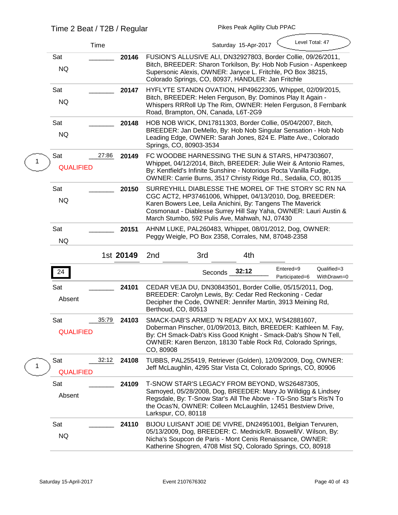|  |                                | <b>Time</b> |           | Level Total: 47<br>Saturday 15-Apr-2017                                                                                                                                                                                                                                                               |  |  |  |  |
|--|--------------------------------|-------------|-----------|-------------------------------------------------------------------------------------------------------------------------------------------------------------------------------------------------------------------------------------------------------------------------------------------------------|--|--|--|--|
|  | Sat<br><b>NQ</b>               |             | 20146     | FUSION'S ALLUSIVE ALI, DN32927803, Border Collie, 09/26/2011,<br>Bitch, BREEDER: Sharon Torkilson, By: Hob Nob Fusion - Aspenkeep<br>Supersonic Alexis, OWNER: Janyce L. Fritchle, PO Box 38215,<br>Colorado Springs, CO, 80937, HANDLER: Jan Fritchle                                                |  |  |  |  |
|  | Sat<br><b>NQ</b>               |             | 20147     | HYFLYTE STANDN OVATION, HP49622305, Whippet, 02/09/2015,<br>Bitch, BREEDER: Helen Ferguson, By: Dominos Play It Again -<br>Whispers RRRoll Up The Rim, OWNER: Helen Ferguson, 8 Fernbank<br>Road, Brampton, ON, Canada, L6T-2G9                                                                       |  |  |  |  |
|  | <b>Sat</b><br><b>NQ</b>        |             | 20148     | HOB NOB WICK, DN17811303, Border Collie, 05/04/2007, Bitch,<br>BREEDER: Jan DeMello, By: Hob Nob Singular Sensation - Hob Nob<br>Leading Edge, OWNER: Sarah Jones, 824 E. Platte Ave., Colorado<br>Springs, CO, 80903-3534                                                                            |  |  |  |  |
|  | <b>Sat</b><br><b>QUALIFIED</b> | 27:86       | 20149     | FC WOODBE HARNESSING THE SUN & STARS, HP47303607,<br>Whippet, 04/12/2014, Bitch, BREEDER: Julie Weir & Antonio Rames,<br>By: Kentfield's Infinite Sunshine - Notorious Pocta Vanilla Fudge,<br>OWNER: Carrie Burns, 3517 Christy Ridge Rd., Sedalia, CO, 80135                                        |  |  |  |  |
|  | Sat<br><b>NQ</b>               |             | 20150     | SURREYHILL DIABLESSE THE MOREL OF THE STORY SC RN NA<br>CGC ACT2, HP37461006, Whippet, 04/13/2010, Dog, BREEDER:<br>Karen Bowers Lee, Leila Anichini, By: Tangens The Maverick<br>Cosmonaut - Diablesse Surrey Hill Say Yaha, OWNER: Lauri Austin &<br>March Stumbo, 592 Pulis Ave, Mahwah, NJ, 07430 |  |  |  |  |
|  | Sat<br><b>NQ</b>               |             | 20151     | AHNM LUKE, PAL260483, Whippet, 08/01/2012, Dog, OWNER:<br>Peggy Weigle, PO Box 2358, Corrales, NM, 87048-2358                                                                                                                                                                                         |  |  |  |  |
|  |                                |             |           |                                                                                                                                                                                                                                                                                                       |  |  |  |  |
|  |                                |             | 1st 20149 | 2nd<br>3rd<br>4th                                                                                                                                                                                                                                                                                     |  |  |  |  |
|  | 24                             |             |           | Entered=9<br>Qualified=3<br>Seconds 32:12<br>WithDrawn=0<br>Participated=6                                                                                                                                                                                                                            |  |  |  |  |
|  | Sat<br>Absent                  |             | 24101     | CEDAR VEJA DU, DN30843501, Border Collie, 05/15/2011, Dog,<br>BREEDER: Carolyn Lewis, By: Cedar Red Reckoning - Cedar<br>Decipher the Code, OWNER: Jennifer Martin, 3913 Meining Rd,<br>Berthoud, CO, 80513                                                                                           |  |  |  |  |
|  | Sat<br><b>QUALIFIED</b>        | 35:79       | 24103     | SMACK-DAB'S ARMED 'N READY AX MXJ, WS42881607,<br>Doberman Pinscher, 01/09/2013, Bitch, BREEDER: Kathleen M. Fay,<br>By: CH Smack-Dab's Kiss Good Knight - Smack-Dab's Show N Tell,<br>OWNER: Karen Benzon, 18130 Table Rock Rd, Colorado Springs,<br>CO, 80908                                       |  |  |  |  |
|  | Sat<br><b>QUALIFIED</b>        | 32:12       | 24108     | TUBBS, PAL255419, Retriever (Golden), 12/09/2009, Dog, OWNER:<br>Jeff McLaughlin, 4295 Star Vista Ct, Colorado Springs, CO, 80906                                                                                                                                                                     |  |  |  |  |
|  | Sat<br><b>Absent</b>           |             | 24109     | T-SNOW STAR'S LEGACY FROM BEYOND, WS26487305,<br>Samoyed, 05/28/2008, Dog, BREEDER: Mary Jo Willdigg & Lindsey<br>Regsdale, By: T-Snow Star's All The Above - TG-Sno Star's Ris'N To<br>the Ocas'N, OWNER: Colleen McLaughlin, 12451 Bestview Drive,<br>Larkspur, CO, 80118                           |  |  |  |  |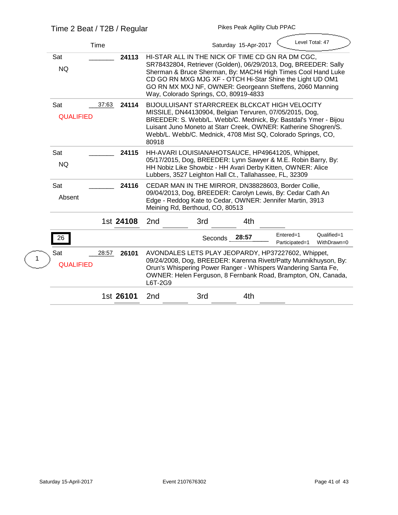| <b>Time</b>                                      | Level Total: 47<br>Saturday 15-Apr-2017                                                                                                                                                                                                                                                                                                               |  |  |  |  |  |
|--------------------------------------------------|-------------------------------------------------------------------------------------------------------------------------------------------------------------------------------------------------------------------------------------------------------------------------------------------------------------------------------------------------------|--|--|--|--|--|
| <b>Sat</b><br>24113<br><b>NQ</b>                 | HI-STAR ALL IN THE NICK OF TIME CD GN RA DM CGC,<br>SR78432804, Retriever (Golden), 06/29/2013, Dog, BREEDER: Sally<br>Sherman & Bruce Sherman, By: MACH4 High Times Cool Hand Luke<br>CD GO RN MXG MJG XF - OTCH Hi-Star Shine the Light UD OM1<br>GO RN MX MXJ NF, OWNER: Georgeann Steffens, 2060 Manning<br>Way, Colorado Springs, CO, 80919-4833 |  |  |  |  |  |
| <b>Sat</b><br>37:63<br>24114<br><b>QUALIFIED</b> | <b>BIJOULUISANT STARRCREEK BLCKCAT HIGH VELOCITY</b><br>MISSILE, DN44130904, Belgian Tervuren, 07/05/2015, Dog,<br>BREEDER: S. Webb/L. Webb/C. Mednick, By: Bastdal's Ymer - Bijou<br>Luisant Juno Moneto at Starr Creek, OWNER: Katherine Shogren/S.<br>Webb/L. Webb/C. Mednick, 4708 Mist SQ, Colorado Springs, CO,<br>80918                        |  |  |  |  |  |
| <b>Sat</b><br>24115<br><b>NQ</b>                 | HH-AVARI LOUISIANAHOTSAUCE, HP49641205, Whippet,<br>05/17/2015, Dog, BREEDER: Lynn Sawyer & M.E. Robin Barry, By:<br>HH Nobiz Like Showbiz - HH Avari Derby Kitten, OWNER: Alice<br>Lubbers, 3527 Leighton Hall Ct., Tallahassee, FL, 32309                                                                                                           |  |  |  |  |  |
| <b>Sat</b><br>24116<br><b>Absent</b>             | CEDAR MAN IN THE MIRROR, DN38828603, Border Collie,<br>09/04/2013, Dog, BREEDER: Carolyn Lewis, By: Cedar Cath An<br>Edge - Reddog Kate to Cedar, OWNER: Jennifer Martin, 3913<br>Meining Rd, Berthoud, CO, 80513                                                                                                                                     |  |  |  |  |  |
| 1st 24108                                        | 4th<br>3rd<br>2nd                                                                                                                                                                                                                                                                                                                                     |  |  |  |  |  |
| 26                                               | Entered=1<br>Qualified=1<br>Seconds 28:57<br>WithDrawn=0<br>Participated=1                                                                                                                                                                                                                                                                            |  |  |  |  |  |
| 28:57<br>26101<br><b>Sat</b><br><b>QUALIFIED</b> | AVONDALES LETS PLAY JEOPARDY, HP37227602, Whippet,<br>09/24/2008, Dog, BREEDER: Karenna Rivett/Patty Munnikhuyson, By:<br>Orun's Whispering Power Ranger - Whispers Wandering Santa Fe,<br>OWNER: Helen Ferguson, 8 Fernbank Road, Brampton, ON, Canada,<br>L6T-2G9                                                                                   |  |  |  |  |  |
| 1st 26101                                        | 2 <sub>nd</sub><br>3rd<br>4th                                                                                                                                                                                                                                                                                                                         |  |  |  |  |  |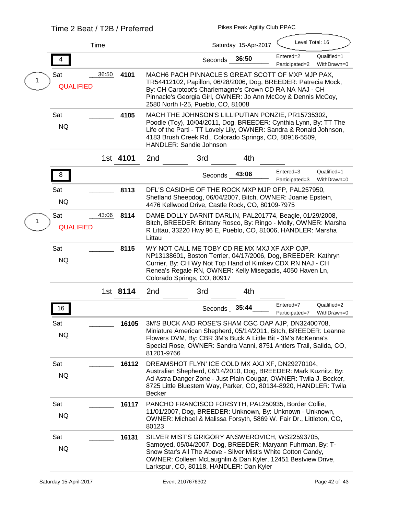|                                | <b>Time</b> |          |                                                                                                                                                                                                                                                                                            |               | Saturday 15-Apr-2017 | Level Total: 16             |                            |
|--------------------------------|-------------|----------|--------------------------------------------------------------------------------------------------------------------------------------------------------------------------------------------------------------------------------------------------------------------------------------------|---------------|----------------------|-----------------------------|----------------------------|
|                                |             |          |                                                                                                                                                                                                                                                                                            | Seconds 36:50 |                      | Entered=2<br>Participated=2 | Qualified=1<br>WithDrawn=0 |
| <b>Sat</b><br><b>QUALIFIED</b> | 36:50       | 4101     | MACH6 PACH PINNACLE'S GREAT SCOTT OF MXP MJP PAX,<br>TR54412102, Papillon, 06/28/2006, Dog, BREEDER: Patrecia Mock,<br>By: CH Carotoot's Charlemagne's Crown CD RA NA NAJ - CH<br>Pinnacle's Georgia Girl, OWNER: Jo Ann McCoy & Dennis McCoy,<br>2580 North I-25, Pueblo, CO, 81008       |               |                      |                             |                            |
| Sat<br><b>NQ</b>               |             | 4105     | MACH THE JOHNSON'S LILLIPUTIAN PONZIE, PR15735302,<br>Poodle (Toy), 10/04/2011, Dog, BREEDER: Cynthia Lynn, By: TT The<br>Life of the Parti - TT Lovely Lily, OWNER: Sandra & Ronald Johnson,<br>4183 Brush Creek Rd., Colorado Springs, CO, 80916-5509,<br><b>HANDLER: Sandie Johnson</b> |               |                      |                             |                            |
|                                |             | 1st 4101 | 2nd                                                                                                                                                                                                                                                                                        | 3rd           | 4th                  |                             |                            |
| 8                              |             |          |                                                                                                                                                                                                                                                                                            | Seconds 43:06 |                      | Entered=3<br>Participated=3 | Qualified=1<br>WithDrawn=0 |
| Sat<br><b>NQ</b>               |             | 8113     | DFL'S CASIDHE OF THE ROCK MXP MJP OFP, PAL257950,<br>Shetland Sheepdog, 06/04/2007, Bitch, OWNER: Joanie Epstein,<br>4476 Kellwood Drive, Castle Rock, CO, 80109-7975                                                                                                                      |               |                      |                             |                            |
| <b>Sat</b><br><b>QUALIFIED</b> | 43:06       | 8114     | DAME DOLLY DARNIT DARLIN, PAL201774, Beagle, 01/29/2008,<br>Bitch, BREEDER: Brittany Rosco, By: Ringo - Molly, OWNER: Marsha<br>R Littau, 33220 Hwy 96 E, Pueblo, CO, 81006, HANDLER: Marsha<br>Littau                                                                                     |               |                      |                             |                            |
| <b>Sat</b><br><b>NQ</b>        |             | 8115     | WY NOT CALL ME TOBY CD RE MX MXJ XF AXP OJP,<br>NP13138601, Boston Terrier, 04/17/2006, Dog, BREEDER: Kathryn<br>Currier, By: CH Wy Not Top Hand of Kimkev CDX RN NAJ - CH<br>Renea's Regale RN, OWNER: Kelly Misegadis, 4050 Haven Ln,<br>Colorado Springs, CO, 80917                     |               |                      |                             |                            |
|                                |             | 1st 8114 | 2nd                                                                                                                                                                                                                                                                                        | 3rd           | 4th                  |                             |                            |
| 16                             |             |          |                                                                                                                                                                                                                                                                                            | Seconds       | 35:44                | Entered=7<br>Participated=7 | Qualified=2<br>WithDrawn=0 |
| <b>Sat</b><br><b>NQ</b>        |             | 16105    | 3M'S BUCK AND ROSE'S SHAM CGC OAP AJP, DN32400708,<br>Miniature American Shepherd, 05/14/2011, Bitch, BREEDER: Leanne<br>Flowers DVM, By: CBR 3M's Buck A Little Bit - 3M's McKenna's<br>Special Rose, OWNER: Sandra Vanni, 8751 Antlers Trail, Salida, CO,<br>81201-9766                  |               |                      |                             |                            |
| Sat<br><b>NQ</b>               |             | 16112    | DREAMSHOT FLYN'ICE COLD MX AXJ XF, DN29270104,<br>Australian Shepherd, 06/14/2010, Dog, BREEDER: Mark Kuznitz, By:<br>Ad Astra Danger Zone - Just Plain Cougar, OWNER: Twila J. Becker,<br>8725 Little Bluestem Way, Parker, CO, 80134-8920, HANDLER: Twila<br><b>Becker</b>               |               |                      |                             |                            |
| Sat<br><b>NQ</b>               |             | 16117    | PANCHO FRANCISCO FORSYTH, PAL250935, Border Collie,<br>11/01/2007, Dog, BREEDER: Unknown, By: Unknown - Unknown,<br>OWNER: Michael & Malissa Forsyth, 5869 W. Fair Dr., Littleton, CO,<br>80123                                                                                            |               |                      |                             |                            |
| Sat<br><b>NQ</b>               |             | 16131    | SILVER MIST'S GRIGORY ANSWEROVICH, WS22593705,<br>Samoyed, 05/04/2007, Dog, BREEDER: Maryann Fuhrman, By: T-<br>Snow Star's All The Above - Silver Mist's White Cotton Candy,<br>OWNER: Colleen McLaughlin & Dan Kyler, 12451 Bestview Drive,<br>Larkspur, CO, 80118, HANDLER: Dan Kyler   |               |                      |                             |                            |